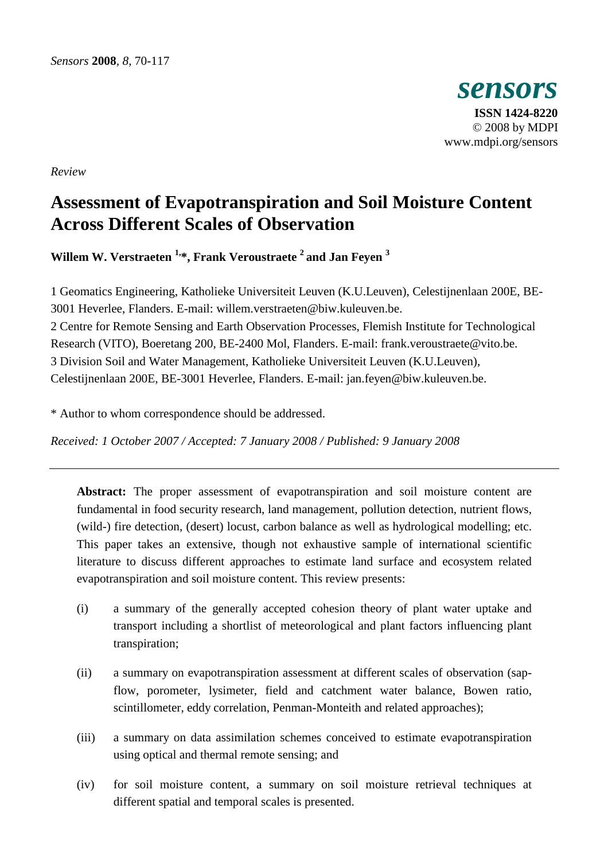

*Review* 

# **Assessment of Evapotranspiration and Soil Moisture Content Across Different Scales of Observation**

**Willem W. Verstraeten 1,\*, Frank Veroustraete <sup>2</sup>and Jan Feyen <sup>3</sup>**

1 Geomatics Engineering, Katholieke Universiteit Leuven (K.U.Leuven), Celestijnenlaan 200E, BE-3001 Heverlee, Flanders. E-mail: willem.verstraeten@biw.kuleuven.be. 2 Centre for Remote Sensing and Earth Observation Processes, Flemish Institute for Technological Research (VITO), Boeretang 200, BE-2400 Mol, Flanders. E-mail: frank.veroustraete@vito.be. 3 Division Soil and Water Management, Katholieke Universiteit Leuven (K.U.Leuven), Celestijnenlaan 200E, BE-3001 Heverlee, Flanders. E-mail: jan.feyen@biw.kuleuven.be.

\* Author to whom correspondence should be addressed.

*Received: 1 October 2007 / Accepted: 7 January 2008 / Published: 9 January 2008* 

**Abstract:** The proper assessment of evapotranspiration and soil moisture content are fundamental in food security research, land management, pollution detection, nutrient flows, (wild-) fire detection, (desert) locust, carbon balance as well as hydrological modelling; etc. This paper takes an extensive, though not exhaustive sample of international scientific literature to discuss different approaches to estimate land surface and ecosystem related evapotranspiration and soil moisture content. This review presents:

- (i) a summary of the generally accepted cohesion theory of plant water uptake and transport including a shortlist of meteorological and plant factors influencing plant transpiration;
- (ii) a summary on evapotranspiration assessment at different scales of observation (sapflow, porometer, lysimeter, field and catchment water balance, Bowen ratio, scintillometer, eddy correlation, Penman-Monteith and related approaches);
- (iii) a summary on data assimilation schemes conceived to estimate evapotranspiration using optical and thermal remote sensing; and
- (iv) for soil moisture content, a summary on soil moisture retrieval techniques at different spatial and temporal scales is presented.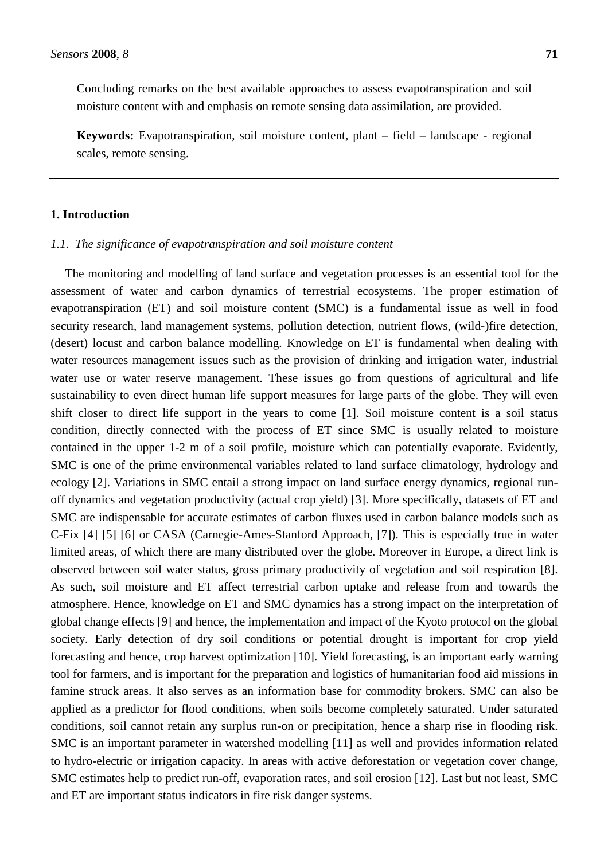Concluding remarks on the best available approaches to assess evapotranspiration and soil moisture content with and emphasis on remote sensing data assimilation, are provided.

**Keywords:** Evapotranspiration, soil moisture content, plant – field – landscape - regional scales, remote sensing.

## **1. Introduction**

## *1.1. The significance of evapotranspiration and soil moisture content*

The monitoring and modelling of land surface and vegetation processes is an essential tool for the assessment of water and carbon dynamics of terrestrial ecosystems. The proper estimation of evapotranspiration (ET) and soil moisture content (SMC) is a fundamental issue as well in food security research, land management systems, pollution detection, nutrient flows, (wild-)fire detection, (desert) locust and carbon balance modelling. Knowledge on ET is fundamental when dealing with water resources management issues such as the provision of drinking and irrigation water, industrial water use or water reserve management. These issues go from questions of agricultural and life sustainability to even direct human life support measures for large parts of the globe. They will even shift closer to direct life support in the years to come [1]. Soil moisture content is a soil status condition, directly connected with the process of ET since SMC is usually related to moisture contained in the upper 1-2 m of a soil profile, moisture which can potentially evaporate. Evidently, SMC is one of the prime environmental variables related to land surface climatology, hydrology and ecology [2]. Variations in SMC entail a strong impact on land surface energy dynamics, regional runoff dynamics and vegetation productivity (actual crop yield) [3]. More specifically, datasets of ET and SMC are indispensable for accurate estimates of carbon fluxes used in carbon balance models such as C-Fix [4] [5] [6] or CASA (Carnegie-Ames-Stanford Approach, [7]). This is especially true in water limited areas, of which there are many distributed over the globe. Moreover in Europe, a direct link is observed between soil water status, gross primary productivity of vegetation and soil respiration [8]. As such, soil moisture and ET affect terrestrial carbon uptake and release from and towards the atmosphere. Hence, knowledge on ET and SMC dynamics has a strong impact on the interpretation of global change effects [9] and hence, the implementation and impact of the Kyoto protocol on the global society. Early detection of dry soil conditions or potential drought is important for crop yield forecasting and hence, crop harvest optimization [10]. Yield forecasting, is an important early warning tool for farmers, and is important for the preparation and logistics of humanitarian food aid missions in famine struck areas. It also serves as an information base for commodity brokers. SMC can also be applied as a predictor for flood conditions, when soils become completely saturated. Under saturated conditions, soil cannot retain any surplus run-on or precipitation, hence a sharp rise in flooding risk. SMC is an important parameter in watershed modelling [11] as well and provides information related to hydro-electric or irrigation capacity. In areas with active deforestation or vegetation cover change, SMC estimates help to predict run-off, evaporation rates, and soil erosion [12]. Last but not least, SMC and ET are important status indicators in fire risk danger systems.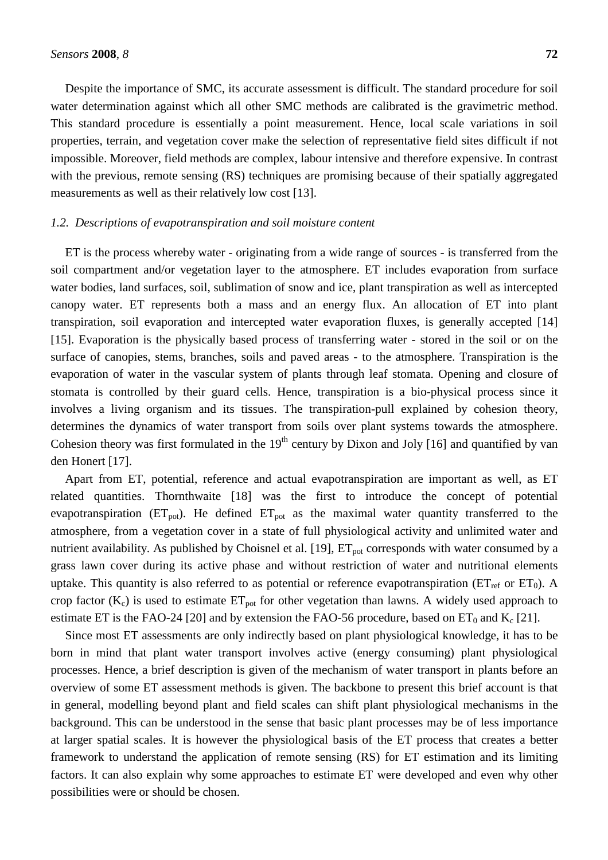Despite the importance of SMC, its accurate assessment is difficult. The standard procedure for soil water determination against which all other SMC methods are calibrated is the gravimetric method. This standard procedure is essentially a point measurement. Hence, local scale variations in soil properties, terrain, and vegetation cover make the selection of representative field sites difficult if not impossible. Moreover, field methods are complex, labour intensive and therefore expensive. In contrast with the previous, remote sensing (RS) techniques are promising because of their spatially aggregated measurements as well as their relatively low cost [13].

## *1.2. Descriptions of evapotranspiration and soil moisture content*

ET is the process whereby water - originating from a wide range of sources - is transferred from the soil compartment and/or vegetation layer to the atmosphere. ET includes evaporation from surface water bodies, land surfaces, soil, sublimation of snow and ice, plant transpiration as well as intercepted canopy water. ET represents both a mass and an energy flux. An allocation of ET into plant transpiration, soil evaporation and intercepted water evaporation fluxes, is generally accepted [14] [15]. Evaporation is the physically based process of transferring water - stored in the soil or on the surface of canopies, stems, branches, soils and paved areas - to the atmosphere. Transpiration is the evaporation of water in the vascular system of plants through leaf stomata. Opening and closure of stomata is controlled by their guard cells. Hence, transpiration is a bio-physical process since it involves a living organism and its tissues. The transpiration-pull explained by cohesion theory, determines the dynamics of water transport from soils over plant systems towards the atmosphere. Cohesion theory was first formulated in the  $19<sup>th</sup>$  century by Dixon and Joly [16] and quantified by van den Honert [17].

Apart from ET, potential, reference and actual evapotranspiration are important as well, as ET related quantities. Thornthwaite [18] was the first to introduce the concept of potential evapotranspiration ( $ET_{pot}$ ). He defined  $ET_{pot}$  as the maximal water quantity transferred to the atmosphere, from a vegetation cover in a state of full physiological activity and unlimited water and nutrient availability. As published by Choisnel et al. [19],  $ET_{pot}$  corresponds with water consumed by a grass lawn cover during its active phase and without restriction of water and nutritional elements uptake. This quantity is also referred to as potential or reference evapotranspiration ( $ET_{ref}$  or  $ET_0$ ). A crop factor  $(K_c)$  is used to estimate  $ET_{pot}$  for other vegetation than lawns. A widely used approach to estimate ET is the FAO-24 [20] and by extension the FAO-56 procedure, based on  $ET_0$  and  $K_c$  [21].

Since most ET assessments are only indirectly based on plant physiological knowledge, it has to be born in mind that plant water transport involves active (energy consuming) plant physiological processes. Hence, a brief description is given of the mechanism of water transport in plants before an overview of some ET assessment methods is given. The backbone to present this brief account is that in general, modelling beyond plant and field scales can shift plant physiological mechanisms in the background. This can be understood in the sense that basic plant processes may be of less importance at larger spatial scales. It is however the physiological basis of the ET process that creates a better framework to understand the application of remote sensing (RS) for ET estimation and its limiting factors. It can also explain why some approaches to estimate ET were developed and even why other possibilities were or should be chosen.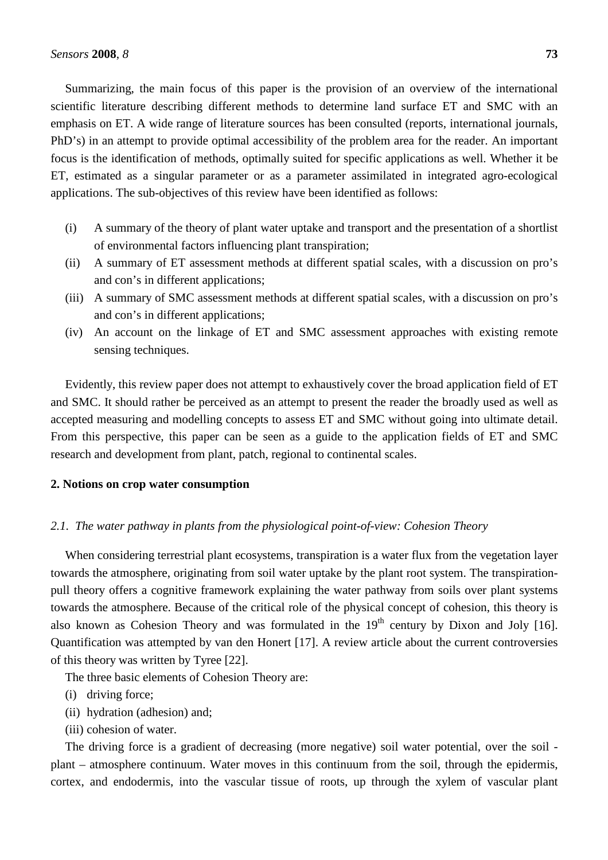Summarizing, the main focus of this paper is the provision of an overview of the international scientific literature describing different methods to determine land surface ET and SMC with an emphasis on ET. A wide range of literature sources has been consulted (reports, international journals, PhD's) in an attempt to provide optimal accessibility of the problem area for the reader. An important focus is the identification of methods, optimally suited for specific applications as well. Whether it be ET, estimated as a singular parameter or as a parameter assimilated in integrated agro-ecological applications. The sub-objectives of this review have been identified as follows:

- (i) A summary of the theory of plant water uptake and transport and the presentation of a shortlist of environmental factors influencing plant transpiration;
- (ii) A summary of ET assessment methods at different spatial scales, with a discussion on pro's and con's in different applications;
- (iii) A summary of SMC assessment methods at different spatial scales, with a discussion on pro's and con's in different applications;
- (iv) An account on the linkage of ET and SMC assessment approaches with existing remote sensing techniques.

Evidently, this review paper does not attempt to exhaustively cover the broad application field of ET and SMC. It should rather be perceived as an attempt to present the reader the broadly used as well as accepted measuring and modelling concepts to assess ET and SMC without going into ultimate detail. From this perspective, this paper can be seen as a guide to the application fields of ET and SMC research and development from plant, patch, regional to continental scales.

#### **2. Notions on crop water consumption**

## *2.1. The water pathway in plants from the physiological point-of-view: Cohesion Theory*

When considering terrestrial plant ecosystems, transpiration is a water flux from the vegetation layer towards the atmosphere, originating from soil water uptake by the plant root system. The transpirationpull theory offers a cognitive framework explaining the water pathway from soils over plant systems towards the atmosphere. Because of the critical role of the physical concept of cohesion, this theory is also known as Cohesion Theory and was formulated in the  $19<sup>th</sup>$  century by Dixon and Joly [16]. Quantification was attempted by van den Honert [17]. A review article about the current controversies of this theory was written by Tyree [22].

The three basic elements of Cohesion Theory are:

- (i) driving force;
- (ii) hydration (adhesion) and;
- (iii) cohesion of water.

The driving force is a gradient of decreasing (more negative) soil water potential, over the soil plant – atmosphere continuum. Water moves in this continuum from the soil, through the epidermis, cortex, and endodermis, into the vascular tissue of roots, up through the xylem of vascular plant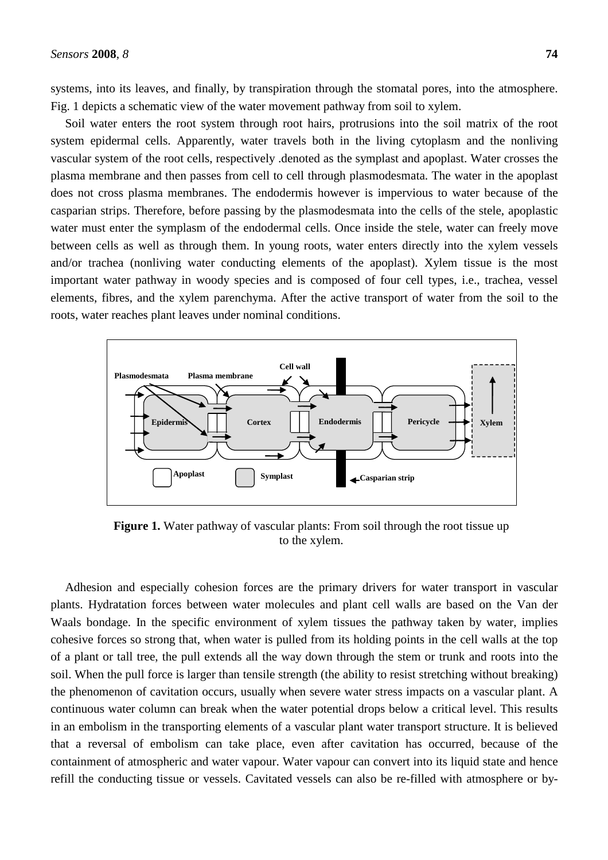systems, into its leaves, and finally, by transpiration through the stomatal pores, into the atmosphere. Fig. 1 depicts a schematic view of the water movement pathway from soil to xylem.

Soil water enters the root system through root hairs, protrusions into the soil matrix of the root system epidermal cells. Apparently, water travels both in the living cytoplasm and the nonliving vascular system of the root cells, respectively .denoted as the symplast and apoplast. Water crosses the plasma membrane and then passes from cell to cell through plasmodesmata. The water in the apoplast does not cross plasma membranes. The endodermis however is impervious to water because of the casparian strips. Therefore, before passing by the plasmodesmata into the cells of the stele, apoplastic water must enter the symplasm of the endodermal cells. Once inside the stele, water can freely move between cells as well as through them. In young roots, water enters directly into the xylem vessels and/or trachea (nonliving water conducting elements of the apoplast). Xylem tissue is the most important water pathway in woody species and is composed of four cell types, i.e., trachea, vessel elements, fibres, and the xylem parenchyma. After the active transport of water from the soil to the roots, water reaches plant leaves under nominal conditions.



**Figure 1.** Water pathway of vascular plants: From soil through the root tissue up to the xylem.

Adhesion and especially cohesion forces are the primary drivers for water transport in vascular plants. Hydratation forces between water molecules and plant cell walls are based on the Van der Waals bondage. In the specific environment of xylem tissues the pathway taken by water, implies cohesive forces so strong that, when water is pulled from its holding points in the cell walls at the top of a plant or tall tree, the pull extends all the way down through the stem or trunk and roots into the soil. When the pull force is larger than tensile strength (the ability to resist stretching without breaking) the phenomenon of cavitation occurs, usually when severe water stress impacts on a vascular plant. A continuous water column can break when the water potential drops below a critical level. This results in an embolism in the transporting elements of a vascular plant water transport structure. It is believed that a reversal of embolism can take place, even after cavitation has occurred, because of the containment of atmospheric and water vapour. Water vapour can convert into its liquid state and hence refill the conducting tissue or vessels. Cavitated vessels can also be re-filled with atmosphere or by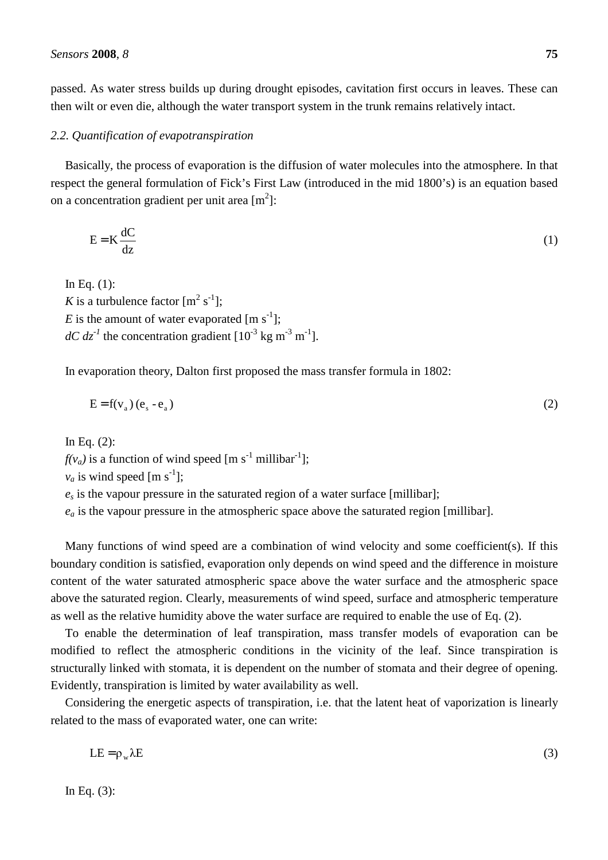passed. As water stress builds up during drought episodes, cavitation first occurs in leaves. These can then wilt or even die, although the water transport system in the trunk remains relatively intact.

## *2.2. Quantification of evapotranspiration*

Basically, the process of evaporation is the diffusion of water molecules into the atmosphere. In that respect the general formulation of Fick's First Law (introduced in the mid 1800's) is an equation based on a concentration gradient per unit area  $[m^2]$ :

$$
E = K \frac{dC}{dz}
$$
 (1)

In Eq. (1): *K* is a turbulence factor  $[m^2 s^1]$ ; *E* is the amount of water evaporated  $[m s^{-1}]$ ;  $dC dz^{-1}$  the concentration gradient  $[10^{-3} \text{ kg m}^{-3} \text{ m}^{-1}]$ .

In evaporation theory, Dalton first proposed the mass transfer formula in 1802:

$$
E = f(v_a) (e_s - e_a)
$$
 (2)

In Eq. (2):

 $f(v_a)$  is a function of wind speed [m s<sup>-1</sup> millibar<sup>-1</sup>];

 $v_a$  is wind speed [m s<sup>-1</sup>];

 $e_s$  is the vapour pressure in the saturated region of a water surface [millibar];

 $e_a$  is the vapour pressure in the atmospheric space above the saturated region [millibar].

Many functions of wind speed are a combination of wind velocity and some coefficient(s). If this boundary condition is satisfied, evaporation only depends on wind speed and the difference in moisture content of the water saturated atmospheric space above the water surface and the atmospheric space above the saturated region. Clearly, measurements of wind speed, surface and atmospheric temperature as well as the relative humidity above the water surface are required to enable the use of Eq. (2).

To enable the determination of leaf transpiration, mass transfer models of evaporation can be modified to reflect the atmospheric conditions in the vicinity of the leaf. Since transpiration is structurally linked with stomata, it is dependent on the number of stomata and their degree of opening. Evidently, transpiration is limited by water availability as well.

Considering the energetic aspects of transpiration, i.e. that the latent heat of vaporization is linearly related to the mass of evaporated water, one can write:

$$
LE = \rho_w \lambda E \tag{3}
$$

In Eq. (3):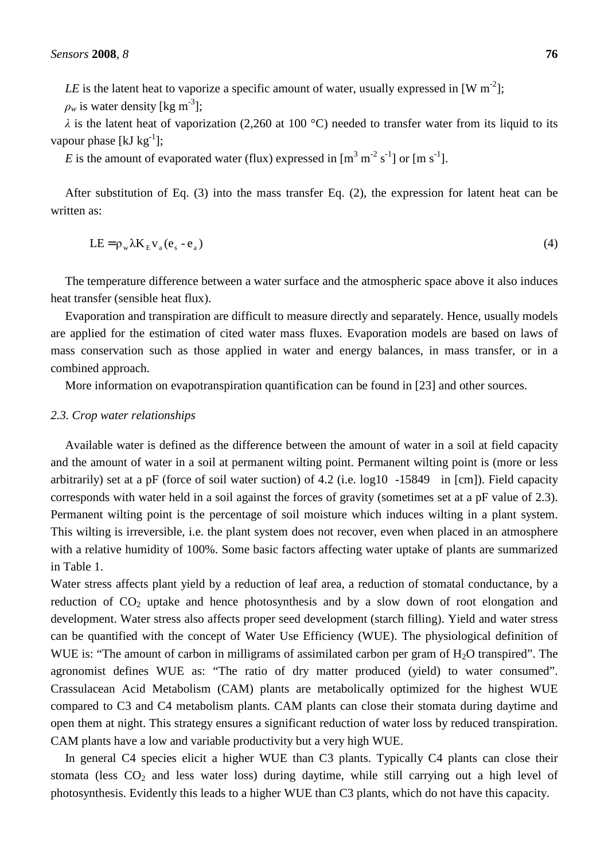*LE* is the latent heat to vaporize a specific amount of water, usually expressed in [W  $m^{-2}$ ];

 $\rho_w$  is water density [kg m<sup>-3</sup>];

 $\lambda$  is the latent heat of vaporization (2,260 at 100 °C) needed to transfer water from its liquid to its vapour phase  $[kJ \text{ kg}^{-1}]$ :

*E* is the amount of evaporated water (flux) expressed in  $\left[m^3 m^{-2} s^{-1}\right]$  or  $\left[m s^{-1}\right]$ .

After substitution of Eq. (3) into the mass transfer Eq. (2), the expression for latent heat can be written as:

$$
LE = \rho_w \lambda K_E v_a (e_s - e_a)
$$
 (4)

The temperature difference between a water surface and the atmospheric space above it also induces heat transfer (sensible heat flux).

Evaporation and transpiration are difficult to measure directly and separately. Hence, usually models are applied for the estimation of cited water mass fluxes. Evaporation models are based on laws of mass conservation such as those applied in water and energy balances, in mass transfer, or in a combined approach.

More information on evapotranspiration quantification can be found in [23] and other sources.

#### *2.3. Crop water relationships*

Available water is defined as the difference between the amount of water in a soil at field capacity and the amount of water in a soil at permanent wilting point. Permanent wilting point is (more or less arbitrarily) set at a pF (force of soil water suction) of 4.2 (i.e.  $log10$  -15849 in [cm]). Field capacity corresponds with water held in a soil against the forces of gravity (sometimes set at a pF value of 2.3). Permanent wilting point is the percentage of soil moisture which induces wilting in a plant system. This wilting is irreversible, i.e. the plant system does not recover, even when placed in an atmosphere with a relative humidity of 100%. Some basic factors affecting water uptake of plants are summarized in Table 1.

Water stress affects plant yield by a reduction of leaf area, a reduction of stomatal conductance, by a reduction of  $CO<sub>2</sub>$  uptake and hence photosynthesis and by a slow down of root elongation and development. Water stress also affects proper seed development (starch filling). Yield and water stress can be quantified with the concept of Water Use Efficiency (WUE). The physiological definition of WUE is: "The amount of carbon in milligrams of assimilated carbon per gram of H<sub>2</sub>O transpired". The agronomist defines WUE as: "The ratio of dry matter produced (yield) to water consumed". Crassulacean Acid Metabolism (CAM) plants are metabolically optimized for the highest WUE compared to C3 and C4 metabolism plants. CAM plants can close their stomata during daytime and open them at night. This strategy ensures a significant reduction of water loss by reduced transpiration. CAM plants have a low and variable productivity but a very high WUE.

In general C4 species elicit a higher WUE than C3 plants. Typically C4 plants can close their stomata (less  $CO<sub>2</sub>$  and less water loss) during daytime, while still carrying out a high level of photosynthesis. Evidently this leads to a higher WUE than C3 plants, which do not have this capacity.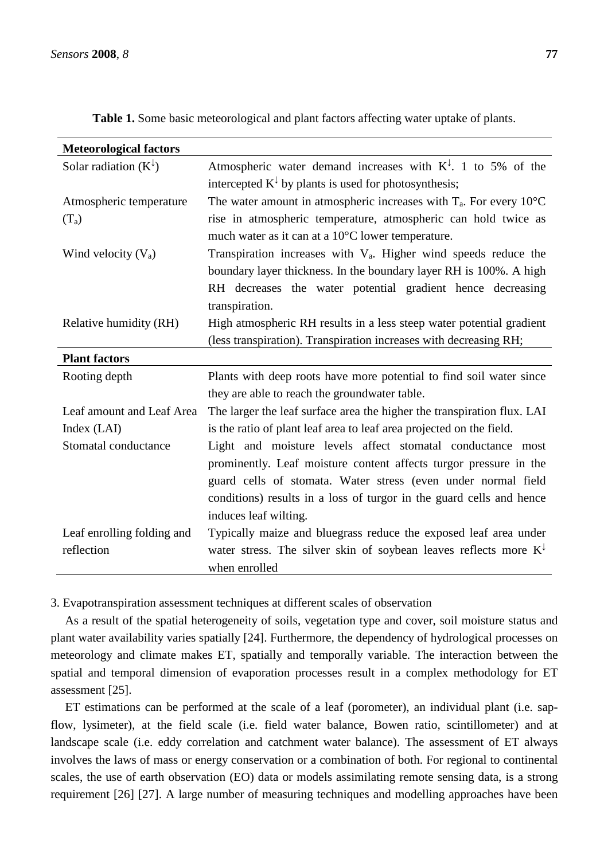**Table 1.** Some basic meteorological and plant factors affecting water uptake of plants.

| <b>Meteorological factors</b>      |                                                                                    |
|------------------------------------|------------------------------------------------------------------------------------|
| Solar radiation $(K^{\downarrow})$ | Atmospheric water demand increases with $K^{\downarrow}$ . 1 to 5% of the          |
|                                    | intercepted $K^{\downarrow}$ by plants is used for photosynthesis;                 |
| Atmospheric temperature            | The water amount in atmospheric increases with $T_a$ . For every 10 <sup>o</sup> C |
| $(T_a)$                            | rise in atmospheric temperature, atmospheric can hold twice as                     |
|                                    | much water as it can at a 10°C lower temperature.                                  |
| Wind velocity $(V_a)$              | Transpiration increases with $V_a$ . Higher wind speeds reduce the                 |
|                                    | boundary layer thickness. In the boundary layer RH is 100%. A high                 |
|                                    | RH decreases the water potential gradient hence decreasing                         |
|                                    | transpiration.                                                                     |
| Relative humidity (RH)             | High atmospheric RH results in a less steep water potential gradient               |
|                                    | (less transpiration). Transpiration increases with decreasing RH;                  |
| <b>Plant factors</b>               |                                                                                    |
| Rooting depth                      | Plants with deep roots have more potential to find soil water since                |
|                                    | they are able to reach the groundwater table.                                      |
| Leaf amount and Leaf Area          | The larger the leaf surface area the higher the transpiration flux. LAI            |
| Index (LAI)                        | is the ratio of plant leaf area to leaf area projected on the field.               |
| Stomatal conductance               | Light and moisture levels affect stomatal conductance most                         |
|                                    | prominently. Leaf moisture content affects turgor pressure in the                  |
|                                    | guard cells of stomata. Water stress (even under normal field                      |
|                                    | conditions) results in a loss of turgor in the guard cells and hence               |
|                                    | induces leaf wilting.                                                              |
| Leaf enrolling folding and         | Typically maize and bluegrass reduce the exposed leaf area under                   |
| reflection                         | water stress. The silver skin of soybean leaves reflects more $K^{\downarrow}$     |
|                                    | when enrolled                                                                      |

3. Evapotranspiration assessment techniques at different scales of observation

As a result of the spatial heterogeneity of soils, vegetation type and cover, soil moisture status and plant water availability varies spatially [24]. Furthermore, the dependency of hydrological processes on meteorology and climate makes ET, spatially and temporally variable. The interaction between the spatial and temporal dimension of evaporation processes result in a complex methodology for ET assessment [25].

ET estimations can be performed at the scale of a leaf (porometer), an individual plant (i.e. sapflow, lysimeter), at the field scale (i.e. field water balance, Bowen ratio, scintillometer) and at landscape scale (i.e. eddy correlation and catchment water balance). The assessment of ET always involves the laws of mass or energy conservation or a combination of both. For regional to continental scales, the use of earth observation (EO) data or models assimilating remote sensing data, is a strong requirement [26] [27]. A large number of measuring techniques and modelling approaches have been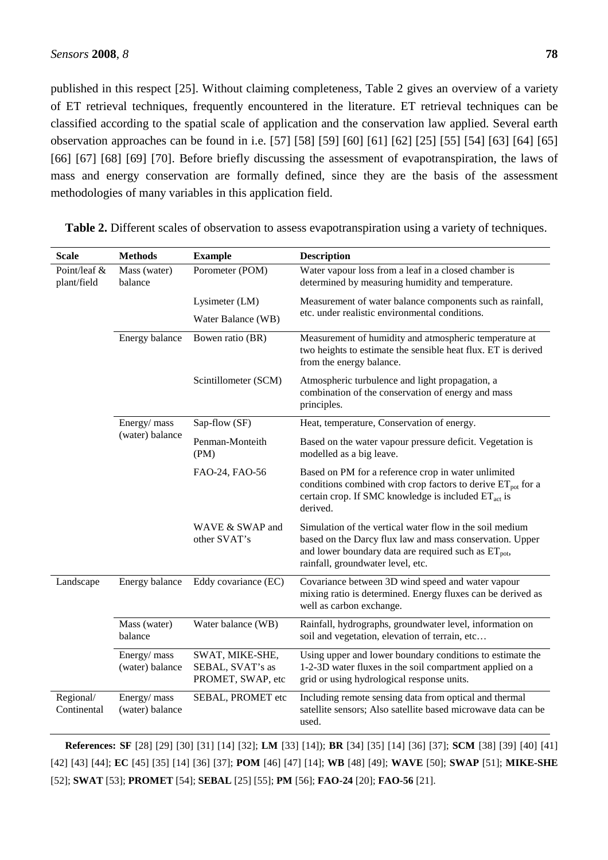published in this respect [25]. Without claiming completeness, Table 2 gives an overview of a variety of ET retrieval techniques, frequently encountered in the literature. ET retrieval techniques can be classified according to the spatial scale of application and the conservation law applied. Several earth observation approaches can be found in i.e. [57] [58] [59] [60] [61] [62] [25] [55] [54] [63] [64] [65] [66] [67] [68] [69] [70]. Before briefly discussing the assessment of evapotranspiration, the laws of mass and energy conservation are formally defined, since they are the basis of the assessment methodologies of many variables in this application field.

| <b>Scale</b>                | <b>Methods</b>                 | <b>Example</b>                                           | <b>Description</b>                                                                                                                                                                                                     |
|-----------------------------|--------------------------------|----------------------------------------------------------|------------------------------------------------------------------------------------------------------------------------------------------------------------------------------------------------------------------------|
| Point/leaf &<br>plant/field | Mass (water)<br>balance        | Porometer (POM)                                          | Water vapour loss from a leaf in a closed chamber is<br>determined by measuring humidity and temperature.                                                                                                              |
|                             |                                | Lysimeter (LM)                                           | Measurement of water balance components such as rainfall,                                                                                                                                                              |
|                             |                                | Water Balance (WB)                                       | etc. under realistic environmental conditions.                                                                                                                                                                         |
|                             | Energy balance                 | Bowen ratio (BR)                                         | Measurement of humidity and atmospheric temperature at<br>two heights to estimate the sensible heat flux. ET is derived<br>from the energy balance.                                                                    |
|                             |                                | Scintillometer (SCM)                                     | Atmospheric turbulence and light propagation, a<br>combination of the conservation of energy and mass<br>principles.                                                                                                   |
|                             | Energy/mass                    | Sap-flow (SF)                                            | Heat, temperature, Conservation of energy.                                                                                                                                                                             |
|                             | (water) balance                | Penman-Monteith<br>(PM)                                  | Based on the water vapour pressure deficit. Vegetation is<br>modelled as a big leave.                                                                                                                                  |
|                             |                                | FAO-24, FAO-56                                           | Based on PM for a reference crop in water unlimited<br>conditions combined with crop factors to derive $ET_{pot}$ for a<br>certain crop. If SMC knowledge is included ET <sub>act</sub> is<br>derived.                 |
|                             |                                | WAVE & SWAP and<br>other SVAT's                          | Simulation of the vertical water flow in the soil medium<br>based on the Darcy flux law and mass conservation. Upper<br>and lower boundary data are required such as $ET_{pot}$ ,<br>rainfall, groundwater level, etc. |
| Landscape                   | Energy balance                 | Eddy covariance (EC)                                     | Covariance between 3D wind speed and water vapour<br>mixing ratio is determined. Energy fluxes can be derived as<br>well as carbon exchange.                                                                           |
|                             | Mass (water)<br>balance        | Water balance (WB)                                       | Rainfall, hydrographs, groundwater level, information on<br>soil and vegetation, elevation of terrain, etc                                                                                                             |
|                             | Energy/mass<br>(water) balance | SWAT, MIKE-SHE,<br>SEBAL, SVAT's as<br>PROMET, SWAP, etc | Using upper and lower boundary conditions to estimate the<br>1-2-3D water fluxes in the soil compartment applied on a<br>grid or using hydrological response units.                                                    |
| Regional/<br>Continental    | Energy/mass<br>(water) balance | SEBAL, PROMET etc                                        | Including remote sensing data from optical and thermal<br>satellite sensors; Also satellite based microwave data can be<br>used.                                                                                       |

**Table 2.** Different scales of observation to assess evapotranspiration using a variety of techniques.

**References: SF** [28] [29] [30] [31] [14] [32]; **LM** [33] [14]); **BR** [34] [35] [14] [36] [37]; **SCM** [38] [39] [40] [41] [42] [43] [44]; **EC** [45] [35] [14] [36] [37]; **POM** [46] [47] [14]; **WB** [48] [49]; **WAVE** [50]; **SWAP** [51]; **MIKE-SHE** [52]; **SWAT** [53]; **PROMET** [54]; **SEBAL** [25] [55]; **PM** [56]; **FAO-24** [20]; **FAO-56** [21].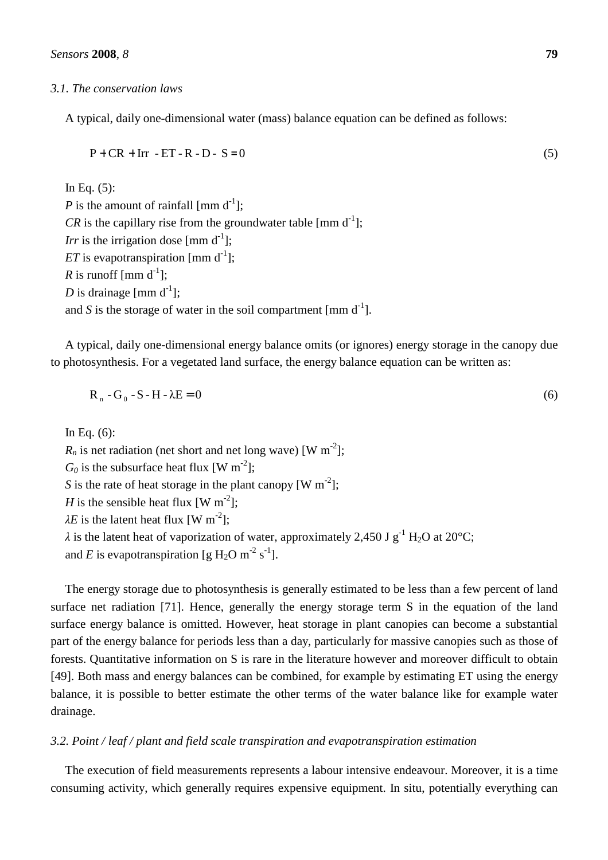## *3.1. The conservation laws*

A typical, daily one-dimensional water (mass) balance equation can be defined as follows:

$$
P + CR + Irr - ET - R - D - S = 0 \tag{5}
$$

In Eq.  $(5)$ : *P* is the amount of rainfall  $\lceil \text{mm } d^{-1} \rceil$ ; *CR* is the capillary rise from the groundwater table  $\lceil \text{mm } d^{-1} \rceil$ ; *Irr* is the irrigation dose  $\lceil \text{mm } d^{-1} \rceil$ ; *ET* is evapotranspiration  $\text{[mm d}^{-1}$ ; *R* is runoff  $\text{Imm } d^{-1}$ : *D* is drainage  $\text{[mm d}^{-1}$ ; and *S* is the storage of water in the soil compartment  $\lceil \text{mm } d^{-1} \rceil$ .

A typical, daily one-dimensional energy balance omits (or ignores) energy storage in the canopy due to photosynthesis. For a vegetated land surface, the energy balance equation can be written as:

$$
R_n - G_0 - S - H - \lambda E = 0 \tag{6}
$$

In Eq. (6):

 $R_n$  is net radiation (net short and net long wave) [W m<sup>-2</sup>];  $G_0$  is the subsurface heat flux [W m<sup>-2</sup>]; *S* is the rate of heat storage in the plant canopy  $[W \, m^2]$ ; *H* is the sensible heat flux  $[W \, m^{-2}]$ ;  $\lambda E$  is the latent heat flux [W m<sup>-2</sup>];  $\lambda$  is the latent heat of vaporization of water, approximately 2,450 J g<sup>-1</sup> H<sub>2</sub>O at 20°C; and *E* is evapotranspiration [g H<sub>2</sub>O m<sup>-2</sup> s<sup>-1</sup>].

The energy storage due to photosynthesis is generally estimated to be less than a few percent of land surface net radiation [71]. Hence, generally the energy storage term S in the equation of the land surface energy balance is omitted. However, heat storage in plant canopies can become a substantial part of the energy balance for periods less than a day, particularly for massive canopies such as those of forests. Quantitative information on S is rare in the literature however and moreover difficult to obtain [49]. Both mass and energy balances can be combined, for example by estimating ET using the energy balance, it is possible to better estimate the other terms of the water balance like for example water drainage.

#### *3.2. Point / leaf / plant and field scale transpiration and evapotranspiration estimation*

The execution of field measurements represents a labour intensive endeavour. Moreover, it is a time consuming activity, which generally requires expensive equipment. In situ, potentially everything can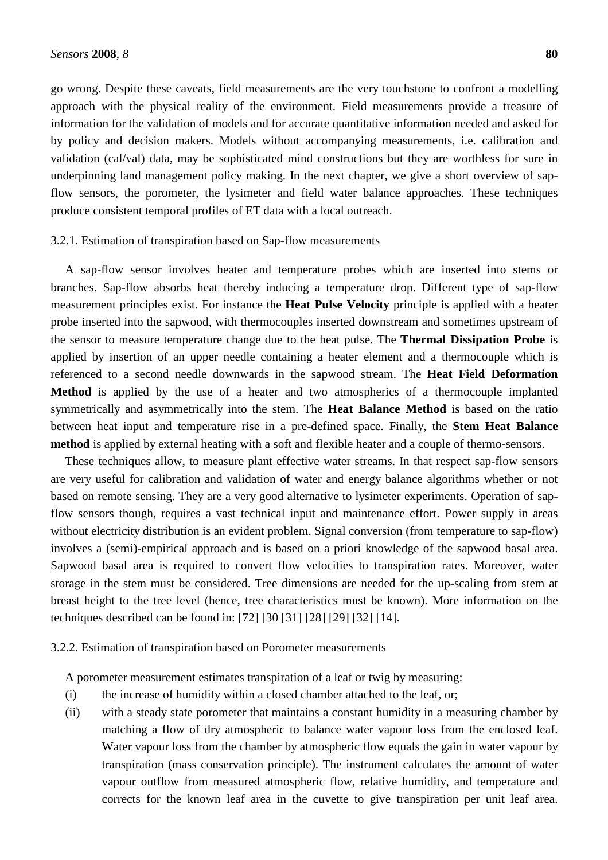go wrong. Despite these caveats, field measurements are the very touchstone to confront a modelling approach with the physical reality of the environment. Field measurements provide a treasure of information for the validation of models and for accurate quantitative information needed and asked for by policy and decision makers. Models without accompanying measurements, i.e. calibration and validation (cal/val) data, may be sophisticated mind constructions but they are worthless for sure in underpinning land management policy making. In the next chapter, we give a short overview of sapflow sensors, the porometer, the lysimeter and field water balance approaches. These techniques produce consistent temporal profiles of ET data with a local outreach.

## 3.2.1. Estimation of transpiration based on Sap-flow measurements

A sap-flow sensor involves heater and temperature probes which are inserted into stems or branches. Sap-flow absorbs heat thereby inducing a temperature drop. Different type of sap-flow measurement principles exist. For instance the **Heat Pulse Velocity** principle is applied with a heater probe inserted into the sapwood, with thermocouples inserted downstream and sometimes upstream of the sensor to measure temperature change due to the heat pulse. The **Thermal Dissipation Probe** is applied by insertion of an upper needle containing a heater element and a thermocouple which is referenced to a second needle downwards in the sapwood stream. The **Heat Field Deformation Method** is applied by the use of a heater and two atmospherics of a thermocouple implanted symmetrically and asymmetrically into the stem. The **Heat Balance Method** is based on the ratio between heat input and temperature rise in a pre-defined space. Finally, the **Stem Heat Balance method** is applied by external heating with a soft and flexible heater and a couple of thermo-sensors.

These techniques allow, to measure plant effective water streams. In that respect sap-flow sensors are very useful for calibration and validation of water and energy balance algorithms whether or not based on remote sensing. They are a very good alternative to lysimeter experiments. Operation of sapflow sensors though, requires a vast technical input and maintenance effort. Power supply in areas without electricity distribution is an evident problem. Signal conversion (from temperature to sap-flow) involves a (semi)-empirical approach and is based on a priori knowledge of the sapwood basal area. Sapwood basal area is required to convert flow velocities to transpiration rates. Moreover, water storage in the stem must be considered. Tree dimensions are needed for the up-scaling from stem at breast height to the tree level (hence, tree characteristics must be known). More information on the techniques described can be found in: [72] [30 [31] [28] [29] [32] [14].

## 3.2.2. Estimation of transpiration based on Porometer measurements

A porometer measurement estimates transpiration of a leaf or twig by measuring:

- (i) the increase of humidity within a closed chamber attached to the leaf, or;
- (ii) with a steady state porometer that maintains a constant humidity in a measuring chamber by matching a flow of dry atmospheric to balance water vapour loss from the enclosed leaf. Water vapour loss from the chamber by atmospheric flow equals the gain in water vapour by transpiration (mass conservation principle). The instrument calculates the amount of water vapour outflow from measured atmospheric flow, relative humidity, and temperature and corrects for the known leaf area in the cuvette to give transpiration per unit leaf area.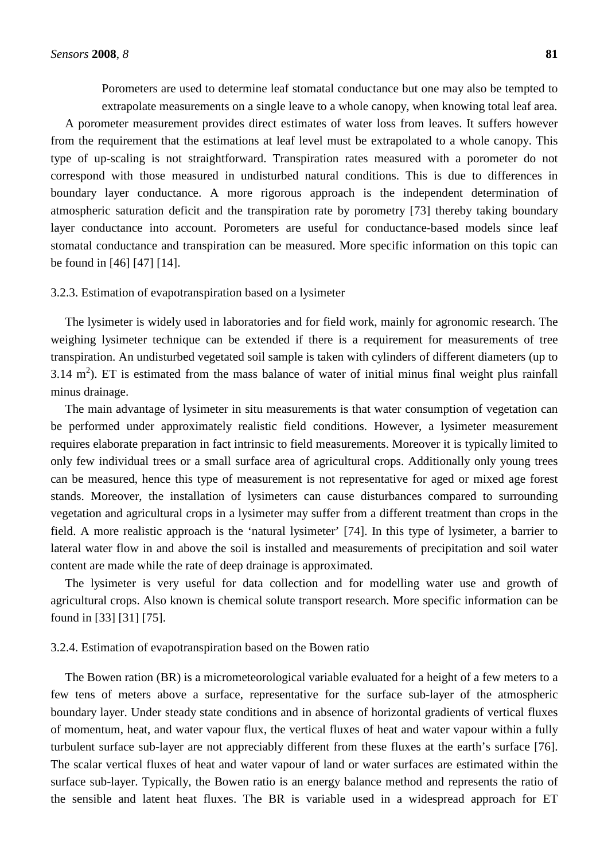Porometers are used to determine leaf stomatal conductance but one may also be tempted to

extrapolate measurements on a single leave to a whole canopy, when knowing total leaf area. A porometer measurement provides direct estimates of water loss from leaves. It suffers however from the requirement that the estimations at leaf level must be extrapolated to a whole canopy. This type of up-scaling is not straightforward. Transpiration rates measured with a porometer do not correspond with those measured in undisturbed natural conditions. This is due to differences in boundary layer conductance. A more rigorous approach is the independent determination of atmospheric saturation deficit and the transpiration rate by porometry [73] thereby taking boundary layer conductance into account. Porometers are useful for conductance-based models since leaf stomatal conductance and transpiration can be measured. More specific information on this topic can be found in [46] [47] [14].

## 3.2.3. Estimation of evapotranspiration based on a lysimeter

The lysimeter is widely used in laboratories and for field work, mainly for agronomic research. The weighing lysimeter technique can be extended if there is a requirement for measurements of tree transpiration. An undisturbed vegetated soil sample is taken with cylinders of different diameters (up to 3.14  $m<sup>2</sup>$ ). ET is estimated from the mass balance of water of initial minus final weight plus rainfall minus drainage.

The main advantage of lysimeter in situ measurements is that water consumption of vegetation can be performed under approximately realistic field conditions. However, a lysimeter measurement requires elaborate preparation in fact intrinsic to field measurements. Moreover it is typically limited to only few individual trees or a small surface area of agricultural crops. Additionally only young trees can be measured, hence this type of measurement is not representative for aged or mixed age forest stands. Moreover, the installation of lysimeters can cause disturbances compared to surrounding vegetation and agricultural crops in a lysimeter may suffer from a different treatment than crops in the field. A more realistic approach is the 'natural lysimeter' [74]. In this type of lysimeter, a barrier to lateral water flow in and above the soil is installed and measurements of precipitation and soil water content are made while the rate of deep drainage is approximated.

The lysimeter is very useful for data collection and for modelling water use and growth of agricultural crops. Also known is chemical solute transport research. More specific information can be found in [33] [31] [75].

#### 3.2.4. Estimation of evapotranspiration based on the Bowen ratio

The Bowen ration (BR) is a micrometeorological variable evaluated for a height of a few meters to a few tens of meters above a surface, representative for the surface sub-layer of the atmospheric boundary layer. Under steady state conditions and in absence of horizontal gradients of vertical fluxes of momentum, heat, and water vapour flux, the vertical fluxes of heat and water vapour within a fully turbulent surface sub-layer are not appreciably different from these fluxes at the earth's surface [76]. The scalar vertical fluxes of heat and water vapour of land or water surfaces are estimated within the surface sub-layer. Typically, the Bowen ratio is an energy balance method and represents the ratio of the sensible and latent heat fluxes. The BR is variable used in a widespread approach for ET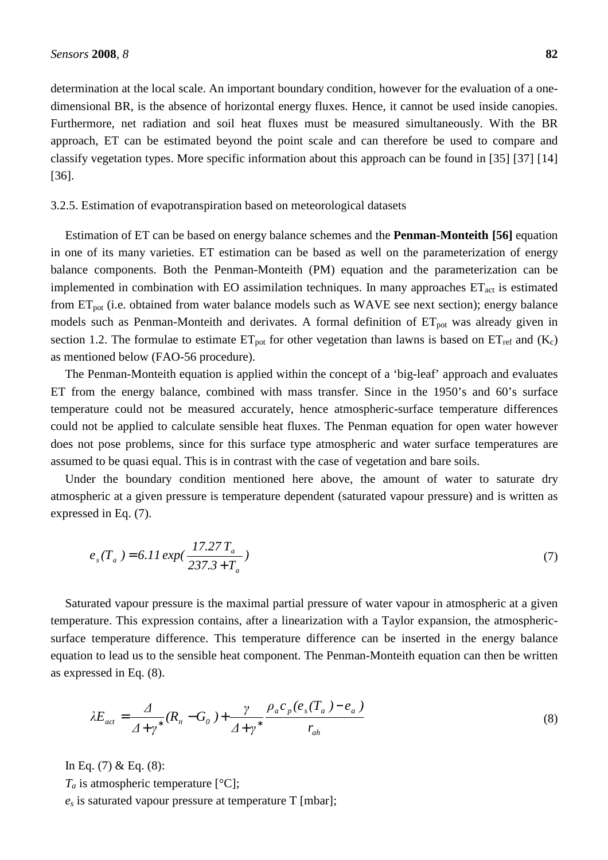determination at the local scale. An important boundary condition, however for the evaluation of a onedimensional BR, is the absence of horizontal energy fluxes. Hence, it cannot be used inside canopies. Furthermore, net radiation and soil heat fluxes must be measured simultaneously. With the BR approach, ET can be estimated beyond the point scale and can therefore be used to compare and classify vegetation types. More specific information about this approach can be found in [35] [37] [14] [36].

## 3.2.5. Estimation of evapotranspiration based on meteorological datasets

Estimation of ET can be based on energy balance schemes and the **Penman-Monteith [56]** equation in one of its many varieties. ET estimation can be based as well on the parameterization of energy balance components. Both the Penman-Monteith (PM) equation and the parameterization can be implemented in combination with EO assimilation techniques. In many approaches  $ET_{act}$  is estimated from  $ET_{pot}$  (i.e. obtained from water balance models such as WAVE see next section); energy balance models such as Penman-Monteith and derivates. A formal definition of  $ET_{pot}$  was already given in section 1.2. The formulae to estimate  $ET_{pot}$  for other vegetation than lawns is based on  $ET_{ref}$  and  $(K_c)$ as mentioned below (FAO-56 procedure).

The Penman-Monteith equation is applied within the concept of a 'big-leaf' approach and evaluates ET from the energy balance, combined with mass transfer. Since in the 1950's and 60's surface temperature could not be measured accurately, hence atmospheric-surface temperature differences could not be applied to calculate sensible heat fluxes. The Penman equation for open water however does not pose problems, since for this surface type atmospheric and water surface temperatures are assumed to be quasi equal. This is in contrast with the case of vegetation and bare soils.

Under the boundary condition mentioned here above, the amount of water to saturate dry atmospheric at a given pressure is temperature dependent (saturated vapour pressure) and is written as expressed in Eq. (7).

$$
e_s(T_a) = 6.11 \exp(\frac{17.27 T_a}{237.3 + T_a})
$$
\n(7)

Saturated vapour pressure is the maximal partial pressure of water vapour in atmospheric at a given temperature. This expression contains, after a linearization with a Taylor expansion, the atmosphericsurface temperature difference. This temperature difference can be inserted in the energy balance equation to lead us to the sensible heat component. The Penman-Monteith equation can then be written as expressed in Eq. (8).

$$
\lambda E_{act} = \frac{\Delta}{\Delta + \gamma^*} (R_n - G_0) + \frac{\gamma}{\Delta + \gamma^*} \frac{\rho_a c_p (e_s (T_a) - e_a)}{r_{ah}} \tag{8}
$$

In Eq. (7) & Eq. (8):

 $T_a$  is atmospheric temperature [ $°C$ ];

*es* is saturated vapour pressure at temperature T [mbar];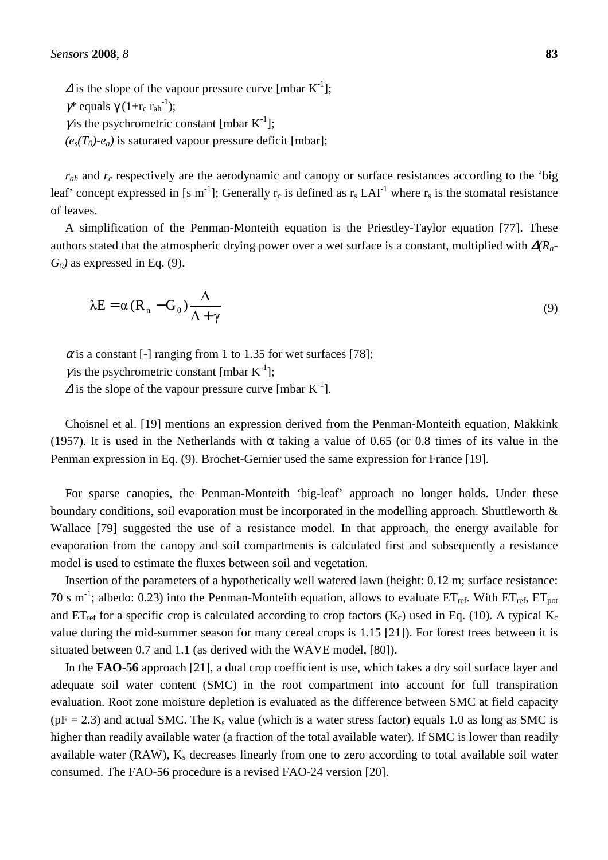$\Delta$  is the slope of the vapour pressure curve [mbar K<sup>-1</sup>];  $γ^*$  equals  $γ$  (1+r<sub>c</sub> r<sub>ah</sub><sup>-1</sup>);  $\gamma$  is the psychrometric constant [mbar K<sup>-1</sup>];  $(e_s(T_0)-e_a)$  is saturated vapour pressure deficit [mbar];

*rah* and *rc* respectively are the aerodynamic and canopy or surface resistances according to the 'big leaf' concept expressed in [s m<sup>-1</sup>]; Generally  $r_c$  is defined as  $r_s$  LAI<sup>-1</sup> where  $r_s$  is the stomatal resistance of leaves.

A simplification of the Penman-Monteith equation is the Priestley-Taylor equation [77]. These authors stated that the atmospheric drying power over a wet surface is a constant, multiplied with ∆*(Rn-* $G_0$  as expressed in Eq. (9).

$$
\lambda E = \alpha (R_n - G_0) \frac{\Delta}{\Delta + \gamma}
$$
\n(9)

 $\alpha$  is a constant [-] ranging from 1 to 1.35 for wet surfaces [78];

 $\gamma$  is the psychrometric constant [mbar K<sup>-1</sup>];

 $\Delta$  is the slope of the vapour pressure curve [mbar K<sup>-1</sup>].

Choisnel et al. [19] mentions an expression derived from the Penman-Monteith equation, Makkink (1957). It is used in the Netherlands with  $\alpha$  taking a value of 0.65 (or 0.8 times of its value in the Penman expression in Eq. (9). Brochet-Gernier used the same expression for France [19].

For sparse canopies, the Penman-Monteith 'big-leaf' approach no longer holds. Under these boundary conditions, soil evaporation must be incorporated in the modelling approach. Shuttleworth  $\&$ Wallace [79] suggested the use of a resistance model. In that approach, the energy available for evaporation from the canopy and soil compartments is calculated first and subsequently a resistance model is used to estimate the fluxes between soil and vegetation.

Insertion of the parameters of a hypothetically well watered lawn (height: 0.12 m; surface resistance: 70 s m<sup>-1</sup>; albedo: 0.23) into the Penman-Monteith equation, allows to evaluate  $ET_{ref}$ . With  $ET_{ref}$ ,  $ET_{pot}$ and  $ET_{ref}$  for a specific crop is calculated according to crop factors (K<sub>c</sub>) used in Eq. (10). A typical K<sub>c</sub> value during the mid-summer season for many cereal crops is 1.15 [21]). For forest trees between it is situated between 0.7 and 1.1 (as derived with the WAVE model, [80]).

In the **FAO-56** approach [21], a dual crop coefficient is use, which takes a dry soil surface layer and adequate soil water content (SMC) in the root compartment into account for full transpiration evaluation. Root zone moisture depletion is evaluated as the difference between SMC at field capacity  $(pF = 2.3)$  and actual SMC. The K<sub>s</sub> value (which is a water stress factor) equals 1.0 as long as SMC is higher than readily available water (a fraction of the total available water). If SMC is lower than readily available water (RAW),  $K_s$  decreases linearly from one to zero according to total available soil water consumed. The FAO-56 procedure is a revised FAO-24 version [20].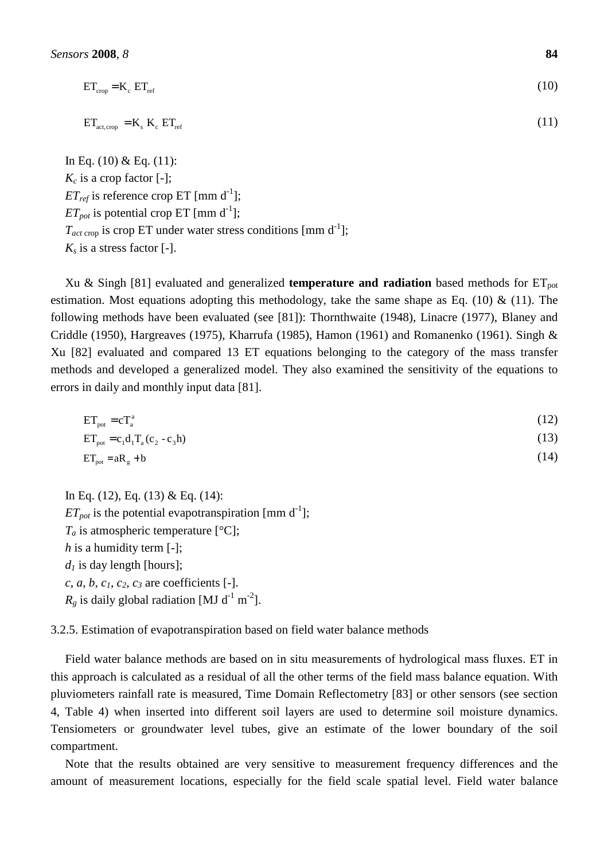$$
ET_{\rm crop} = K_{\rm c} ET_{\rm ref} \tag{10}
$$

$$
ET_{\text{act, crop}} = K_{\text{s}} K_{\text{c}} ET_{\text{ref}} \tag{11}
$$

In Eq. (10) & Eq. (11):  $K_c$  is a crop factor [-];  $ET_{ref}$  is reference crop ET [mm d<sup>-1</sup>];  $ET_{pot}$  is potential crop ET [mm d<sup>-1</sup>];  $T_{act\, crop}$  is crop ET under water stress conditions [mm d<sup>-1</sup>];  $K_s$  is a stress factor [-].

Xu & Singh [81] evaluated and generalized **temperature and radiation** based methods for  $ET_{pot}$ estimation. Most equations adopting this methodology, take the same shape as Eq. (10)  $\&$  (11). The following methods have been evaluated (see [81]): Thornthwaite (1948), Linacre (1977), Blaney and Criddle (1950), Hargreaves (1975), Kharrufa (1985), Hamon (1961) and Romanenko (1961). Singh & Xu [82] evaluated and compared 13 ET equations belonging to the category of the mass transfer methods and developed a generalized model. They also examined the sensitivity of the equations to errors in daily and monthly input data [81].

$$
ET_{pot} = cT_a^a
$$
 (12)  
ET = c d T (c, -c, h) (13)

$$
ET_{pot} = c_1 d_1 T_a (c_2 - c_3 h)
$$
\n
$$
ET_{pot} = aR_g + b
$$
\n(13)

In Eq. (12), Eq. (13) & Eq. (14):  $ET_{pot}$  is the potential evapotranspiration [mm d<sup>-1</sup>];  $T_a$  is atmospheric temperature  $[°C]$ ; *h* is a humidity term [-];  $d_1$  is day length [hours]: *c, a, b, c<sub>1</sub>, c<sub>2</sub>, c<sub>3</sub> are coefficients [-].*  $R_g$  is daily global radiation [MJ d<sup>-1</sup> m<sup>-2</sup>].

3.2.5. Estimation of evapotranspiration based on field water balance methods

Field water balance methods are based on in situ measurements of hydrological mass fluxes. ET in this approach is calculated as a residual of all the other terms of the field mass balance equation. With pluviometers rainfall rate is measured, Time Domain Reflectometry [83] or other sensors (see section 4, Table 4) when inserted into different soil layers are used to determine soil moisture dynamics. Tensiometers or groundwater level tubes, give an estimate of the lower boundary of the soil compartment.

Note that the results obtained are very sensitive to measurement frequency differences and the amount of measurement locations, especially for the field scale spatial level. Field water balance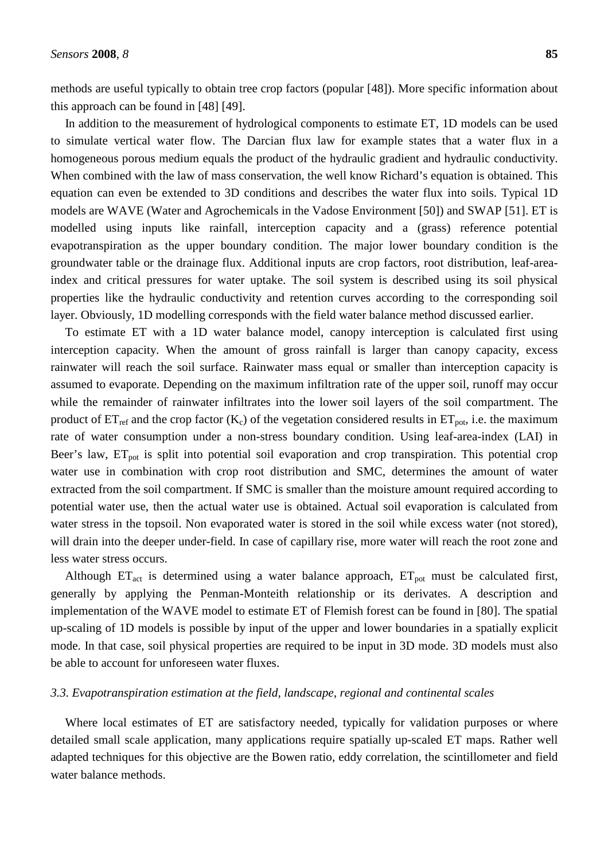methods are useful typically to obtain tree crop factors (popular [48]). More specific information about this approach can be found in [48] [49].

In addition to the measurement of hydrological components to estimate ET, 1D models can be used to simulate vertical water flow. The Darcian flux law for example states that a water flux in a homogeneous porous medium equals the product of the hydraulic gradient and hydraulic conductivity. When combined with the law of mass conservation, the well know Richard's equation is obtained. This equation can even be extended to 3D conditions and describes the water flux into soils. Typical 1D models are WAVE (Water and Agrochemicals in the Vadose Environment [50]) and SWAP [51]. ET is modelled using inputs like rainfall, interception capacity and a (grass) reference potential evapotranspiration as the upper boundary condition. The major lower boundary condition is the groundwater table or the drainage flux. Additional inputs are crop factors, root distribution, leaf-areaindex and critical pressures for water uptake. The soil system is described using its soil physical properties like the hydraulic conductivity and retention curves according to the corresponding soil layer. Obviously, 1D modelling corresponds with the field water balance method discussed earlier.

To estimate ET with a 1D water balance model, canopy interception is calculated first using interception capacity. When the amount of gross rainfall is larger than canopy capacity, excess rainwater will reach the soil surface. Rainwater mass equal or smaller than interception capacity is assumed to evaporate. Depending on the maximum infiltration rate of the upper soil, runoff may occur while the remainder of rainwater infiltrates into the lower soil layers of the soil compartment. The product of  $ET_{ref}$  and the crop factor (K<sub>c</sub>) of the vegetation considered results in  $ET_{pot}$ , i.e. the maximum rate of water consumption under a non-stress boundary condition. Using leaf-area-index (LAI) in Beer's law,  $ET_{pot}$  is split into potential soil evaporation and crop transpiration. This potential crop water use in combination with crop root distribution and SMC, determines the amount of water extracted from the soil compartment. If SMC is smaller than the moisture amount required according to potential water use, then the actual water use is obtained. Actual soil evaporation is calculated from water stress in the topsoil. Non evaporated water is stored in the soil while excess water (not stored), will drain into the deeper under-field. In case of capillary rise, more water will reach the root zone and less water stress occurs.

Although  $ET_{act}$  is determined using a water balance approach,  $ET_{pot}$  must be calculated first, generally by applying the Penman-Monteith relationship or its derivates. A description and implementation of the WAVE model to estimate ET of Flemish forest can be found in [80]. The spatial up-scaling of 1D models is possible by input of the upper and lower boundaries in a spatially explicit mode. In that case, soil physical properties are required to be input in 3D mode. 3D models must also be able to account for unforeseen water fluxes.

## *3.3. Evapotranspiration estimation at the field, landscape, regional and continental scales*

Where local estimates of ET are satisfactory needed, typically for validation purposes or where detailed small scale application, many applications require spatially up-scaled ET maps. Rather well adapted techniques for this objective are the Bowen ratio, eddy correlation, the scintillometer and field water balance methods.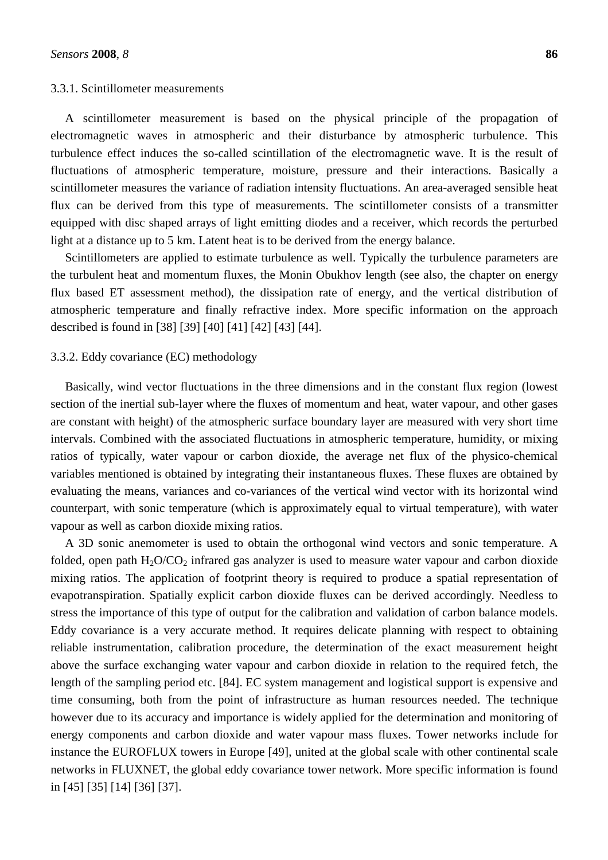### 3.3.1. Scintillometer measurements

A scintillometer measurement is based on the physical principle of the propagation of electromagnetic waves in atmospheric and their disturbance by atmospheric turbulence. This turbulence effect induces the so-called scintillation of the electromagnetic wave. It is the result of fluctuations of atmospheric temperature, moisture, pressure and their interactions. Basically a scintillometer measures the variance of radiation intensity fluctuations. An area-averaged sensible heat flux can be derived from this type of measurements. The scintillometer consists of a transmitter equipped with disc shaped arrays of light emitting diodes and a receiver, which records the perturbed light at a distance up to 5 km. Latent heat is to be derived from the energy balance.

Scintillometers are applied to estimate turbulence as well. Typically the turbulence parameters are the turbulent heat and momentum fluxes, the Monin Obukhov length (see also, the chapter on energy flux based ET assessment method), the dissipation rate of energy, and the vertical distribution of atmospheric temperature and finally refractive index. More specific information on the approach described is found in [38] [39] [40] [41] [42] [43] [44].

## 3.3.2. Eddy covariance (EC) methodology

Basically, wind vector fluctuations in the three dimensions and in the constant flux region (lowest section of the inertial sub-layer where the fluxes of momentum and heat, water vapour, and other gases are constant with height) of the atmospheric surface boundary layer are measured with very short time intervals. Combined with the associated fluctuations in atmospheric temperature, humidity, or mixing ratios of typically, water vapour or carbon dioxide, the average net flux of the physico-chemical variables mentioned is obtained by integrating their instantaneous fluxes. These fluxes are obtained by evaluating the means, variances and co-variances of the vertical wind vector with its horizontal wind counterpart, with sonic temperature (which is approximately equal to virtual temperature), with water vapour as well as carbon dioxide mixing ratios.

A 3D sonic anemometer is used to obtain the orthogonal wind vectors and sonic temperature. A folded, open path  $H_2O/CO_2$  infrared gas analyzer is used to measure water vapour and carbon dioxide mixing ratios. The application of footprint theory is required to produce a spatial representation of evapotranspiration. Spatially explicit carbon dioxide fluxes can be derived accordingly. Needless to stress the importance of this type of output for the calibration and validation of carbon balance models. Eddy covariance is a very accurate method. It requires delicate planning with respect to obtaining reliable instrumentation, calibration procedure, the determination of the exact measurement height above the surface exchanging water vapour and carbon dioxide in relation to the required fetch, the length of the sampling period etc. [84]. EC system management and logistical support is expensive and time consuming, both from the point of infrastructure as human resources needed. The technique however due to its accuracy and importance is widely applied for the determination and monitoring of energy components and carbon dioxide and water vapour mass fluxes. Tower networks include for instance the EUROFLUX towers in Europe [49], united at the global scale with other continental scale networks in FLUXNET, the global eddy covariance tower network. More specific information is found in [45] [35] [14] [36] [37].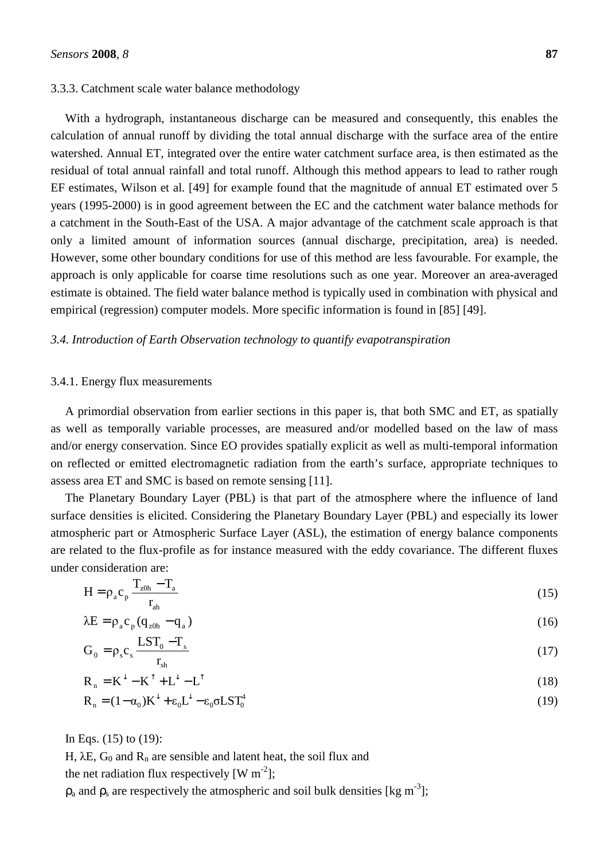## 3.3.3. Catchment scale water balance methodology

With a hydrograph, instantaneous discharge can be measured and consequently, this enables the calculation of annual runoff by dividing the total annual discharge with the surface area of the entire watershed. Annual ET, integrated over the entire water catchment surface area, is then estimated as the residual of total annual rainfall and total runoff. Although this method appears to lead to rather rough EF estimates, Wilson et al. [49] for example found that the magnitude of annual ET estimated over 5 years (1995-2000) is in good agreement between the EC and the catchment water balance methods for a catchment in the South-East of the USA. A major advantage of the catchment scale approach is that only a limited amount of information sources (annual discharge, precipitation, area) is needed. However, some other boundary conditions for use of this method are less favourable. For example, the approach is only applicable for coarse time resolutions such as one year. Moreover an area-averaged estimate is obtained. The field water balance method is typically used in combination with physical and empirical (regression) computer models. More specific information is found in [85] [49].

## *3.4. Introduction of Earth Observation technology to quantify evapotranspiration*

## 3.4.1. Energy flux measurements

A primordial observation from earlier sections in this paper is, that both SMC and ET, as spatially as well as temporally variable processes, are measured and/or modelled based on the law of mass and/or energy conservation. Since EO provides spatially explicit as well as multi-temporal information on reflected or emitted electromagnetic radiation from the earth's surface, appropriate techniques to assess area ET and SMC is based on remote sensing [11].

The Planetary Boundary Layer (PBL) is that part of the atmosphere where the influence of land surface densities is elicited. Considering the Planetary Boundary Layer (PBL) and especially its lower atmospheric part or Atmospheric Surface Layer (ASL), the estimation of energy balance components are related to the flux-profile as for instance measured with the eddy covariance. The different fluxes under consideration are:

$$
H = \rho_a c_p \frac{T_{z0h} - T_a}{r_{ah}}
$$
 (15)

$$
\lambda E = \rho_a c_p (q_{z0h} - q_a)
$$
 (16)

$$
G_0 = \rho_s c_s \frac{LST_0 - T_s}{r_{sh}}
$$
 (17)

$$
R_n = K^{\downarrow} - K^{\uparrow} + L^{\downarrow} - L^{\uparrow}
$$
\n(18)

$$
\mathbf{R}_{n} = (1 - \alpha_{0})\mathbf{K}^{\downarrow} + \varepsilon_{0}\mathbf{L}^{\downarrow} - \varepsilon_{0}\sigma\mathbf{L}\mathbf{S}T_{0}^{4}
$$
\n(19)

In Eqs. (15) to (19):

H,  $\lambda$ E, G<sub>0</sub> and R<sub>n</sub> are sensible and latent heat, the soil flux and the net radiation flux respectively  $\rm [W \, m^{-2}];$ 

 $\rho_a$  and  $\rho_s$  are respectively the atmospheric and soil bulk densities [kg m<sup>-3</sup>];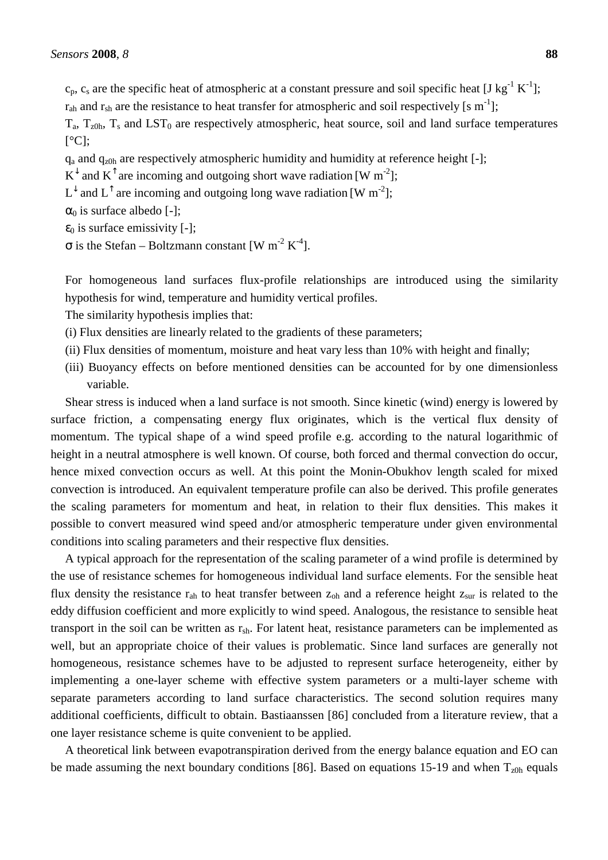$c_p$ ,  $c_s$  are the specific heat of atmospheric at a constant pressure and soil specific heat [J kg<sup>-1</sup> K<sup>-1</sup>];  $r_{ab}$  and  $r_{sb}$  are the resistance to heat transfer for atmospheric and soil respectively [s m<sup>-1</sup>];

 $T_a$ ,  $T_{z0h}$ ,  $T_s$  and LST<sub>0</sub> are respectively atmospheric, heat source, soil and land surface temperatures  $[°C]$ :

 $q_a$  and  $q_{z0h}$  are respectively atmospheric humidity and humidity at reference height [-];

 $K^{\downarrow}$  and  $K^{\uparrow}$  are incoming and outgoing short wave radiation [W m<sup>-2</sup>];

 $L^{\downarrow}$  and  $L^{\uparrow}$  are incoming and outgoing long wave radiation [W m<sup>-2</sup>];

 $\alpha_0$  is surface albedo [-];

 $\varepsilon_0$  is surface emissivity [-];

 $\sigma$  is the Stefan – Boltzmann constant [W m<sup>-2</sup> K<sup>-4</sup>].

For homogeneous land surfaces flux-profile relationships are introduced using the similarity hypothesis for wind, temperature and humidity vertical profiles.

The similarity hypothesis implies that:

(i) Flux densities are linearly related to the gradients of these parameters;

(ii) Flux densities of momentum, moisture and heat vary less than 10% with height and finally;

(iii) Buoyancy effects on before mentioned densities can be accounted for by one dimensionless variable.

Shear stress is induced when a land surface is not smooth. Since kinetic (wind) energy is lowered by surface friction, a compensating energy flux originates, which is the vertical flux density of momentum. The typical shape of a wind speed profile e.g. according to the natural logarithmic of height in a neutral atmosphere is well known. Of course, both forced and thermal convection do occur, hence mixed convection occurs as well. At this point the Monin-Obukhov length scaled for mixed convection is introduced. An equivalent temperature profile can also be derived. This profile generates the scaling parameters for momentum and heat, in relation to their flux densities. This makes it possible to convert measured wind speed and/or atmospheric temperature under given environmental conditions into scaling parameters and their respective flux densities.

A typical approach for the representation of the scaling parameter of a wind profile is determined by the use of resistance schemes for homogeneous individual land surface elements. For the sensible heat flux density the resistance  $r_{ah}$  to heat transfer between  $z_{oh}$  and a reference height  $z_{sur}$  is related to the eddy diffusion coefficient and more explicitly to wind speed. Analogous, the resistance to sensible heat transport in the soil can be written as  $r_{sh}$ . For latent heat, resistance parameters can be implemented as well, but an appropriate choice of their values is problematic. Since land surfaces are generally not homogeneous, resistance schemes have to be adjusted to represent surface heterogeneity, either by implementing a one-layer scheme with effective system parameters or a multi-layer scheme with separate parameters according to land surface characteristics. The second solution requires many additional coefficients, difficult to obtain. Bastiaanssen [86] concluded from a literature review, that a one layer resistance scheme is quite convenient to be applied.

A theoretical link between evapotranspiration derived from the energy balance equation and EO can be made assuming the next boundary conditions [86]. Based on equations 15-19 and when  $T_{z0h}$  equals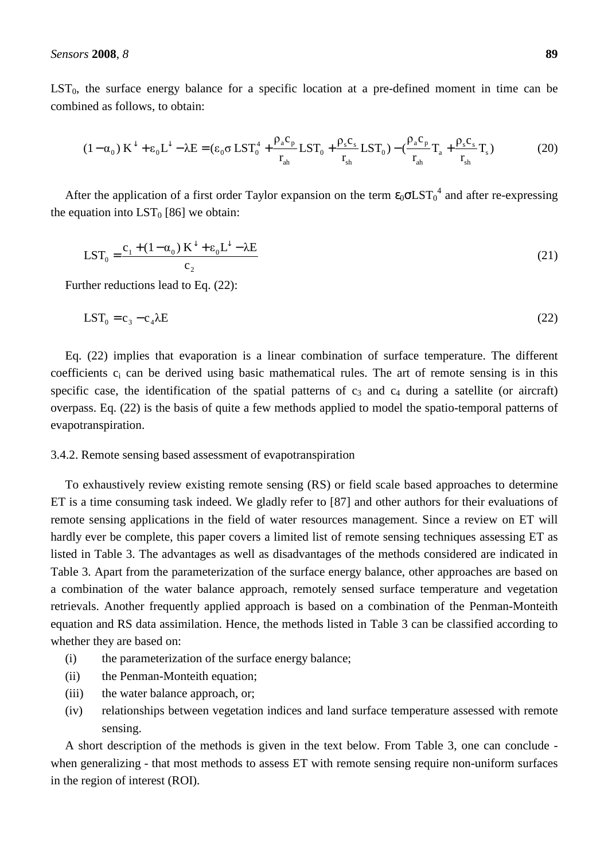$LST_0$ , the surface energy balance for a specific location at a pre-defined moment in time can be combined as follows, to obtain:

$$
(1 - \alpha_0) K^{\downarrow} + \varepsilon_0 L^{\downarrow} - \lambda E = (\varepsilon_0 \sigma L S T_0^4 + \frac{\rho_a c_p}{r_{ah}} L S T_0 + \frac{\rho_s c_s}{r_{sh}} L S T_0) - (\frac{\rho_a c_p}{r_{ah}} T_a + \frac{\rho_s c_s}{r_{sh}} T_s)
$$
(20)

After the application of a first order Taylor expansion on the term  $\epsilon_0 \sigma LST_0^4$  and after re-expressing the equation into  $LST_0$  [86] we obtain:

$$
LST_0 = \frac{c_1 + (1 - \alpha_0) K^{\downarrow} + \varepsilon_0 L^{\downarrow} - \lambda E}{c_2}
$$
 (21)

Further reductions lead to Eq. (22):

$$
LST_0 = c_3 - c_4 \lambda E \tag{22}
$$

Eq. (22) implies that evaporation is a linear combination of surface temperature. The different coefficients  $c_i$  can be derived using basic mathematical rules. The art of remote sensing is in this specific case, the identification of the spatial patterns of  $c_3$  and  $c_4$  during a satellite (or aircraft) overpass. Eq. (22) is the basis of quite a few methods applied to model the spatio-temporal patterns of evapotranspiration.

## 3.4.2. Remote sensing based assessment of evapotranspiration

To exhaustively review existing remote sensing (RS) or field scale based approaches to determine ET is a time consuming task indeed. We gladly refer to [87] and other authors for their evaluations of remote sensing applications in the field of water resources management. Since a review on ET will hardly ever be complete, this paper covers a limited list of remote sensing techniques assessing ET as listed in Table 3. The advantages as well as disadvantages of the methods considered are indicated in Table 3. Apart from the parameterization of the surface energy balance, other approaches are based on a combination of the water balance approach, remotely sensed surface temperature and vegetation retrievals. Another frequently applied approach is based on a combination of the Penman-Monteith equation and RS data assimilation. Hence, the methods listed in Table 3 can be classified according to whether they are based on:

- (i) the parameterization of the surface energy balance;
- (ii) the Penman-Monteith equation;
- (iii) the water balance approach, or;
- (iv) relationships between vegetation indices and land surface temperature assessed with remote sensing.

A short description of the methods is given in the text below. From Table 3, one can conclude when generalizing - that most methods to assess ET with remote sensing require non-uniform surfaces in the region of interest (ROI).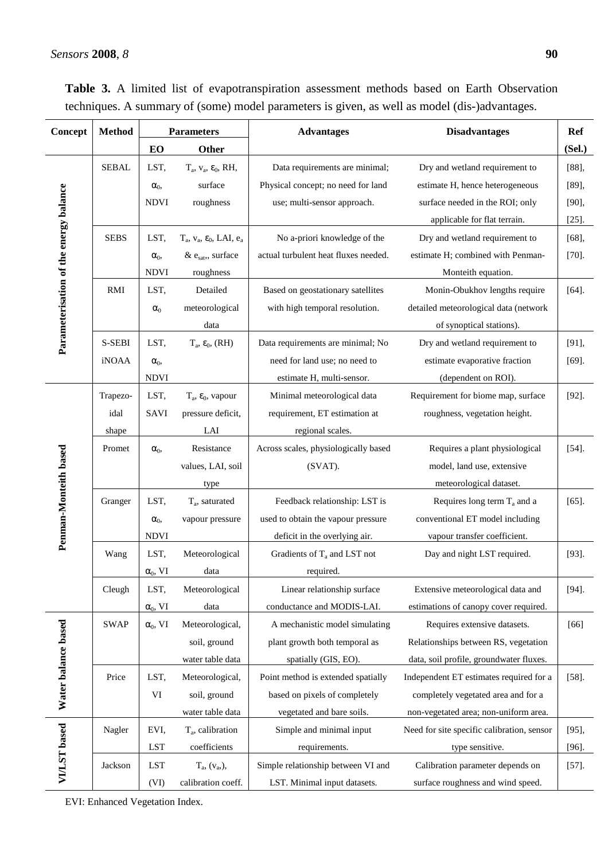| Concept                                | <b>Method</b> |                 | <b>Parameters</b>                            | <b>Advantages</b>                       | <b>Disadvantages</b>                       | <b>Ref</b> |
|----------------------------------------|---------------|-----------------|----------------------------------------------|-----------------------------------------|--------------------------------------------|------------|
|                                        |               | EO              | Other                                        |                                         |                                            | (Sel.)     |
|                                        | <b>SEBAL</b>  | LST,            | $T_a$ , $v_a$ , $\varepsilon_0$ , RH,        | Data requirements are minimal;          | Dry and wetland requirement to             | $[88]$ ,   |
|                                        |               | $\alpha_0$      | surface                                      | Physical concept; no need for land      | estimate H, hence heterogeneous            | $[89]$ ,   |
|                                        |               | <b>NDVI</b>     | roughness                                    | use; multi-sensor approach.             | surface needed in the ROI; only            | [90],      |
|                                        |               |                 |                                              |                                         | applicable for flat terrain.               | $[25]$ .   |
|                                        | <b>SEBS</b>   | LST,            | $T_a$ , $v_a$ , $\varepsilon_0$ , LAI, $e_a$ | No a-priori knowledge of the            | Dry and wetland requirement to             | $[68]$ ,   |
|                                        |               | $\alpha_0$      | $\&$ e <sub>sat</sub> , surface              | actual turbulent heat fluxes needed.    | estimate H; combined with Penman-          | $[70]$ .   |
| Parameterisation of the energy balance |               | <b>NDVI</b>     | roughness                                    |                                         | Monteith equation.                         |            |
|                                        | RMI           | LST,            | Detailed                                     | Based on geostationary satellites       | Monin-Obukhov lengths require              | $[64]$     |
|                                        |               | $\alpha_0$      | meteorological                               | with high temporal resolution.          | detailed meteorological data (network      |            |
|                                        |               |                 | data                                         |                                         | of synoptical stations).                   |            |
|                                        | S-SEBI        | LST,            | $T_a$ , $\varepsilon_0$ , (RH)               | Data requirements are minimal; No       | Dry and wetland requirement to             | $[91]$ ,   |
|                                        | <b>iNOAA</b>  | $\alpha_0$      |                                              | need for land use; no need to           | estimate evaporative fraction              | $[69]$ .   |
|                                        |               | <b>NDVI</b>     |                                              | estimate H, multi-sensor.               | (dependent on ROI).                        |            |
|                                        | Trapezo-      | LST,            | $T_a$ , $\varepsilon_0$ , vapour             | Minimal meteorological data             | Requirement for biome map, surface         | $[92]$ .   |
|                                        | idal          | SAVI            | pressure deficit,                            | requirement, ET estimation at           | roughness, vegetation height.              |            |
|                                        | shape         |                 | LAI                                          | regional scales.                        |                                            |            |
|                                        | Promet        | $\alpha_0$      | Resistance                                   | Across scales, physiologically based    | Requires a plant physiological             | $[54]$     |
|                                        |               |                 | values, LAI, soil                            | (SVAT).                                 | model, land use, extensive                 |            |
|                                        |               |                 | type                                         |                                         | meteorological dataset.                    |            |
| Penman-Monteith based                  | Granger       | LST,            | T <sub>a</sub> , saturated                   | Feedback relationship: LST is           | Requires long term $T_a$ and a             | $[65]$ .   |
|                                        |               | $\alpha_0$      | vapour pressure                              | used to obtain the vapour pressure      | conventional ET model including            |            |
|                                        |               | <b>NDVI</b>     |                                              | deficit in the overlying air.           | vapour transfer coefficient.               |            |
|                                        | Wang          | LST,            | Meteorological                               | Gradients of T <sub>a</sub> and LST not | Day and night LST required.                | $[93]$ .   |
|                                        |               | $\alpha_0$ , VI | data                                         | required.                               |                                            |            |
|                                        | Cleugh        | LST,            | Meteorological                               | Linear relationship surface             | Extensive meteorological data and          | $[94]$ .   |
|                                        |               | $\alpha_0$ , VI | data                                         | conductance and MODIS-LAI.              | estimations of canopy cover required.      |            |
|                                        | <b>SWAP</b>   | $\alpha_0$ , VI | Meteorological,                              | A mechanistic model simulating          | Requires extensive datasets.               | $[66]$     |
|                                        |               |                 | soil, ground                                 | plant growth both temporal as           | Relationships between RS, vegetation       |            |
|                                        |               |                 | water table data                             | spatially (GIS, EO).                    | data, soil profile, groundwater fluxes.    |            |
| Water balance based                    | Price         | LST,            | Meteorological,                              | Point method is extended spatially      | Independent ET estimates required for a    | $[58]$ .   |
|                                        |               | VI              | soil, ground                                 | based on pixels of completely           | completely vegetated area and for a        |            |
|                                        |               |                 | water table data                             | vegetated and bare soils.               | non-vegetated area; non-uniform area.      |            |
|                                        | Nagler        | EVI,            | $T_a$ , calibration                          | Simple and minimal input                | Need for site specific calibration, sensor | $[95]$ ,   |
|                                        |               | LST             | coefficients                                 | requirements.                           | type sensitive.                            | [96]       |
| VI/LST based                           | Jackson       | LST             | $T_{a}, (v_{a},),$                           | Simple relationship between VI and      | Calibration parameter depends on           | $[57]$ .   |
|                                        |               | (VI)            | calibration coeff.                           | LST. Minimal input datasets.            | surface roughness and wind speed.          |            |

**Table 3.** A limited list of evapotranspiration assessment methods based on Earth Observation techniques. A summary of (some) model parameters is given, as well as model (dis-)advantages.

EVI: Enhanced Vegetation Index.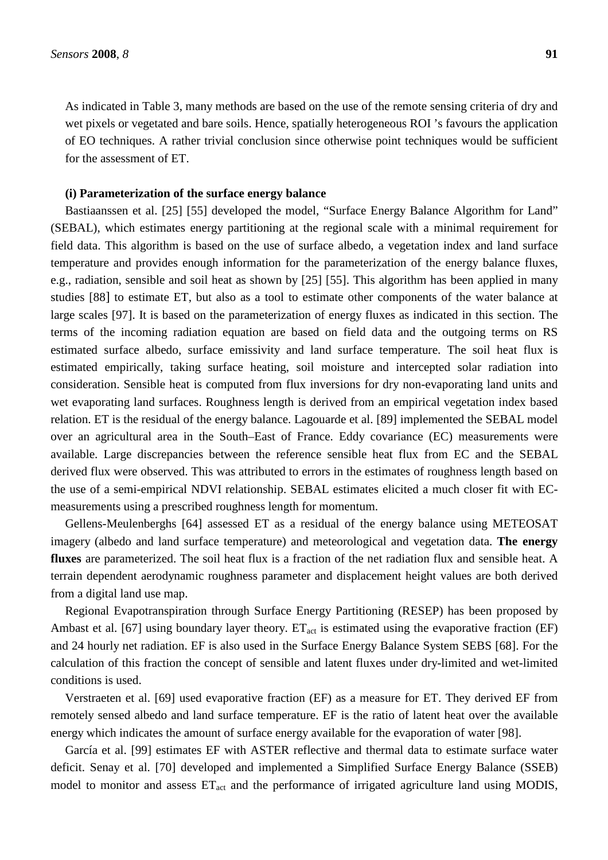As indicated in Table 3, many methods are based on the use of the remote sensing criteria of dry and wet pixels or vegetated and bare soils. Hence, spatially heterogeneous ROI 's favours the application of EO techniques. A rather trivial conclusion since otherwise point techniques would be sufficient for the assessment of ET.

## **(i) Parameterization of the surface energy balance**

Bastiaanssen et al. [25] [55] developed the model, "Surface Energy Balance Algorithm for Land" (SEBAL), which estimates energy partitioning at the regional scale with a minimal requirement for field data. This algorithm is based on the use of surface albedo, a vegetation index and land surface temperature and provides enough information for the parameterization of the energy balance fluxes, e.g., radiation, sensible and soil heat as shown by [25] [55]. This algorithm has been applied in many studies [88] to estimate ET, but also as a tool to estimate other components of the water balance at large scales [97]. It is based on the parameterization of energy fluxes as indicated in this section. The terms of the incoming radiation equation are based on field data and the outgoing terms on RS estimated surface albedo, surface emissivity and land surface temperature. The soil heat flux is estimated empirically, taking surface heating, soil moisture and intercepted solar radiation into consideration. Sensible heat is computed from flux inversions for dry non-evaporating land units and wet evaporating land surfaces. Roughness length is derived from an empirical vegetation index based relation. ET is the residual of the energy balance. Lagouarde et al. [89] implemented the SEBAL model over an agricultural area in the South–East of France. Eddy covariance (EC) measurements were available. Large discrepancies between the reference sensible heat flux from EC and the SEBAL derived flux were observed. This was attributed to errors in the estimates of roughness length based on the use of a semi-empirical NDVI relationship. SEBAL estimates elicited a much closer fit with ECmeasurements using a prescribed roughness length for momentum.

Gellens-Meulenberghs [64] assessed ET as a residual of the energy balance using METEOSAT imagery (albedo and land surface temperature) and meteorological and vegetation data. **The energy fluxes** are parameterized. The soil heat flux is a fraction of the net radiation flux and sensible heat. A terrain dependent aerodynamic roughness parameter and displacement height values are both derived from a digital land use map.

Regional Evapotranspiration through Surface Energy Partitioning (RESEP) has been proposed by Ambast et al. [67] using boundary layer theory.  $ET_{act}$  is estimated using the evaporative fraction (EF) and 24 hourly net radiation. EF is also used in the Surface Energy Balance System SEBS [68]. For the calculation of this fraction the concept of sensible and latent fluxes under dry-limited and wet-limited conditions is used.

Verstraeten et al. [69] used evaporative fraction (EF) as a measure for ET. They derived EF from remotely sensed albedo and land surface temperature. EF is the ratio of latent heat over the available energy which indicates the amount of surface energy available for the evaporation of water [98].

García et al. [99] estimates EF with ASTER reflective and thermal data to estimate surface water deficit. Senay et al. [70] developed and implemented a Simplified Surface Energy Balance (SSEB) model to monitor and assess  $ET_{act}$  and the performance of irrigated agriculture land using MODIS,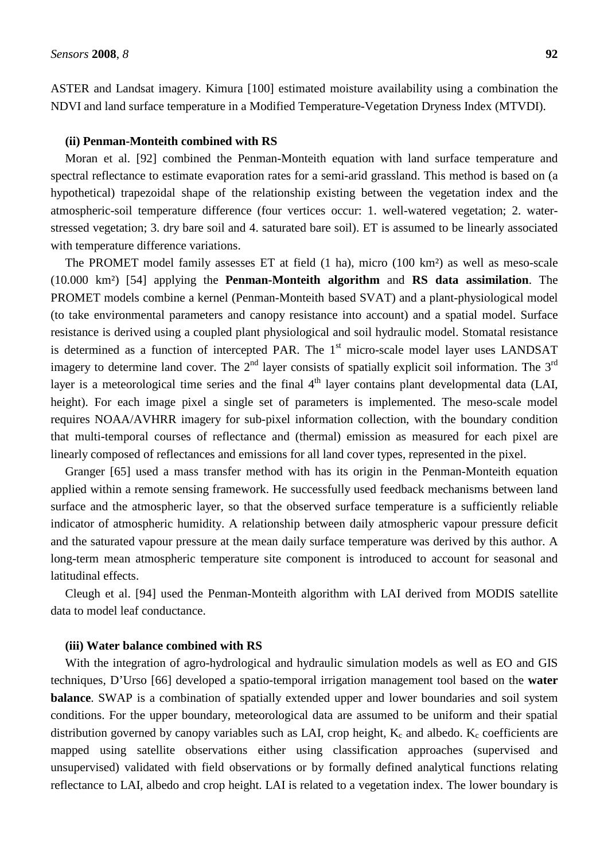ASTER and Landsat imagery. Kimura [100] estimated moisture availability using a combination the NDVI and land surface temperature in a Modified Temperature-Vegetation Dryness Index (MTVDI).

## **(ii) Penman-Monteith combined with RS**

Moran et al. [92] combined the Penman-Monteith equation with land surface temperature and spectral reflectance to estimate evaporation rates for a semi-arid grassland. This method is based on (a hypothetical) trapezoidal shape of the relationship existing between the vegetation index and the atmospheric-soil temperature difference (four vertices occur: 1. well-watered vegetation; 2. waterstressed vegetation; 3. dry bare soil and 4. saturated bare soil). ET is assumed to be linearly associated with temperature difference variations.

The PROMET model family assesses ET at field (1 ha), micro (100 km²) as well as meso-scale (10.000 km²) [54] applying the **Penman-Monteith algorithm** and **RS data assimilation**. The PROMET models combine a kernel (Penman-Monteith based SVAT) and a plant-physiological model (to take environmental parameters and canopy resistance into account) and a spatial model. Surface resistance is derived using a coupled plant physiological and soil hydraulic model. Stomatal resistance is determined as a function of intercepted PAR. The  $1<sup>st</sup>$  micro-scale model layer uses LANDSAT imagery to determine land cover. The  $2<sup>nd</sup>$  layer consists of spatially explicit soil information. The  $3<sup>rd</sup>$ layer is a meteorological time series and the final  $4<sup>th</sup>$  layer contains plant developmental data (LAI, height). For each image pixel a single set of parameters is implemented. The meso-scale model requires NOAA/AVHRR imagery for sub-pixel information collection, with the boundary condition that multi-temporal courses of reflectance and (thermal) emission as measured for each pixel are linearly composed of reflectances and emissions for all land cover types, represented in the pixel.

Granger [65] used a mass transfer method with has its origin in the Penman-Monteith equation applied within a remote sensing framework. He successfully used feedback mechanisms between land surface and the atmospheric layer, so that the observed surface temperature is a sufficiently reliable indicator of atmospheric humidity. A relationship between daily atmospheric vapour pressure deficit and the saturated vapour pressure at the mean daily surface temperature was derived by this author. A long-term mean atmospheric temperature site component is introduced to account for seasonal and latitudinal effects.

Cleugh et al. [94] used the Penman-Monteith algorithm with LAI derived from MODIS satellite data to model leaf conductance.

## **(iii) Water balance combined with RS**

With the integration of agro-hydrological and hydraulic simulation models as well as EO and GIS techniques, D'Urso [66] developed a spatio-temporal irrigation management tool based on the **water balance**. SWAP is a combination of spatially extended upper and lower boundaries and soil system conditions. For the upper boundary, meteorological data are assumed to be uniform and their spatial distribution governed by canopy variables such as LAI, crop height,  $K_c$  and albedo.  $K_c$  coefficients are mapped using satellite observations either using classification approaches (supervised and unsupervised) validated with field observations or by formally defined analytical functions relating reflectance to LAI, albedo and crop height. LAI is related to a vegetation index. The lower boundary is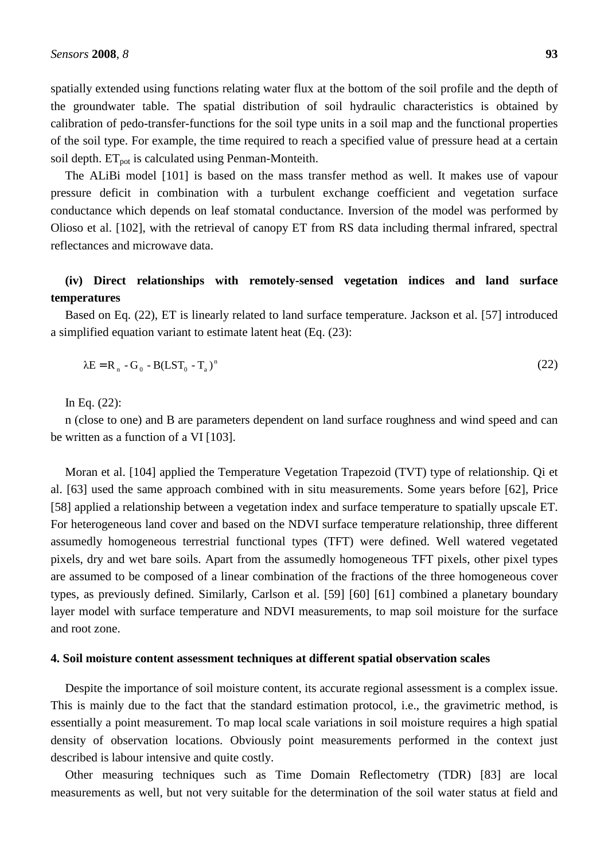spatially extended using functions relating water flux at the bottom of the soil profile and the depth of the groundwater table. The spatial distribution of soil hydraulic characteristics is obtained by calibration of pedo-transfer-functions for the soil type units in a soil map and the functional properties of the soil type. For example, the time required to reach a specified value of pressure head at a certain soil depth.  $ET_{pot}$  is calculated using Penman-Monteith.

The ALiBi model [101] is based on the mass transfer method as well. It makes use of vapour pressure deficit in combination with a turbulent exchange coefficient and vegetation surface conductance which depends on leaf stomatal conductance. Inversion of the model was performed by Olioso et al. [102], with the retrieval of canopy ET from RS data including thermal infrared, spectral reflectances and microwave data.

## **(iv) Direct relationships with remotely-sensed vegetation indices and land surface temperatures**

Based on Eq. (22), ET is linearly related to land surface temperature. Jackson et al. [57] introduced a simplified equation variant to estimate latent heat (Eq. (23):

$$
\lambda E = R_n - G_0 - B(LST_0 - T_a)^n \tag{22}
$$

In Eq. (22):

n (close to one) and B are parameters dependent on land surface roughness and wind speed and can be written as a function of a VI [103].

Moran et al. [104] applied the Temperature Vegetation Trapezoid (TVT) type of relationship. Qi et al. [63] used the same approach combined with in situ measurements. Some years before [62], Price [58] applied a relationship between a vegetation index and surface temperature to spatially upscale ET. For heterogeneous land cover and based on the NDVI surface temperature relationship, three different assumedly homogeneous terrestrial functional types (TFT) were defined. Well watered vegetated pixels, dry and wet bare soils. Apart from the assumedly homogeneous TFT pixels, other pixel types are assumed to be composed of a linear combination of the fractions of the three homogeneous cover types, as previously defined. Similarly, Carlson et al. [59] [60] [61] combined a planetary boundary layer model with surface temperature and NDVI measurements, to map soil moisture for the surface and root zone.

## **4. Soil moisture content assessment techniques at different spatial observation scales**

Despite the importance of soil moisture content, its accurate regional assessment is a complex issue. This is mainly due to the fact that the standard estimation protocol, i.e., the gravimetric method, is essentially a point measurement. To map local scale variations in soil moisture requires a high spatial density of observation locations. Obviously point measurements performed in the context just described is labour intensive and quite costly.

Other measuring techniques such as Time Domain Reflectometry (TDR) [83] are local measurements as well, but not very suitable for the determination of the soil water status at field and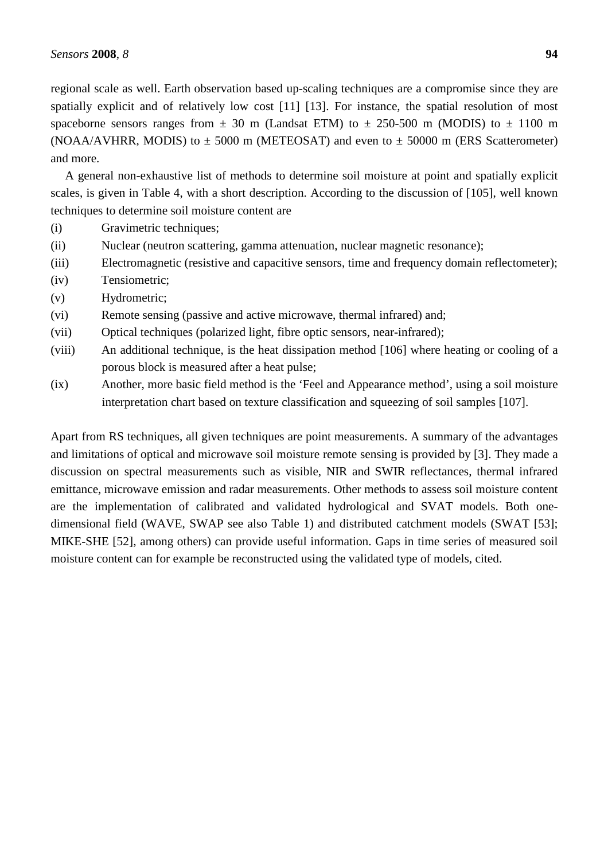regional scale as well. Earth observation based up-scaling techniques are a compromise since they are spatially explicit and of relatively low cost [11] [13]. For instance, the spatial resolution of most spaceborne sensors ranges from  $\pm$  30 m (Landsat ETM) to  $\pm$  250-500 m (MODIS) to  $\pm$  1100 m (NOAA/AVHRR, MODIS) to  $\pm$  5000 m (METEOSAT) and even to  $\pm$  50000 m (ERS Scatterometer) and more.

A general non-exhaustive list of methods to determine soil moisture at point and spatially explicit scales, is given in Table 4, with a short description. According to the discussion of [105], well known techniques to determine soil moisture content are

- (i) Gravimetric techniques;
- (ii) Nuclear (neutron scattering, gamma attenuation, nuclear magnetic resonance);
- (iii) Electromagnetic (resistive and capacitive sensors, time and frequency domain reflectometer);
- (iv) Tensiometric;
- (v) Hydrometric;
- (vi) Remote sensing (passive and active microwave, thermal infrared) and;
- (vii) Optical techniques (polarized light, fibre optic sensors, near-infrared);
- (viii) An additional technique, is the heat dissipation method [106] where heating or cooling of a porous block is measured after a heat pulse;
- (ix) Another, more basic field method is the 'Feel and Appearance method', using a soil moisture interpretation chart based on texture classification and squeezing of soil samples [107].

Apart from RS techniques, all given techniques are point measurements. A summary of the advantages and limitations of optical and microwave soil moisture remote sensing is provided by [3]. They made a discussion on spectral measurements such as visible, NIR and SWIR reflectances, thermal infrared emittance, microwave emission and radar measurements. Other methods to assess soil moisture content are the implementation of calibrated and validated hydrological and SVAT models. Both onedimensional field (WAVE, SWAP see also Table 1) and distributed catchment models (SWAT [53]; MIKE-SHE [52], among others) can provide useful information. Gaps in time series of measured soil moisture content can for example be reconstructed using the validated type of models, cited.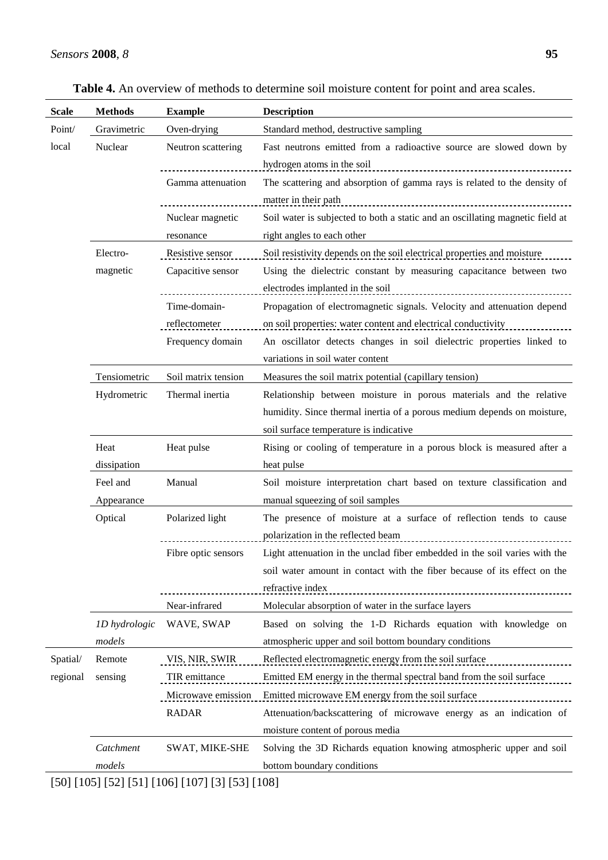| <b>Scale</b> | <b>Methods</b> | <b>Example</b>                                  | <b>Description</b>                                                            |
|--------------|----------------|-------------------------------------------------|-------------------------------------------------------------------------------|
| Point/       | Gravimetric    | Oven-drying                                     | Standard method, destructive sampling                                         |
| local        | Nuclear        | Neutron scattering                              | Fast neutrons emitted from a radioactive source are slowed down by            |
|              |                |                                                 | hydrogen atoms in the soil                                                    |
|              |                | Gamma attenuation                               | The scattering and absorption of gamma rays is related to the density of      |
|              |                |                                                 | matter in their path                                                          |
|              |                | Nuclear magnetic                                | Soil water is subjected to both a static and an oscillating magnetic field at |
|              |                | resonance                                       | right angles to each other                                                    |
|              | Electro-       | Resistive sensor                                | Soil resistivity depends on the soil electrical properties and moisture       |
|              | magnetic       | Capacitive sensor                               | Using the dielectric constant by measuring capacitance between two            |
|              |                |                                                 | electrodes implanted in the soil                                              |
|              |                | Time-domain-                                    | Propagation of electromagnetic signals. Velocity and attenuation depend       |
|              |                | reflectometer                                   | on soil properties: water content and electrical conductivity                 |
|              |                | Frequency domain                                | An oscillator detects changes in soil dielectric properties linked to         |
|              |                |                                                 | variations in soil water content                                              |
|              | Tensiometric   | Soil matrix tension                             | Measures the soil matrix potential (capillary tension)                        |
|              | Hydrometric    | Thermal inertia                                 | Relationship between moisture in porous materials and the relative            |
|              |                |                                                 | humidity. Since thermal inertia of a porous medium depends on moisture,       |
|              |                |                                                 | soil surface temperature is indicative                                        |
|              | Heat           | Heat pulse                                      | Rising or cooling of temperature in a porous block is measured after a        |
|              | dissipation    |                                                 | heat pulse                                                                    |
|              | Feel and       | Manual                                          | Soil moisture interpretation chart based on texture classification and        |
|              | Appearance     |                                                 | manual squeezing of soil samples                                              |
|              | Optical        | Polarized light                                 | The presence of moisture at a surface of reflection tends to cause            |
|              |                |                                                 | polarization in the reflected beam                                            |
|              |                | Fibre optic sensors                             | Light attenuation in the unclad fiber embedded in the soil varies with the    |
|              |                |                                                 | soil water amount in contact with the fiber because of its effect on the      |
|              |                |                                                 | refractive index                                                              |
|              |                | Near-infrared                                   | Molecular absorption of water in the surface layers                           |
|              | 1D hydrologic  | WAVE, SWAP                                      | Based on solving the 1-D Richards equation with knowledge on                  |
|              | models         |                                                 | atmospheric upper and soil bottom boundary conditions                         |
| Spatial/     | Remote         | VIS, NIR, SWIR                                  | Reflected electromagnetic energy from the soil surface                        |
| regional     | sensing        | TIR emittance                                   | Emitted EM energy in the thermal spectral band from the soil surface          |
|              |                | Microwave emission                              | Emitted microwave EM energy from the soil surface                             |
|              |                | <b>RADAR</b>                                    | Attenuation/backscattering of microwave energy as an indication of            |
|              |                |                                                 | moisture content of porous media                                              |
|              | Catchment      | SWAT, MIKE-SHE                                  | Solving the 3D Richards equation knowing atmospheric upper and soil           |
|              | models         |                                                 | bottom boundary conditions                                                    |
|              |                | [50] [105] [52] [51] [106] [107] [3] [53] [108] |                                                                               |

|--|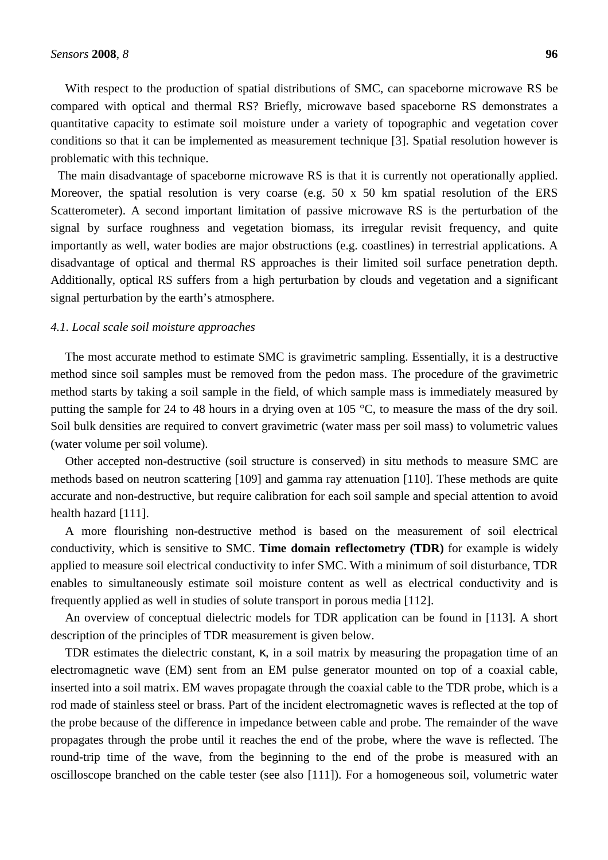With respect to the production of spatial distributions of SMC, can spaceborne microwave RS be compared with optical and thermal RS? Briefly, microwave based spaceborne RS demonstrates a quantitative capacity to estimate soil moisture under a variety of topographic and vegetation cover conditions so that it can be implemented as measurement technique [3]. Spatial resolution however is problematic with this technique.

The main disadvantage of spaceborne microwave RS is that it is currently not operationally applied. Moreover, the spatial resolution is very coarse (e.g. 50 x 50 km spatial resolution of the ERS Scatterometer). A second important limitation of passive microwave RS is the perturbation of the signal by surface roughness and vegetation biomass, its irregular revisit frequency, and quite importantly as well, water bodies are major obstructions (e.g. coastlines) in terrestrial applications. A disadvantage of optical and thermal RS approaches is their limited soil surface penetration depth. Additionally, optical RS suffers from a high perturbation by clouds and vegetation and a significant signal perturbation by the earth's atmosphere.

## *4.1. Local scale soil moisture approaches*

The most accurate method to estimate SMC is gravimetric sampling. Essentially, it is a destructive method since soil samples must be removed from the pedon mass. The procedure of the gravimetric method starts by taking a soil sample in the field, of which sample mass is immediately measured by putting the sample for 24 to 48 hours in a drying oven at 105 °C, to measure the mass of the dry soil. Soil bulk densities are required to convert gravimetric (water mass per soil mass) to volumetric values (water volume per soil volume).

Other accepted non-destructive (soil structure is conserved) in situ methods to measure SMC are methods based on neutron scattering [109] and gamma ray attenuation [110]. These methods are quite accurate and non-destructive, but require calibration for each soil sample and special attention to avoid health hazard [111].

A more flourishing non-destructive method is based on the measurement of soil electrical conductivity, which is sensitive to SMC. **Time domain reflectometry (TDR)** for example is widely applied to measure soil electrical conductivity to infer SMC. With a minimum of soil disturbance, TDR enables to simultaneously estimate soil moisture content as well as electrical conductivity and is frequently applied as well in studies of solute transport in porous media [112].

An overview of conceptual dielectric models for TDR application can be found in [113]. A short description of the principles of TDR measurement is given below.

TDR estimates the dielectric constant, κ, in a soil matrix by measuring the propagation time of an electromagnetic wave (EM) sent from an EM pulse generator mounted on top of a coaxial cable, inserted into a soil matrix. EM waves propagate through the coaxial cable to the TDR probe, which is a rod made of stainless steel or brass. Part of the incident electromagnetic waves is reflected at the top of the probe because of the difference in impedance between cable and probe. The remainder of the wave propagates through the probe until it reaches the end of the probe, where the wave is reflected. The round-trip time of the wave, from the beginning to the end of the probe is measured with an oscilloscope branched on the cable tester (see also [111]). For a homogeneous soil, volumetric water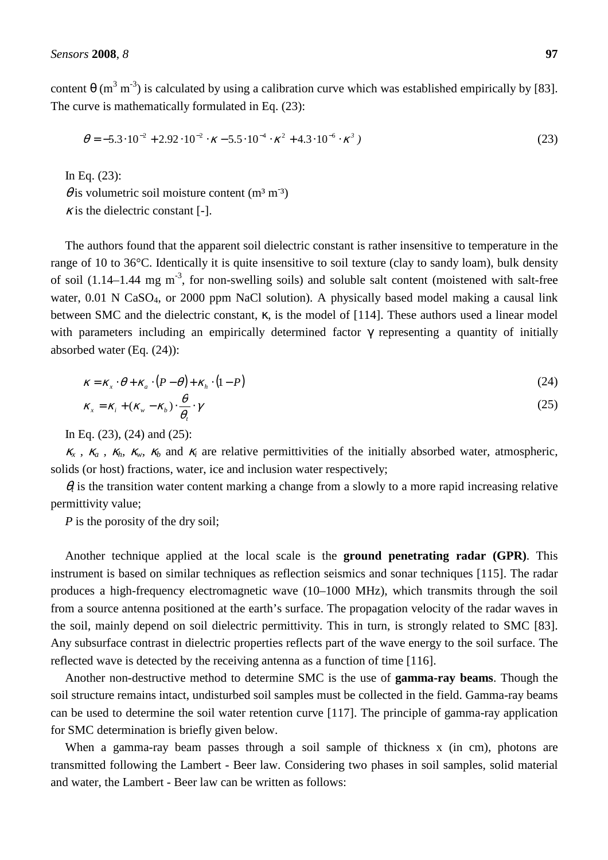content  $\theta$  (m<sup>3</sup> m<sup>-3</sup>) is calculated by using a calibration curve which was established empirically by [83]. The curve is mathematically formulated in Eq. (23):

$$
\theta = -5.3 \cdot 10^{-2} + 2.92 \cdot 10^{-2} \cdot \kappa - 5.5 \cdot 10^{-4} \cdot \kappa^2 + 4.3 \cdot 10^{-6} \cdot \kappa^3 \tag{23}
$$

In Eq. (23):  $\theta$  is volumetric soil moisture content (m<sup>3</sup> m<sup>-3</sup>)

 $\kappa$  is the dielectric constant [-].

The authors found that the apparent soil dielectric constant is rather insensitive to temperature in the range of 10 to 36°C. Identically it is quite insensitive to soil texture (clay to sandy loam), bulk density of soil (1.14–1.44 mg  $m^{-3}$ , for non-swelling soils) and soluble salt content (moistened with salt-free water, 0.01 N CaSO<sub>4</sub>, or 2000 ppm NaCl solution). A physically based model making a causal link between SMC and the dielectric constant, κ, is the model of [114]. These authors used a linear model with parameters including an empirically determined factor  $\gamma$  representing a quantity of initially absorbed water (Eq. (24)):

$$
\kappa = \kappa_x \cdot \theta + \kappa_a \cdot (P - \theta) + \kappa_h \cdot (1 - P) \tag{24}
$$

$$
\kappa_x = \kappa_i + (\kappa_w - \kappa_b) \cdot \frac{\theta}{\theta_i} \cdot \gamma \tag{25}
$$

In Eq. (23), (24) and (25):

 $\kappa_x$ ,  $\kappa_a$ ,  $\kappa_b$ ,  $\kappa_b$ ,  $\kappa_b$  and  $\kappa_i$  are relative permittivities of the initially absorbed water, atmospheric, solids (or host) fractions, water, ice and inclusion water respectively;

 $\theta_t$  is the transition water content marking a change from a slowly to a more rapid increasing relative permittivity value;

*P* is the porosity of the dry soil;

Another technique applied at the local scale is the **ground penetrating radar (GPR)**. This instrument is based on similar techniques as reflection seismics and sonar techniques [115]. The radar produces a high-frequency electromagnetic wave (10–1000 MHz), which transmits through the soil from a source antenna positioned at the earth's surface. The propagation velocity of the radar waves in the soil, mainly depend on soil dielectric permittivity. This in turn, is strongly related to SMC [83]. Any subsurface contrast in dielectric properties reflects part of the wave energy to the soil surface. The reflected wave is detected by the receiving antenna as a function of time [116].

Another non-destructive method to determine SMC is the use of **gamma-ray beams**. Though the soil structure remains intact, undisturbed soil samples must be collected in the field. Gamma-ray beams can be used to determine the soil water retention curve [117]. The principle of gamma-ray application for SMC determination is briefly given below.

When a gamma-ray beam passes through a soil sample of thickness x (in cm), photons are transmitted following the Lambert - Beer law. Considering two phases in soil samples, solid material and water, the Lambert - Beer law can be written as follows: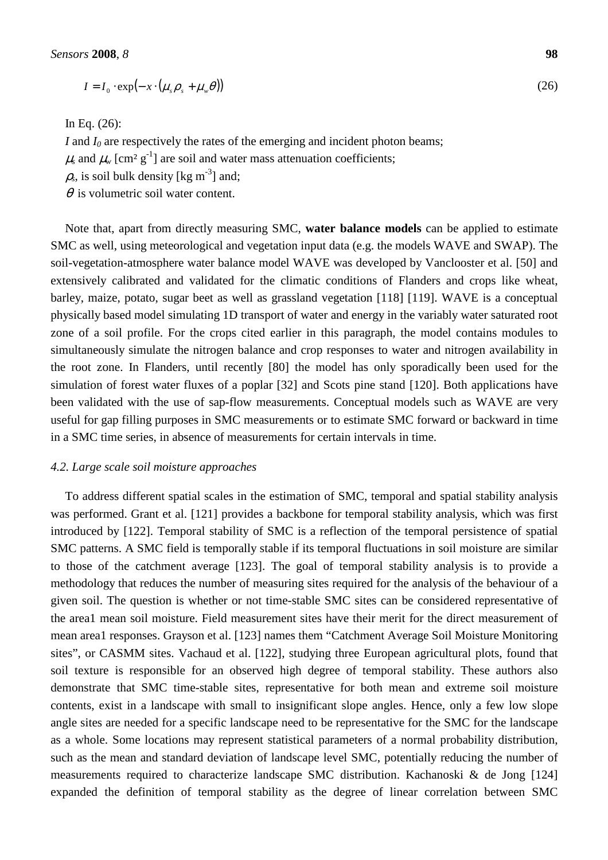$$
I = I_0 \cdot \exp(-x \cdot (\mu_s \rho_s + \mu_w \theta)) \tag{26}
$$

In Eq. (26):

*I* and  $I_0$  are respectively the rates of the emerging and incident photon beams;

 $\mu$ <sub>s</sub> and  $\mu$ <sub>*w*</sub> [cm<sup>2</sup> g<sup>-1</sup>] are soil and water mass attenuation coefficients;

 $\rho_s$ , is soil bulk density [kg m<sup>-3</sup>] and;

 $\theta$  is volumetric soil water content.

Note that, apart from directly measuring SMC, **water balance models** can be applied to estimate SMC as well, using meteorological and vegetation input data (e.g. the models WAVE and SWAP). The soil-vegetation-atmosphere water balance model WAVE was developed by Vanclooster et al. [50] and extensively calibrated and validated for the climatic conditions of Flanders and crops like wheat, barley, maize, potato, sugar beet as well as grassland vegetation [118] [119]. WAVE is a conceptual physically based model simulating 1D transport of water and energy in the variably water saturated root zone of a soil profile. For the crops cited earlier in this paragraph, the model contains modules to simultaneously simulate the nitrogen balance and crop responses to water and nitrogen availability in the root zone. In Flanders, until recently [80] the model has only sporadically been used for the simulation of forest water fluxes of a poplar [32] and Scots pine stand [120]. Both applications have been validated with the use of sap-flow measurements. Conceptual models such as WAVE are very useful for gap filling purposes in SMC measurements or to estimate SMC forward or backward in time in a SMC time series, in absence of measurements for certain intervals in time.

## *4.2. Large scale soil moisture approaches*

To address different spatial scales in the estimation of SMC, temporal and spatial stability analysis was performed. Grant et al. [121] provides a backbone for temporal stability analysis, which was first introduced by [122]. Temporal stability of SMC is a reflection of the temporal persistence of spatial SMC patterns. A SMC field is temporally stable if its temporal fluctuations in soil moisture are similar to those of the catchment average [123]. The goal of temporal stability analysis is to provide a methodology that reduces the number of measuring sites required for the analysis of the behaviour of a given soil. The question is whether or not time-stable SMC sites can be considered representative of the area1 mean soil moisture. Field measurement sites have their merit for the direct measurement of mean area1 responses. Grayson et al. [123] names them "Catchment Average Soil Moisture Monitoring sites", or CASMM sites. Vachaud et al. [122], studying three European agricultural plots, found that soil texture is responsible for an observed high degree of temporal stability. These authors also demonstrate that SMC time-stable sites, representative for both mean and extreme soil moisture contents, exist in a landscape with small to insignificant slope angles. Hence, only a few low slope angle sites are needed for a specific landscape need to be representative for the SMC for the landscape as a whole. Some locations may represent statistical parameters of a normal probability distribution, such as the mean and standard deviation of landscape level SMC, potentially reducing the number of measurements required to characterize landscape SMC distribution. Kachanoski & de Jong [124] expanded the definition of temporal stability as the degree of linear correlation between SMC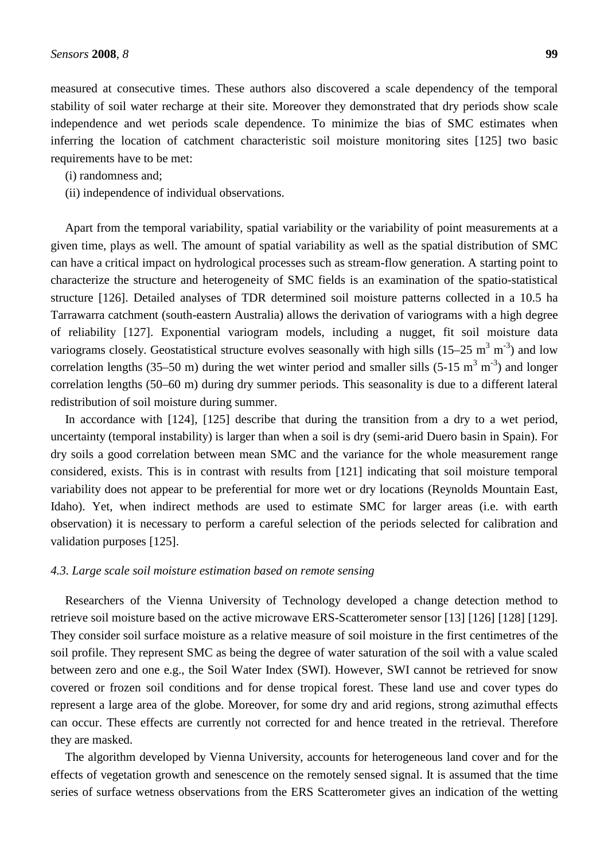measured at consecutive times. These authors also discovered a scale dependency of the temporal stability of soil water recharge at their site. Moreover they demonstrated that dry periods show scale independence and wet periods scale dependence. To minimize the bias of SMC estimates when inferring the location of catchment characteristic soil moisture monitoring sites [125] two basic requirements have to be met:

- (i) randomness and;
- (ii) independence of individual observations.

Apart from the temporal variability, spatial variability or the variability of point measurements at a given time, plays as well. The amount of spatial variability as well as the spatial distribution of SMC can have a critical impact on hydrological processes such as stream-flow generation. A starting point to characterize the structure and heterogeneity of SMC fields is an examination of the spatio-statistical structure [126]. Detailed analyses of TDR determined soil moisture patterns collected in a 10.5 ha Tarrawarra catchment (south-eastern Australia) allows the derivation of variograms with a high degree of reliability [127]. Exponential variogram models, including a nugget, fit soil moisture data variograms closely. Geostatistical structure evolves seasonally with high sills  $(15-25 \text{ m}^3 \text{ m}^{-3})$  and low correlation lengths (35–50 m) during the wet winter period and smaller sills (5-15 m<sup>3</sup> m<sup>-3</sup>) and longer correlation lengths (50–60 m) during dry summer periods. This seasonality is due to a different lateral redistribution of soil moisture during summer.

In accordance with [124], [125] describe that during the transition from a dry to a wet period, uncertainty (temporal instability) is larger than when a soil is dry (semi-arid Duero basin in Spain). For dry soils a good correlation between mean SMC and the variance for the whole measurement range considered, exists. This is in contrast with results from [121] indicating that soil moisture temporal variability does not appear to be preferential for more wet or dry locations (Reynolds Mountain East, Idaho). Yet, when indirect methods are used to estimate SMC for larger areas (i.e. with earth observation) it is necessary to perform a careful selection of the periods selected for calibration and validation purposes [125].

## *4.3. Large scale soil moisture estimation based on remote sensing*

Researchers of the Vienna University of Technology developed a change detection method to retrieve soil moisture based on the active microwave ERS-Scatterometer sensor [13] [126] [128] [129]. They consider soil surface moisture as a relative measure of soil moisture in the first centimetres of the soil profile. They represent SMC as being the degree of water saturation of the soil with a value scaled between zero and one e.g., the Soil Water Index (SWI). However, SWI cannot be retrieved for snow covered or frozen soil conditions and for dense tropical forest. These land use and cover types do represent a large area of the globe. Moreover, for some dry and arid regions, strong azimuthal effects can occur. These effects are currently not corrected for and hence treated in the retrieval. Therefore they are masked.

The algorithm developed by Vienna University, accounts for heterogeneous land cover and for the effects of vegetation growth and senescence on the remotely sensed signal. It is assumed that the time series of surface wetness observations from the ERS Scatterometer gives an indication of the wetting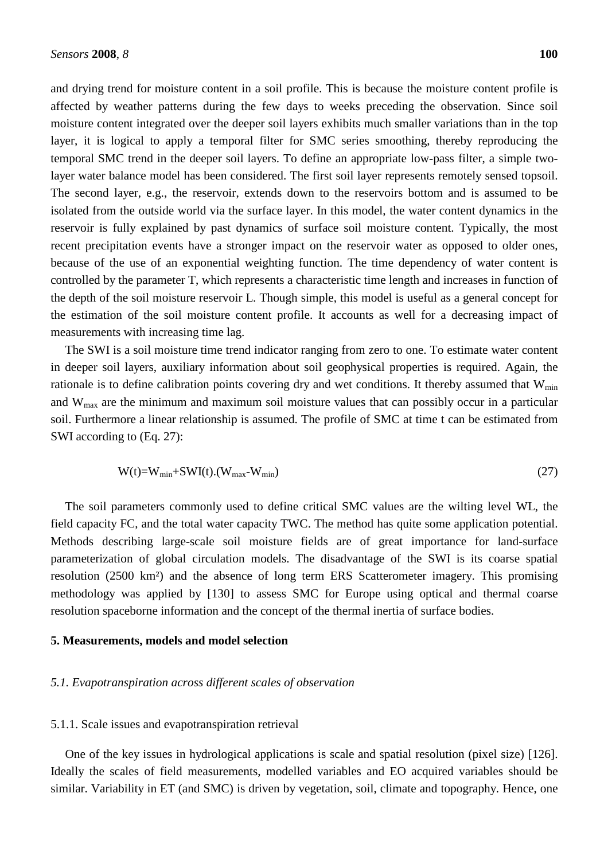and drying trend for moisture content in a soil profile. This is because the moisture content profile is affected by weather patterns during the few days to weeks preceding the observation. Since soil moisture content integrated over the deeper soil layers exhibits much smaller variations than in the top layer, it is logical to apply a temporal filter for SMC series smoothing, thereby reproducing the temporal SMC trend in the deeper soil layers. To define an appropriate low-pass filter, a simple twolayer water balance model has been considered. The first soil layer represents remotely sensed topsoil. The second layer, e.g., the reservoir, extends down to the reservoirs bottom and is assumed to be isolated from the outside world via the surface layer. In this model, the water content dynamics in the reservoir is fully explained by past dynamics of surface soil moisture content. Typically, the most recent precipitation events have a stronger impact on the reservoir water as opposed to older ones, because of the use of an exponential weighting function. The time dependency of water content is controlled by the parameter T, which represents a characteristic time length and increases in function of the depth of the soil moisture reservoir L. Though simple, this model is useful as a general concept for the estimation of the soil moisture content profile. It accounts as well for a decreasing impact of measurements with increasing time lag.

The SWI is a soil moisture time trend indicator ranging from zero to one. To estimate water content in deeper soil layers, auxiliary information about soil geophysical properties is required. Again, the rationale is to define calibration points covering dry and wet conditions. It thereby assumed that  $W_{min}$ and  $W_{\text{max}}$  are the minimum and maximum soil moisture values that can possibly occur in a particular soil. Furthermore a linear relationship is assumed. The profile of SMC at time t can be estimated from SWI according to (Eq. 27):

$$
W(t)=W_{\min}+SWI(t).(W_{\max}-W_{\min})
$$
\n(27)

The soil parameters commonly used to define critical SMC values are the wilting level WL, the field capacity FC, and the total water capacity TWC. The method has quite some application potential. Methods describing large-scale soil moisture fields are of great importance for land-surface parameterization of global circulation models. The disadvantage of the SWI is its coarse spatial resolution (2500 km²) and the absence of long term ERS Scatterometer imagery. This promising methodology was applied by [130] to assess SMC for Europe using optical and thermal coarse resolution spaceborne information and the concept of the thermal inertia of surface bodies.

## **5. Measurements, models and model selection**

## *5.1. Evapotranspiration across different scales of observation*

#### 5.1.1. Scale issues and evapotranspiration retrieval

One of the key issues in hydrological applications is scale and spatial resolution (pixel size) [126]. Ideally the scales of field measurements, modelled variables and EO acquired variables should be similar. Variability in ET (and SMC) is driven by vegetation, soil, climate and topography. Hence, one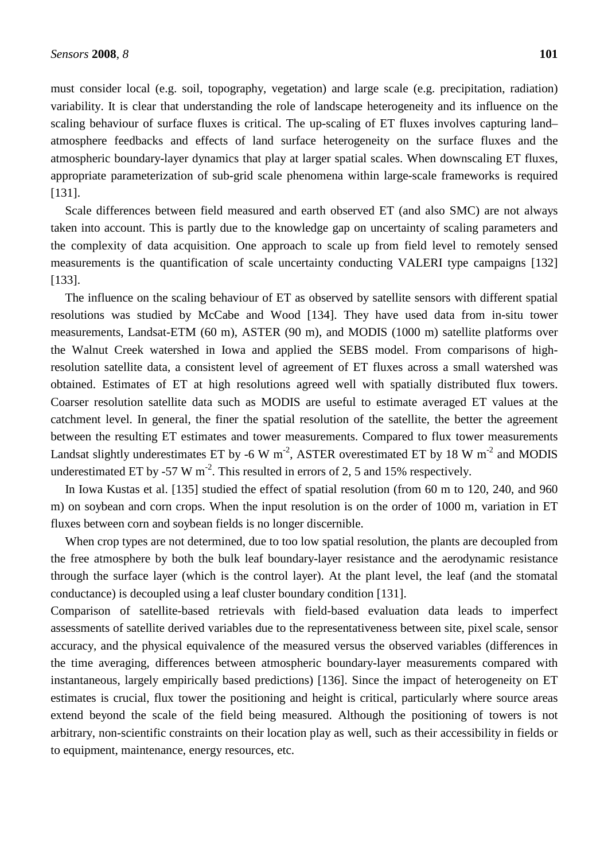must consider local (e.g. soil, topography, vegetation) and large scale (e.g. precipitation, radiation) variability. It is clear that understanding the role of landscape heterogeneity and its influence on the scaling behaviour of surface fluxes is critical. The up-scaling of ET fluxes involves capturing land– atmosphere feedbacks and effects of land surface heterogeneity on the surface fluxes and the atmospheric boundary-layer dynamics that play at larger spatial scales. When downscaling ET fluxes, appropriate parameterization of sub-grid scale phenomena within large-scale frameworks is required [131].

Scale differences between field measured and earth observed ET (and also SMC) are not always taken into account. This is partly due to the knowledge gap on uncertainty of scaling parameters and the complexity of data acquisition. One approach to scale up from field level to remotely sensed measurements is the quantification of scale uncertainty conducting VALERI type campaigns [132] [133].

The influence on the scaling behaviour of ET as observed by satellite sensors with different spatial resolutions was studied by McCabe and Wood [134]. They have used data from in-situ tower measurements, Landsat-ETM (60 m), ASTER (90 m), and MODIS (1000 m) satellite platforms over the Walnut Creek watershed in Iowa and applied the SEBS model. From comparisons of highresolution satellite data, a consistent level of agreement of ET fluxes across a small watershed was obtained. Estimates of ET at high resolutions agreed well with spatially distributed flux towers. Coarser resolution satellite data such as MODIS are useful to estimate averaged ET values at the catchment level. In general, the finer the spatial resolution of the satellite, the better the agreement between the resulting ET estimates and tower measurements. Compared to flux tower measurements Landsat slightly underestimates ET by -6 W m<sup>-2</sup>, ASTER overestimated ET by 18 W m<sup>-2</sup> and MODIS underestimated ET by -57 W  $m<sup>-2</sup>$ . This resulted in errors of 2, 5 and 15% respectively.

In Iowa Kustas et al. [135] studied the effect of spatial resolution (from 60 m to 120, 240, and 960 m) on soybean and corn crops. When the input resolution is on the order of 1000 m, variation in ET fluxes between corn and soybean fields is no longer discernible.

When crop types are not determined, due to too low spatial resolution, the plants are decoupled from the free atmosphere by both the bulk leaf boundary-layer resistance and the aerodynamic resistance through the surface layer (which is the control layer). At the plant level, the leaf (and the stomatal conductance) is decoupled using a leaf cluster boundary condition [131].

Comparison of satellite-based retrievals with field-based evaluation data leads to imperfect assessments of satellite derived variables due to the representativeness between site, pixel scale, sensor accuracy, and the physical equivalence of the measured versus the observed variables (differences in the time averaging, differences between atmospheric boundary-layer measurements compared with instantaneous, largely empirically based predictions) [136]. Since the impact of heterogeneity on ET estimates is crucial, flux tower the positioning and height is critical, particularly where source areas extend beyond the scale of the field being measured. Although the positioning of towers is not arbitrary, non-scientific constraints on their location play as well, such as their accessibility in fields or to equipment, maintenance, energy resources, etc.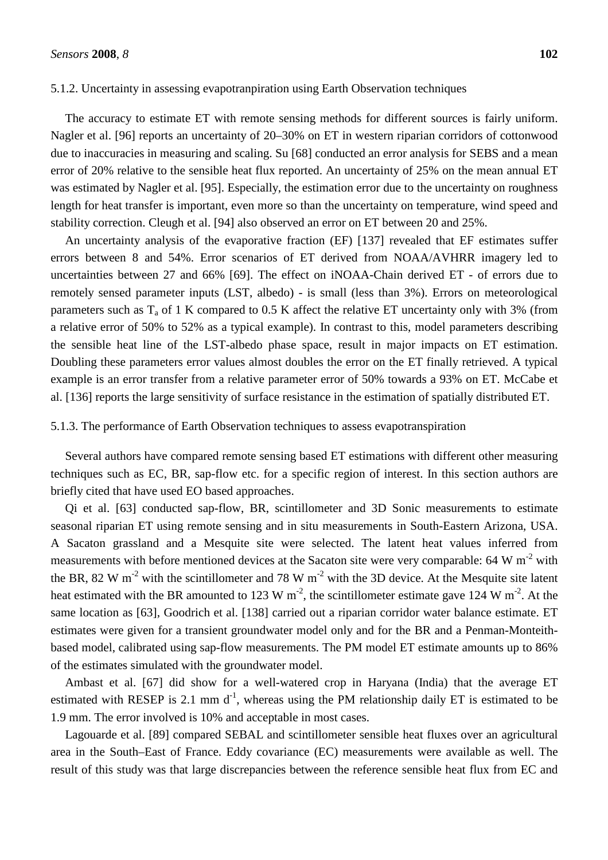## 5.1.2. Uncertainty in assessing evapotranpiration using Earth Observation techniques

The accuracy to estimate ET with remote sensing methods for different sources is fairly uniform. Nagler et al. [96] reports an uncertainty of 20–30% on ET in western riparian corridors of cottonwood due to inaccuracies in measuring and scaling. Su [68] conducted an error analysis for SEBS and a mean error of 20% relative to the sensible heat flux reported. An uncertainty of 25% on the mean annual ET was estimated by Nagler et al. [95]. Especially, the estimation error due to the uncertainty on roughness length for heat transfer is important, even more so than the uncertainty on temperature, wind speed and stability correction. Cleugh et al. [94] also observed an error on ET between 20 and 25%.

An uncertainty analysis of the evaporative fraction (EF) [137] revealed that EF estimates suffer errors between 8 and 54%. Error scenarios of ET derived from NOAA/AVHRR imagery led to uncertainties between 27 and 66% [69]. The effect on iNOAA-Chain derived ET - of errors due to remotely sensed parameter inputs (LST, albedo) - is small (less than 3%). Errors on meteorological parameters such as  $T_a$  of 1 K compared to 0.5 K affect the relative ET uncertainty only with 3% (from a relative error of 50% to 52% as a typical example). In contrast to this, model parameters describing the sensible heat line of the LST-albedo phase space, result in major impacts on ET estimation. Doubling these parameters error values almost doubles the error on the ET finally retrieved. A typical example is an error transfer from a relative parameter error of 50% towards a 93% on ET. McCabe et al. [136] reports the large sensitivity of surface resistance in the estimation of spatially distributed ET.

#### 5.1.3. The performance of Earth Observation techniques to assess evapotranspiration

Several authors have compared remote sensing based ET estimations with different other measuring techniques such as EC, BR, sap-flow etc. for a specific region of interest. In this section authors are briefly cited that have used EO based approaches.

Qi et al. [63] conducted sap-flow, BR, scintillometer and 3D Sonic measurements to estimate seasonal riparian ET using remote sensing and in situ measurements in South-Eastern Arizona, USA. A Sacaton grassland and a Mesquite site were selected. The latent heat values inferred from measurements with before mentioned devices at the Sacaton site were very comparable: 64 W  $m^{-2}$  with the BR, 82 W m<sup>-2</sup> with the scintillometer and 78 W m<sup>-2</sup> with the 3D device. At the Mesquite site latent heat estimated with the BR amounted to 123 W m<sup>-2</sup>, the scintillometer estimate gave 124 W m<sup>-2</sup>. At the same location as [63], Goodrich et al. [138] carried out a riparian corridor water balance estimate. ET estimates were given for a transient groundwater model only and for the BR and a Penman-Monteithbased model, calibrated using sap-flow measurements. The PM model ET estimate amounts up to 86% of the estimates simulated with the groundwater model.

Ambast et al. [67] did show for a well-watered crop in Haryana (India) that the average ET estimated with RESEP is 2.1 mm  $d^{-1}$ , whereas using the PM relationship daily ET is estimated to be 1.9 mm. The error involved is 10% and acceptable in most cases.

Lagouarde et al. [89] compared SEBAL and scintillometer sensible heat fluxes over an agricultural area in the South–East of France. Eddy covariance (EC) measurements were available as well. The result of this study was that large discrepancies between the reference sensible heat flux from EC and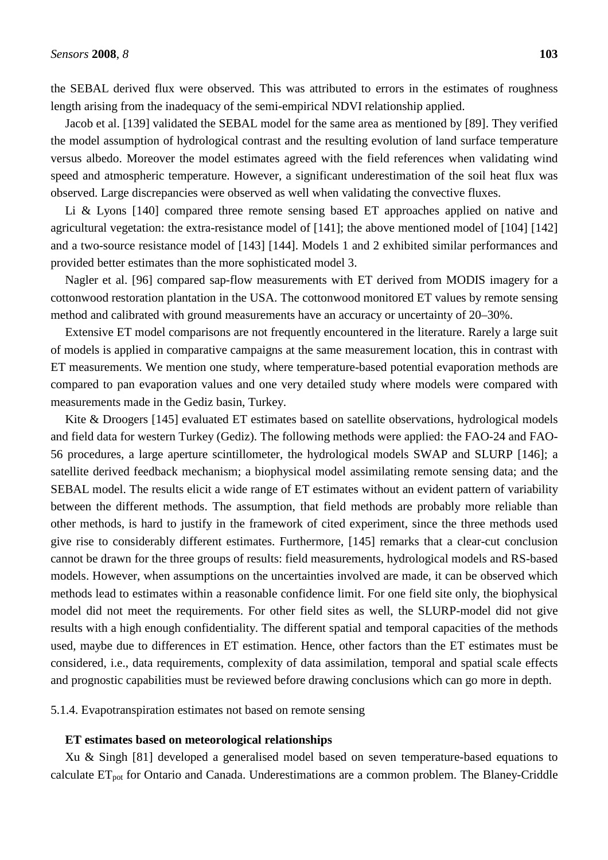the SEBAL derived flux were observed. This was attributed to errors in the estimates of roughness length arising from the inadequacy of the semi-empirical NDVI relationship applied.

Jacob et al. [139] validated the SEBAL model for the same area as mentioned by [89]. They verified the model assumption of hydrological contrast and the resulting evolution of land surface temperature versus albedo. Moreover the model estimates agreed with the field references when validating wind speed and atmospheric temperature. However, a significant underestimation of the soil heat flux was observed. Large discrepancies were observed as well when validating the convective fluxes.

Li & Lyons [140] compared three remote sensing based ET approaches applied on native and agricultural vegetation: the extra-resistance model of [141]; the above mentioned model of [104] [142] and a two-source resistance model of [143] [144]. Models 1 and 2 exhibited similar performances and provided better estimates than the more sophisticated model 3.

Nagler et al. [96] compared sap-flow measurements with ET derived from MODIS imagery for a cottonwood restoration plantation in the USA. The cottonwood monitored ET values by remote sensing method and calibrated with ground measurements have an accuracy or uncertainty of 20–30%.

Extensive ET model comparisons are not frequently encountered in the literature. Rarely a large suit of models is applied in comparative campaigns at the same measurement location, this in contrast with ET measurements. We mention one study, where temperature-based potential evaporation methods are compared to pan evaporation values and one very detailed study where models were compared with measurements made in the Gediz basin, Turkey.

Kite & Droogers [145] evaluated ET estimates based on satellite observations, hydrological models and field data for western Turkey (Gediz). The following methods were applied: the FAO-24 and FAO-56 procedures, a large aperture scintillometer, the hydrological models SWAP and SLURP [146]; a satellite derived feedback mechanism; a biophysical model assimilating remote sensing data; and the SEBAL model. The results elicit a wide range of ET estimates without an evident pattern of variability between the different methods. The assumption, that field methods are probably more reliable than other methods, is hard to justify in the framework of cited experiment, since the three methods used give rise to considerably different estimates. Furthermore, [145] remarks that a clear-cut conclusion cannot be drawn for the three groups of results: field measurements, hydrological models and RS-based models. However, when assumptions on the uncertainties involved are made, it can be observed which methods lead to estimates within a reasonable confidence limit. For one field site only, the biophysical model did not meet the requirements. For other field sites as well, the SLURP-model did not give results with a high enough confidentiality. The different spatial and temporal capacities of the methods used, maybe due to differences in ET estimation. Hence, other factors than the ET estimates must be considered, i.e., data requirements, complexity of data assimilation, temporal and spatial scale effects and prognostic capabilities must be reviewed before drawing conclusions which can go more in depth.

5.1.4. Evapotranspiration estimates not based on remote sensing

## **ET estimates based on meteorological relationships**

Xu & Singh [81] developed a generalised model based on seven temperature-based equations to calculate  $ET_{pot}$  for Ontario and Canada. Underestimations are a common problem. The Blaney-Criddle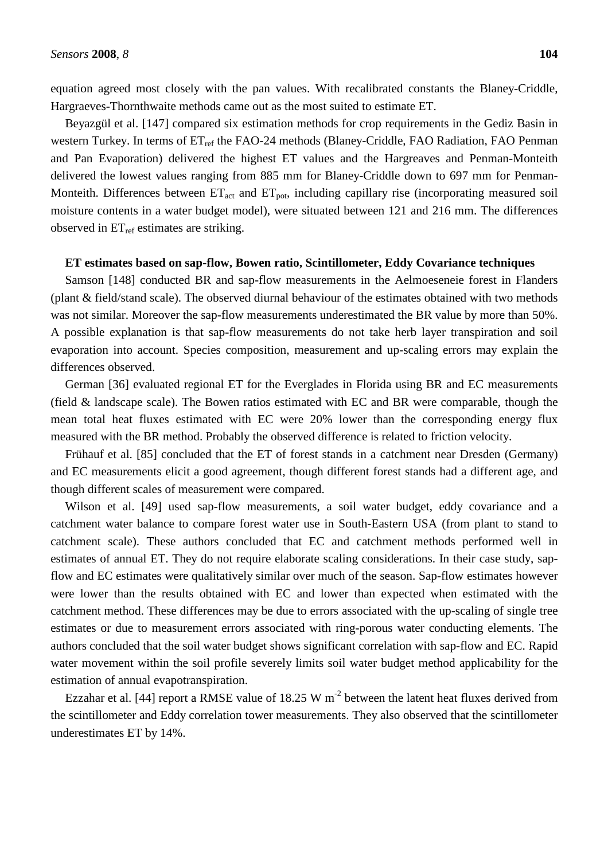equation agreed most closely with the pan values. With recalibrated constants the Blaney-Criddle, Hargraeves-Thornthwaite methods came out as the most suited to estimate ET.

Beyazgül et al. [147] compared six estimation methods for crop requirements in the Gediz Basin in western Turkey. In terms of ET<sub>ref</sub> the FAO-24 methods (Blaney-Criddle, FAO Radiation, FAO Penman and Pan Evaporation) delivered the highest ET values and the Hargreaves and Penman-Monteith delivered the lowest values ranging from 885 mm for Blaney-Criddle down to 697 mm for Penman-Monteith. Differences between  $ET_{act}$  and  $ET_{pot}$ , including capillary rise (incorporating measured soil moisture contents in a water budget model), were situated between 121 and 216 mm. The differences observed in  $ET_{ref}$  estimates are striking.

## **ET estimates based on sap-flow, Bowen ratio, Scintillometer, Eddy Covariance techniques**

Samson [148] conducted BR and sap-flow measurements in the Aelmoeseneie forest in Flanders (plant & field/stand scale). The observed diurnal behaviour of the estimates obtained with two methods was not similar. Moreover the sap-flow measurements underestimated the BR value by more than 50%. A possible explanation is that sap-flow measurements do not take herb layer transpiration and soil evaporation into account. Species composition, measurement and up-scaling errors may explain the differences observed.

German [36] evaluated regional ET for the Everglades in Florida using BR and EC measurements (field & landscape scale). The Bowen ratios estimated with EC and BR were comparable, though the mean total heat fluxes estimated with EC were 20% lower than the corresponding energy flux measured with the BR method. Probably the observed difference is related to friction velocity.

Frühauf et al. [85] concluded that the ET of forest stands in a catchment near Dresden (Germany) and EC measurements elicit a good agreement, though different forest stands had a different age, and though different scales of measurement were compared.

Wilson et al. [49] used sap-flow measurements, a soil water budget, eddy covariance and a catchment water balance to compare forest water use in South-Eastern USA (from plant to stand to catchment scale). These authors concluded that EC and catchment methods performed well in estimates of annual ET. They do not require elaborate scaling considerations. In their case study, sapflow and EC estimates were qualitatively similar over much of the season. Sap-flow estimates however were lower than the results obtained with EC and lower than expected when estimated with the catchment method. These differences may be due to errors associated with the up-scaling of single tree estimates or due to measurement errors associated with ring-porous water conducting elements. The authors concluded that the soil water budget shows significant correlation with sap-flow and EC. Rapid water movement within the soil profile severely limits soil water budget method applicability for the estimation of annual evapotranspiration.

Ezzahar et al. [44] report a RMSE value of 18.25 W m<sup>-2</sup> between the latent heat fluxes derived from the scintillometer and Eddy correlation tower measurements. They also observed that the scintillometer underestimates ET by 14%.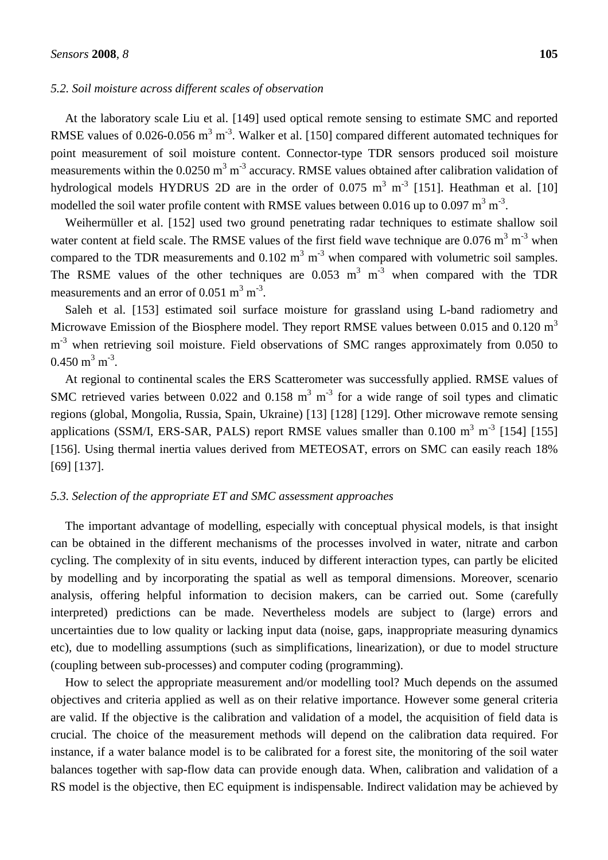## *5.2. Soil moisture across different scales of observation*

At the laboratory scale Liu et al. [149] used optical remote sensing to estimate SMC and reported RMSE values of 0.026-0.056  $m^3 m^{-3}$ . Walker et al. [150] compared different automated techniques for point measurement of soil moisture content. Connector-type TDR sensors produced soil moisture measurements within the  $0.0250 \text{ m}^3 \text{ m}^{-3}$  accuracy. RMSE values obtained after calibration validation of hydrological models HYDRUS 2D are in the order of 0.075  $m^3$   $m^{-3}$  [151]. Heathman et al. [10] modelled the soil water profile content with RMSE values between 0.016 up to 0.097  $m^3 m^{-3}$ .

Weihermüller et al. [152] used two ground penetrating radar techniques to estimate shallow soil water content at field scale. The RMSE values of the first field wave technique are  $0.076 \text{ m}^3 \text{ m}^{-3}$  when compared to the TDR measurements and  $0.102 \text{ m}^3 \text{ m}^{-3}$  when compared with volumetric soil samples. The RSME values of the other techniques are  $0.053 \text{ m}^3 \text{ m}^{-3}$  when compared with the TDR measurements and an error of  $0.051 \text{ m}^3 \text{ m}^{-3}$ .

Saleh et al. [153] estimated soil surface moisture for grassland using L-band radiometry and Microwave Emission of the Biosphere model. They report RMSE values between 0.015 and 0.120  $m<sup>3</sup>$ m<sup>-3</sup> when retrieving soil moisture. Field observations of SMC ranges approximately from 0.050 to  $0.450 \text{ m}^3 \text{ m}^{-3}$ .

At regional to continental scales the ERS Scatterometer was successfully applied. RMSE values of SMC retrieved varies between 0.022 and 0.158  $m<sup>3</sup> m<sup>-3</sup>$  for a wide range of soil types and climatic regions (global, Mongolia, Russia, Spain, Ukraine) [13] [128] [129]. Other microwave remote sensing applications (SSM/I, ERS-SAR, PALS) report RMSE values smaller than  $0.100 \text{ m}^3 \text{ m}^{-3}$  [154] [155] [156]. Using thermal inertia values derived from METEOSAT, errors on SMC can easily reach 18% [69] [137].

## *5.3. Selection of the appropriate ET and SMC assessment approaches*

The important advantage of modelling, especially with conceptual physical models, is that insight can be obtained in the different mechanisms of the processes involved in water, nitrate and carbon cycling. The complexity of in situ events, induced by different interaction types, can partly be elicited by modelling and by incorporating the spatial as well as temporal dimensions. Moreover, scenario analysis, offering helpful information to decision makers, can be carried out. Some (carefully interpreted) predictions can be made. Nevertheless models are subject to (large) errors and uncertainties due to low quality or lacking input data (noise, gaps, inappropriate measuring dynamics etc), due to modelling assumptions (such as simplifications, linearization), or due to model structure (coupling between sub-processes) and computer coding (programming).

How to select the appropriate measurement and/or modelling tool? Much depends on the assumed objectives and criteria applied as well as on their relative importance. However some general criteria are valid. If the objective is the calibration and validation of a model, the acquisition of field data is crucial. The choice of the measurement methods will depend on the calibration data required. For instance, if a water balance model is to be calibrated for a forest site, the monitoring of the soil water balances together with sap-flow data can provide enough data. When, calibration and validation of a RS model is the objective, then EC equipment is indispensable. Indirect validation may be achieved by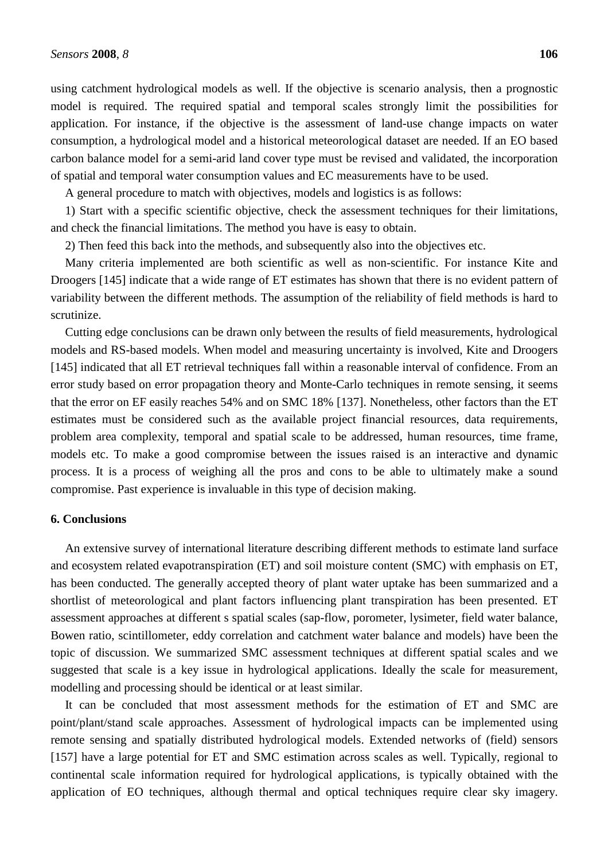using catchment hydrological models as well. If the objective is scenario analysis, then a prognostic model is required. The required spatial and temporal scales strongly limit the possibilities for application. For instance, if the objective is the assessment of land-use change impacts on water consumption, a hydrological model and a historical meteorological dataset are needed. If an EO based carbon balance model for a semi-arid land cover type must be revised and validated, the incorporation of spatial and temporal water consumption values and EC measurements have to be used.

A general procedure to match with objectives, models and logistics is as follows:

1) Start with a specific scientific objective, check the assessment techniques for their limitations, and check the financial limitations. The method you have is easy to obtain.

2) Then feed this back into the methods, and subsequently also into the objectives etc.

Many criteria implemented are both scientific as well as non-scientific. For instance Kite and Droogers [145] indicate that a wide range of ET estimates has shown that there is no evident pattern of variability between the different methods. The assumption of the reliability of field methods is hard to scrutinize.

Cutting edge conclusions can be drawn only between the results of field measurements, hydrological models and RS-based models. When model and measuring uncertainty is involved, Kite and Droogers [145] indicated that all ET retrieval techniques fall within a reasonable interval of confidence. From an error study based on error propagation theory and Monte-Carlo techniques in remote sensing, it seems that the error on EF easily reaches 54% and on SMC 18% [137]. Nonetheless, other factors than the ET estimates must be considered such as the available project financial resources, data requirements, problem area complexity, temporal and spatial scale to be addressed, human resources, time frame, models etc. To make a good compromise between the issues raised is an interactive and dynamic process. It is a process of weighing all the pros and cons to be able to ultimately make a sound compromise. Past experience is invaluable in this type of decision making.

#### **6. Conclusions**

An extensive survey of international literature describing different methods to estimate land surface and ecosystem related evapotranspiration (ET) and soil moisture content (SMC) with emphasis on ET, has been conducted. The generally accepted theory of plant water uptake has been summarized and a shortlist of meteorological and plant factors influencing plant transpiration has been presented. ET assessment approaches at different s spatial scales (sap-flow, porometer, lysimeter, field water balance, Bowen ratio, scintillometer, eddy correlation and catchment water balance and models) have been the topic of discussion. We summarized SMC assessment techniques at different spatial scales and we suggested that scale is a key issue in hydrological applications. Ideally the scale for measurement, modelling and processing should be identical or at least similar.

It can be concluded that most assessment methods for the estimation of ET and SMC are point/plant/stand scale approaches. Assessment of hydrological impacts can be implemented using remote sensing and spatially distributed hydrological models. Extended networks of (field) sensors [157] have a large potential for ET and SMC estimation across scales as well. Typically, regional to continental scale information required for hydrological applications, is typically obtained with the application of EO techniques, although thermal and optical techniques require clear sky imagery.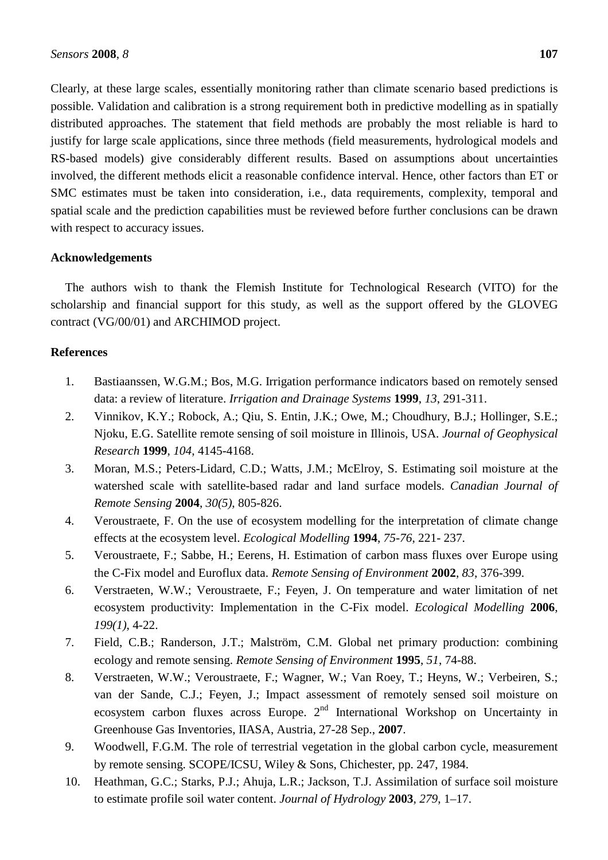Clearly, at these large scales, essentially monitoring rather than climate scenario based predictions is possible. Validation and calibration is a strong requirement both in predictive modelling as in spatially distributed approaches. The statement that field methods are probably the most reliable is hard to justify for large scale applications, since three methods (field measurements, hydrological models and RS-based models) give considerably different results. Based on assumptions about uncertainties involved, the different methods elicit a reasonable confidence interval. Hence, other factors than ET or SMC estimates must be taken into consideration, i.e., data requirements, complexity, temporal and spatial scale and the prediction capabilities must be reviewed before further conclusions can be drawn with respect to accuracy issues.

## **Acknowledgements**

The authors wish to thank the Flemish Institute for Technological Research (VITO) for the scholarship and financial support for this study, as well as the support offered by the GLOVEG contract (VG/00/01) and ARCHIMOD project.

## **References**

- 1. Bastiaanssen, W.G.M.; Bos, M.G. Irrigation performance indicators based on remotely sensed data: a review of literature. *Irrigation and Drainage Systems* **1999**, *13*, 291-311.
- 2. Vinnikov, K.Y.; Robock, A.; Qiu, S. Entin, J.K.; Owe, M.; Choudhury, B.J.; Hollinger, S.E.; Njoku, E.G. Satellite remote sensing of soil moisture in Illinois, USA. *Journal of Geophysical Research* **1999**, *104*, 4145-4168.
- 3. Moran, M.S.; Peters-Lidard, C.D.; Watts, J.M.; McElroy, S. Estimating soil moisture at the watershed scale with satellite-based radar and land surface models. *Canadian Journal of Remote Sensing* **2004**, *30(5)*, 805-826.
- 4. Veroustraete, F. On the use of ecosystem modelling for the interpretation of climate change effects at the ecosystem level. *Ecological Modelling* **1994**, *75-76*, 221- 237.
- 5. Veroustraete, F.; Sabbe, H.; Eerens, H. Estimation of carbon mass fluxes over Europe using the C-Fix model and Euroflux data. *Remote Sensing of Environment* **2002**, *83*, 376-399.
- 6. Verstraeten, W.W.; Veroustraete, F.; Feyen, J. On temperature and water limitation of net ecosystem productivity: Implementation in the C-Fix model. *Ecological Modelling* **2006**, *199(1)*, 4-22.
- 7. Field, C.B.; Randerson, J.T.; Malström, C.M. Global net primary production: combining ecology and remote sensing. *Remote Sensing of Environment* **1995**, *51*, 74-88.
- 8. Verstraeten, W.W.; Veroustraete, F.; Wagner, W.; Van Roey, T.; Heyns, W.; Verbeiren, S.; van der Sande, C.J.; Feyen, J.; Impact assessment of remotely sensed soil moisture on ecosystem carbon fluxes across Europe.  $2<sup>nd</sup>$  International Workshop on Uncertainty in Greenhouse Gas Inventories, IIASA, Austria, 27-28 Sep., **2007**.
- 9. Woodwell, F.G.M. The role of terrestrial vegetation in the global carbon cycle, measurement by remote sensing. SCOPE/ICSU, Wiley & Sons, Chichester, pp. 247, 1984.
- 10. Heathman, G.C.; Starks, P.J.; Ahuja, L.R.; Jackson, T.J. Assimilation of surface soil moisture to estimate profile soil water content. *Journal of Hydrology* **2003**, *279*, 1–17.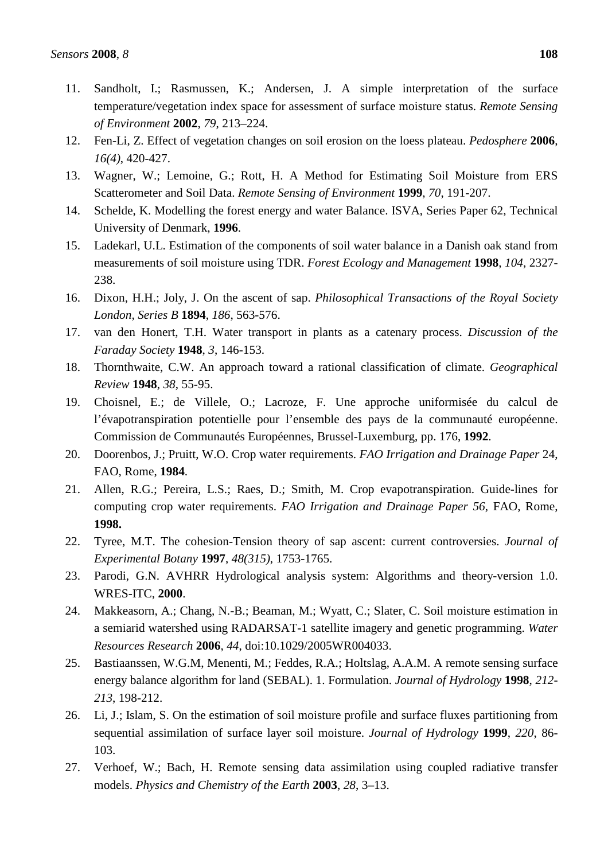- 11. Sandholt, I.; Rasmussen, K.; Andersen, J. A simple interpretation of the surface temperature/vegetation index space for assessment of surface moisture status. *Remote Sensing of Environment* **2002**, *79*, 213–224.
- 12. Fen-Li, Z. Effect of vegetation changes on soil erosion on the loess plateau. *Pedosphere* **2006**, *16(4)*, 420-427.
- 13. Wagner, W.; Lemoine, G.; Rott, H. A Method for Estimating Soil Moisture from ERS Scatterometer and Soil Data. *Remote Sensing of Environment* **1999**, *70*, 191-207.
- 14. Schelde, K. Modelling the forest energy and water Balance. ISVA, Series Paper 62, Technical University of Denmark, **1996**.
- 15. Ladekarl, U.L. Estimation of the components of soil water balance in a Danish oak stand from measurements of soil moisture using TDR. *Forest Ecology and Management* **1998**, *104*, 2327- 238.
- 16. Dixon, H.H.; Joly, J. On the ascent of sap. *Philosophical Transactions of the Royal Society London, Series B* **1894**, *186*, 563-576.
- 17. van den Honert, T.H. Water transport in plants as a catenary process. *Discussion of the Faraday Society* **1948**, *3*, 146-153.
- 18. Thornthwaite, C.W. An approach toward a rational classification of climate. *Geographical Review* **1948**, *38*, 55-95.
- 19. Choisnel, E.; de Villele, O.; Lacroze, F. Une approche uniformisée du calcul de l'évapotranspiration potentielle pour l'ensemble des pays de la communauté européenne. Commission de Communautés Européennes, Brussel-Luxemburg, pp. 176, **1992**.
- 20. Doorenbos, J.; Pruitt, W.O. Crop water requirements. *FAO Irrigation and Drainage Paper* 24, FAO, Rome, **1984**.
- 21. Allen, R.G.; Pereira, L.S.; Raes, D.; Smith, M. Crop evapotranspiration. Guide-lines for computing crop water requirements. *FAO Irrigation and Drainage Paper 56*, FAO, Rome, **1998.**
- 22. Tyree, M.T. The cohesion-Tension theory of sap ascent: current controversies. *Journal of Experimental Botany* **1997**, *48(315)*, 1753-1765.
- 23. Parodi, G.N. AVHRR Hydrological analysis system: Algorithms and theory-version 1.0. WRES-ITC, **2000**.
- 24. Makkeasorn, A.; Chang, N.-B.; Beaman, M.; Wyatt, C.; Slater, C. Soil moisture estimation in a semiarid watershed using RADARSAT-1 satellite imagery and genetic programming. *Water Resources Research* **2006**, *44*, doi:10.1029/2005WR004033.
- 25. Bastiaanssen, W.G.M, Menenti, M.; Feddes, R.A.; Holtslag, A.A.M. A remote sensing surface energy balance algorithm for land (SEBAL). 1. Formulation. *Journal of Hydrology* **1998**, *212- 213*, 198-212.
- 26. Li, J.; Islam, S. On the estimation of soil moisture profile and surface fluxes partitioning from sequential assimilation of surface layer soil moisture. *Journal of Hydrology* **1999**, *220*, 86- 103.
- 27. Verhoef, W.; Bach, H. Remote sensing data assimilation using coupled radiative transfer models. *Physics and Chemistry of the Earth* **2003**, *28*, 3–13.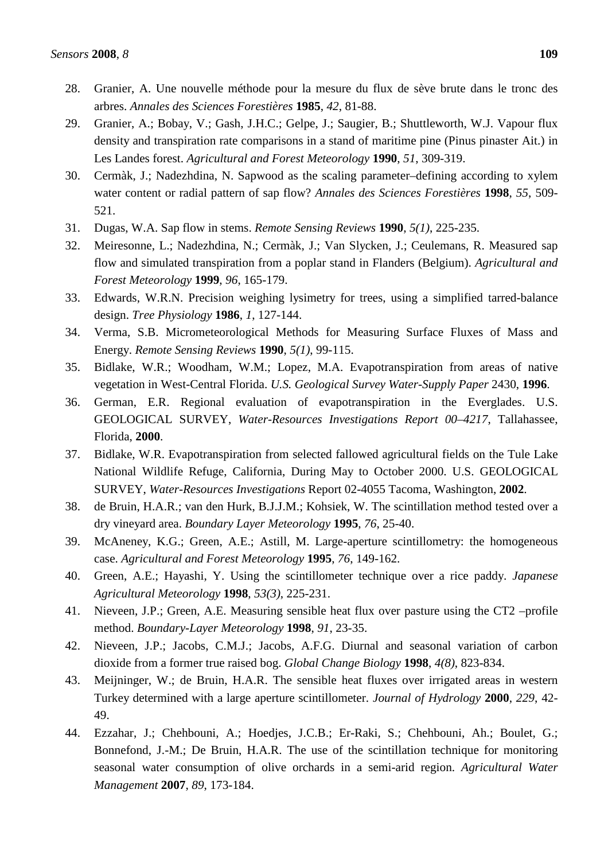- 28. Granier, A. Une nouvelle méthode pour la mesure du flux de sève brute dans le tronc des arbres. *Annales des Sciences Forestières* **1985**, *42*, 81-88.
- 29. Granier, A.; Bobay, V.; Gash, J.H.C.; Gelpe, J.; Saugier, B.; Shuttleworth, W.J. Vapour flux density and transpiration rate comparisons in a stand of maritime pine (Pinus pinaster Ait.) in Les Landes forest. *Agricultural and Forest Meteorology* **1990**, *51*, 309-319.
- 30. Cermàk, J.; Nadezhdina, N. Sapwood as the scaling parameter–defining according to xylem water content or radial pattern of sap flow? *Annales des Sciences Forestières* **1998**, *55*, 509- 521.
- 31. Dugas, W.A. Sap flow in stems. *Remote Sensing Reviews* **1990**, *5(1)*, 225-235.
- 32. Meiresonne, L.; Nadezhdina, N.; Cermàk, J.; Van Slycken, J.; Ceulemans, R. Measured sap flow and simulated transpiration from a poplar stand in Flanders (Belgium). *Agricultural and Forest Meteorology* **1999**, *96*, 165-179.
- 33. Edwards, W.R.N. Precision weighing lysimetry for trees, using a simplified tarred-balance design. *Tree Physiology* **1986**, *1*, 127-144.
- 34. Verma, S.B. Micrometeorological Methods for Measuring Surface Fluxes of Mass and Energy. *Remote Sensing Reviews* **1990**, *5(1)*, 99-115.
- 35. Bidlake, W.R.; Woodham, W.M.; Lopez, M.A. Evapotranspiration from areas of native vegetation in West-Central Florida. *U.S. Geological Survey Water-Supply Paper* 2430, **1996**.
- 36. German, E.R. Regional evaluation of evapotranspiration in the Everglades. U.S. GEOLOGICAL SURVEY, *Water-Resources Investigations Report 00–4217*, Tallahassee, Florida, **2000**.
- 37. Bidlake, W.R. Evapotranspiration from selected fallowed agricultural fields on the Tule Lake National Wildlife Refuge, California, During May to October 2000. U.S. GEOLOGICAL SURVEY, *Water-Resources Investigations* Report 02-4055 Tacoma, Washington, **2002**.
- 38. de Bruin, H.A.R.; van den Hurk, B.J.J.M.; Kohsiek, W. The scintillation method tested over a dry vineyard area. *Boundary Layer Meteorology* **1995**, *76*, 25-40.
- 39. McAneney, K.G.; Green, A.E.; Astill, M. Large-aperture scintillometry: the homogeneous case. *Agricultural and Forest Meteorology* **1995**, *76*, 149-162.
- 40. Green, A.E.; Hayashi, Y. Using the scintillometer technique over a rice paddy. *Japanese Agricultural Meteorology* **1998**, *53(3)*, 225-231.
- 41. Nieveen, J.P.; Green, A.E. Measuring sensible heat flux over pasture using the CT2 –profile method. *Boundary-Layer Meteorology* **1998**, *91*, 23-35.
- 42. Nieveen, J.P.; Jacobs, C.M.J.; Jacobs, A.F.G. Diurnal and seasonal variation of carbon dioxide from a former true raised bog. *Global Change Biology* **1998**, *4(8)*, 823-834.
- 43. Meijninger, W.; de Bruin, H.A.R. The sensible heat fluxes over irrigated areas in western Turkey determined with a large aperture scintillometer. *Journal of Hydrology* **2000**, *229*, 42- 49.
- 44. Ezzahar, J.; Chehbouni, A.; Hoedjes, J.C.B.; Er-Raki, S.; Chehbouni, Ah.; Boulet, G.; Bonnefond, J.-M.; De Bruin, H.A.R. The use of the scintillation technique for monitoring seasonal water consumption of olive orchards in a semi-arid region. *Agricultural Water Management* **2007**, *89*, 173-184.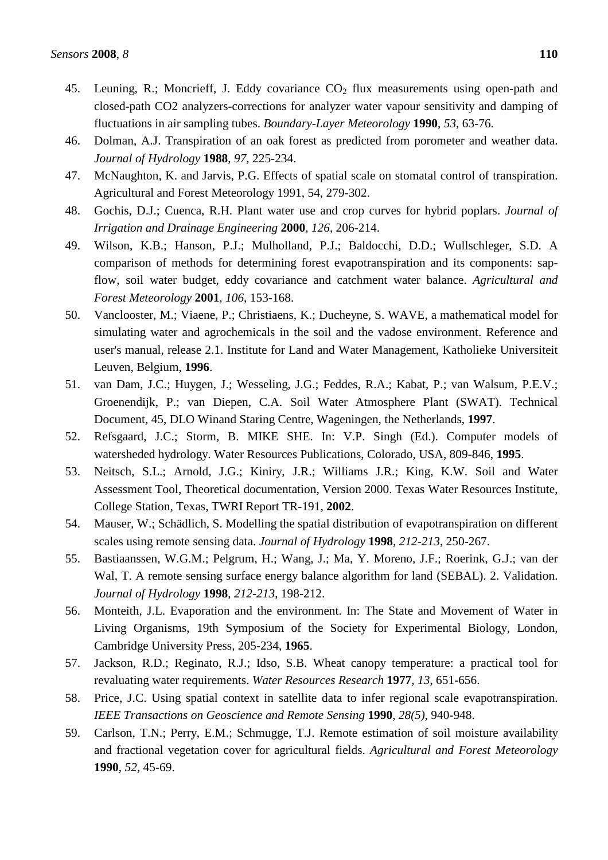- 46. Dolman, A.J. Transpiration of an oak forest as predicted from porometer and weather data. *Journal of Hydrology* **1988**, *97*, 225-234.
- 47. McNaughton, K. and Jarvis, P.G. Effects of spatial scale on stomatal control of transpiration. Agricultural and Forest Meteorology 1991, 54, 279-302.
- 48. Gochis, D.J.; Cuenca, R.H. Plant water use and crop curves for hybrid poplars. *Journal of Irrigation and Drainage Engineering* **2000**, *126*, 206-214.
- 49. Wilson, K.B.; Hanson, P.J.; Mulholland, P.J.; Baldocchi, D.D.; Wullschleger, S.D. A comparison of methods for determining forest evapotranspiration and its components: sapflow, soil water budget, eddy covariance and catchment water balance. *Agricultural and Forest Meteorology* **2001**, *106*, 153-168.
- 50. Vanclooster, M.; Viaene, P.; Christiaens, K.; Ducheyne, S. WAVE, a mathematical model for simulating water and agrochemicals in the soil and the vadose environment. Reference and user's manual, release 2.1. Institute for Land and Water Management, Katholieke Universiteit Leuven, Belgium, **1996**.
- 51. van Dam, J.C.; Huygen, J.; Wesseling, J.G.; Feddes, R.A.; Kabat, P.; van Walsum, P.E.V.; Groenendijk, P.; van Diepen, C.A. Soil Water Atmosphere Plant (SWAT). Technical Document, 45, DLO Winand Staring Centre, Wageningen, the Netherlands, **1997**.
- 52. Refsgaard, J.C.; Storm, B. MIKE SHE. In: V.P. Singh (Ed.). Computer models of watersheded hydrology. Water Resources Publications, Colorado, USA, 809-846, **1995**.
- 53. Neitsch, S.L.; Arnold, J.G.; Kiniry, J.R.; Williams J.R.; King, K.W. Soil and Water Assessment Tool, Theoretical documentation, Version 2000. Texas Water Resources Institute, College Station, Texas, TWRI Report TR-191, **2002**.
- 54. Mauser, W.; Schädlich, S. Modelling the spatial distribution of evapotranspiration on different scales using remote sensing data. *Journal of Hydrology* **1998**, *212-213*, 250-267.
- 55. Bastiaanssen, W.G.M.; Pelgrum, H.; Wang, J.; Ma, Y. Moreno, J.F.; Roerink, G.J.; van der Wal, T. A remote sensing surface energy balance algorithm for land (SEBAL). 2. Validation. *Journal of Hydrology* **1998**, *212-213*, 198-212.
- 56. Monteith, J.L. Evaporation and the environment. In: The State and Movement of Water in Living Organisms, 19th Symposium of the Society for Experimental Biology, London, Cambridge University Press, 205-234, **1965**.
- 57. Jackson, R.D.; Reginato, R.J.; Idso, S.B. Wheat canopy temperature: a practical tool for revaluating water requirements. *Water Resources Research* **1977**, *13*, 651-656.
- 58. Price, J.C. Using spatial context in satellite data to infer regional scale evapotranspiration. *IEEE Transactions on Geoscience and Remote Sensing* **1990**, *28(5)*, 940-948.
- 59. Carlson, T.N.; Perry, E.M.; Schmugge, T.J. Remote estimation of soil moisture availability and fractional vegetation cover for agricultural fields. *Agricultural and Forest Meteorology* **1990**, *52*, 45-69.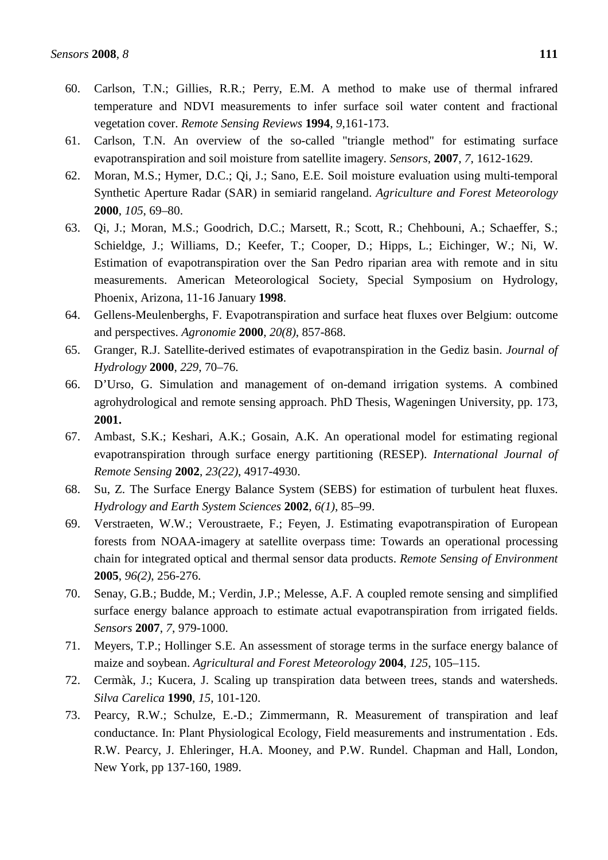- 60. Carlson, T.N.; Gillies, R.R.; Perry, E.M. A method to make use of thermal infrared temperature and NDVI measurements to infer surface soil water content and fractional vegetation cover. *Remote Sensing Reviews* **1994**, *9*,161-173.
- 61. Carlson, T.N. An overview of the so-called "triangle method" for estimating surface evapotranspiration and soil moisture from satellite imagery. *Sensors*, **2007**, *7*, 1612-1629.
- 62. Moran, M.S.; Hymer, D.C.; Qi, J.; Sano, E.E. Soil moisture evaluation using multi-temporal Synthetic Aperture Radar (SAR) in semiarid rangeland. *Agriculture and Forest Meteorology* **2000**, *105*, 69–80.
- 63. Qi, J.; Moran, M.S.; Goodrich, D.C.; Marsett, R.; Scott, R.; Chehbouni, A.; Schaeffer, S.; Schieldge, J.; Williams, D.; Keefer, T.; Cooper, D.; Hipps, L.; Eichinger, W.; Ni, W. Estimation of evapotranspiration over the San Pedro riparian area with remote and in situ measurements. American Meteorological Society, Special Symposium on Hydrology, Phoenix, Arizona, 11-16 January **1998**.
- 64. Gellens-Meulenberghs, F. Evapotranspiration and surface heat fluxes over Belgium: outcome and perspectives. *Agronomie* **2000**, *20(8)*, 857-868.
- 65. Granger, R.J. Satellite-derived estimates of evapotranspiration in the Gediz basin. *Journal of Hydrology* **2000**, *229*, 70–76.
- 66. D'Urso, G. Simulation and management of on-demand irrigation systems. A combined agrohydrological and remote sensing approach. PhD Thesis, Wageningen University, pp. 173, **2001.**
- 67. Ambast, S.K.; Keshari, A.K.; Gosain, A.K. An operational model for estimating regional evapotranspiration through surface energy partitioning (RESEP). *International Journal of Remote Sensing* **2002**, *23(22)*, 4917-4930.
- 68. Su, Z. The Surface Energy Balance System (SEBS) for estimation of turbulent heat fluxes. *Hydrology and Earth System Sciences* **2002**, *6(1)*, 85–99.
- 69. Verstraeten, W.W.; Veroustraete, F.; Feyen, J. Estimating evapotranspiration of European forests from NOAA-imagery at satellite overpass time: Towards an operational processing chain for integrated optical and thermal sensor data products. *Remote Sensing of Environment* **2005**, *96(2)*, 256-276.
- 70. Senay, G.B.; Budde, M.; Verdin, J.P.; Melesse, A.F. A coupled remote sensing and simplified surface energy balance approach to estimate actual evapotranspiration from irrigated fields. *Sensors* **2007**, *7*, 979-1000.
- 71. Meyers, T.P.; Hollinger S.E. An assessment of storage terms in the surface energy balance of maize and soybean. *Agricultural and Forest Meteorology* **2004**, *125*, 105–115.
- 72. Cermàk, J.; Kucera, J. Scaling up transpiration data between trees, stands and watersheds. *Silva Carelica* **1990**, *15*, 101-120.
- 73. Pearcy, R.W.; Schulze, E.-D.; Zimmermann, R. Measurement of transpiration and leaf conductance. In: Plant Physiological Ecology, Field measurements and instrumentation . Eds. R.W. Pearcy, J. Ehleringer, H.A. Mooney, and P.W. Rundel. Chapman and Hall, London, New York, pp 137-160, 1989.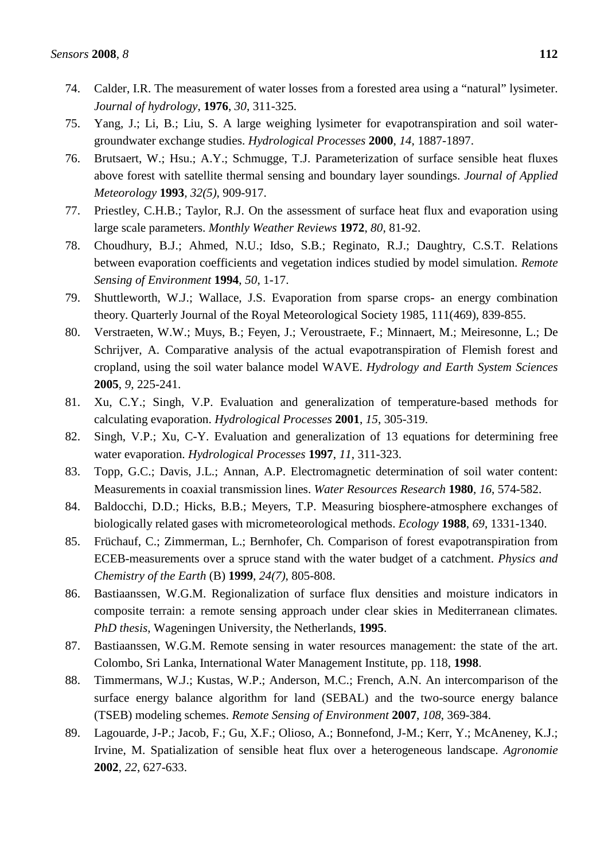- 74. Calder, I.R. The measurement of water losses from a forested area using a "natural" lysimeter. *Journal of hydrology*, **1976**, *30*, 311-325.
- 75. Yang, J.; Li, B.; Liu, S. A large weighing lysimeter for evapotranspiration and soil watergroundwater exchange studies. *Hydrological Processes* **2000**, *14*, 1887-1897.
- 76. Brutsaert, W.; Hsu.; A.Y.; Schmugge, T.J. Parameterization of surface sensible heat fluxes above forest with satellite thermal sensing and boundary layer soundings. *Journal of Applied Meteorology* **1993***, 32(5)*, 909-917.
- 77. Priestley, C.H.B.; Taylor, R.J. On the assessment of surface heat flux and evaporation using large scale parameters. *Monthly Weather Reviews* **1972**, *80*, 81-92.
- 78. Choudhury, B.J.; Ahmed, N.U.; Idso, S.B.; Reginato, R.J.; Daughtry, C.S.T. Relations between evaporation coefficients and vegetation indices studied by model simulation. *Remote Sensing of Environment* **1994**, *50*, 1-17.
- 79. Shuttleworth, W.J.; Wallace, J.S. Evaporation from sparse crops- an energy combination theory. Quarterly Journal of the Royal Meteorological Society 1985, 111(469), 839-855.
- 80. Verstraeten, W.W.; Muys, B.; Feyen, J.; Veroustraete, F.; Minnaert, M.; Meiresonne, L.; De Schrijver, A. Comparative analysis of the actual evapotranspiration of Flemish forest and cropland, using the soil water balance model WAVE. *Hydrology and Earth System Sciences* **2005**, *9*, 225-241.
- 81. Xu, C.Y.; Singh, V.P. Evaluation and generalization of temperature-based methods for calculating evaporation. *Hydrological Processes* **2001**, *15*, 305-319.
- 82. Singh, V.P.; Xu, C-Y. Evaluation and generalization of 13 equations for determining free water evaporation. *Hydrological Processes* **1997**, *11*, 311-323.
- 83. Topp, G.C.; Davis, J.L.; Annan, A.P. Electromagnetic determination of soil water content: Measurements in coaxial transmission lines. *Water Resources Research* **1980**, *16*, 574-582.
- 84. Baldocchi, D.D.; Hicks, B.B.; Meyers, T.P. Measuring biosphere-atmosphere exchanges of biologically related gases with micrometeorological methods. *Ecology* **1988**, *69*, 1331-1340.
- 85. Früchauf, C.; Zimmerman, L.; Bernhofer, Ch. Comparison of forest evapotranspiration from ECEB-measurements over a spruce stand with the water budget of a catchment. *Physics and Chemistry of the Earth* (B) **1999**, *24(7)*, 805-808.
- 86. Bastiaanssen, W.G.M. Regionalization of surface flux densities and moisture indicators in composite terrain: a remote sensing approach under clear skies in Mediterranean climates*. PhD thesis*, Wageningen University, the Netherlands, **1995**.
- 87. Bastiaanssen, W.G.M. Remote sensing in water resources management: the state of the art. Colombo, Sri Lanka, International Water Management Institute, pp. 118, **1998**.
- 88. Timmermans, W.J.; Kustas, W.P.; Anderson, M.C.; French, A.N. An intercomparison of the surface energy balance algorithm for land (SEBAL) and the two-source energy balance (TSEB) modeling schemes. *Remote Sensing of Environment* **2007**, *108*, 369-384.
- 89. Lagouarde, J-P.; Jacob, F.; Gu, X.F.; Olioso, A.; Bonnefond, J-M.; Kerr, Y.; McAneney, K.J.; Irvine, M. Spatialization of sensible heat flux over a heterogeneous landscape. *Agronomie* **2002**, *22*, 627-633.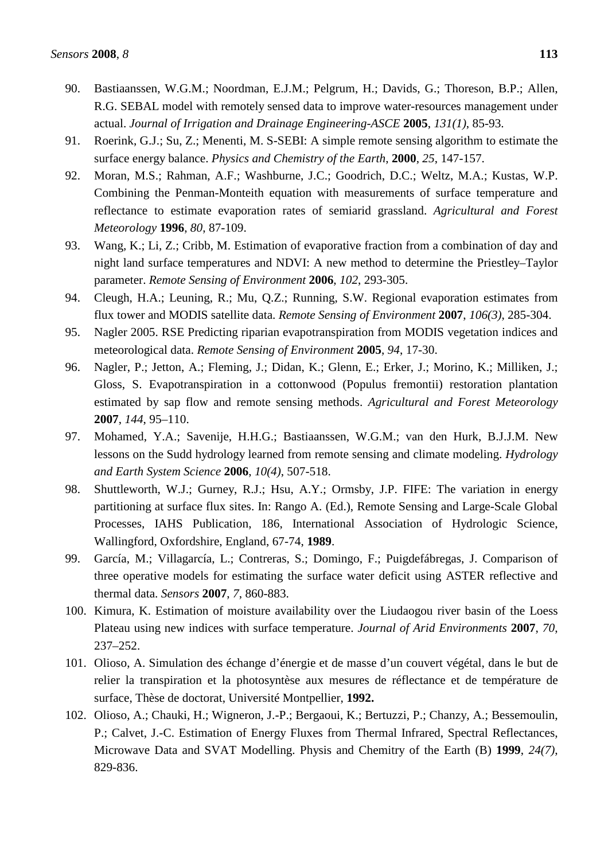- 90. Bastiaanssen, W.G.M.; Noordman, E.J.M.; Pelgrum, H.; Davids, G.; Thoreson, B.P.; Allen, R.G. SEBAL model with remotely sensed data to improve water-resources management under actual. *Journal of Irrigation and Drainage Engineering-ASCE* **2005**, *131(1)*, 85-93.
- 91. Roerink, G.J.; Su, Z.; Menenti, M. S-SEBI: A simple remote sensing algorithm to estimate the surface energy balance. *Physics and Chemistry of the Earth*, **2000**, *25*, 147-157.
- 92. Moran, M.S.; Rahman, A.F.; Washburne, J.C.; Goodrich, D.C.; Weltz, M.A.; Kustas, W.P. Combining the Penman-Monteith equation with measurements of surface temperature and reflectance to estimate evaporation rates of semiarid grassland. *Agricultural and Forest Meteorology* **1996**, *80*, 87-109.
- 93. Wang, K.; Li, Z.; Cribb, M. Estimation of evaporative fraction from a combination of day and night land surface temperatures and NDVI: A new method to determine the Priestley–Taylor parameter. *Remote Sensing of Environment* **2006**, *102*, 293-305.
- 94. Cleugh, H.A.; Leuning, R.; Mu, Q.Z.; Running, S.W. Regional evaporation estimates from flux tower and MODIS satellite data. *Remote Sensing of Environment* **2007**, *106(3)*, 285-304.
- 95. Nagler 2005. RSE Predicting riparian evapotranspiration from MODIS vegetation indices and meteorological data. *Remote Sensing of Environment* **2005**, *94*, 17-30.
- 96. Nagler, P.; Jetton, A.; Fleming, J.; Didan, K.; Glenn, E.; Erker, J.; Morino, K.; Milliken, J.; Gloss, S. Evapotranspiration in a cottonwood (Populus fremontii) restoration plantation estimated by sap flow and remote sensing methods. *Agricultural and Forest Meteorology* **2007**, *144*, 95–110.
- 97. Mohamed, Y.A.; Savenije, H.H.G.; Bastiaanssen, W.G.M.; van den Hurk, B.J.J.M. New lessons on the Sudd hydrology learned from remote sensing and climate modeling. *Hydrology and Earth System Science* **2006**, *10(4)*, 507-518.
- 98. Shuttleworth, W.J.; Gurney, R.J.; Hsu, A.Y.; Ormsby, J.P. FIFE: The variation in energy partitioning at surface flux sites. In: Rango A. (Ed.), Remote Sensing and Large-Scale Global Processes, IAHS Publication, 186, International Association of Hydrologic Science, Wallingford, Oxfordshire, England, 67-74, **1989**.
- 99. García, M.; Villagarcía, L.; Contreras, S.; Domingo, F.; Puigdefábregas, J. Comparison of three operative models for estimating the surface water deficit using ASTER reflective and thermal data. *Sensors* **2007**, *7*, 860-883.
- 100. Kimura, K. Estimation of moisture availability over the Liudaogou river basin of the Loess Plateau using new indices with surface temperature. *Journal of Arid Environments* **2007**, *70*, 237–252.
- 101. Olioso, A. Simulation des échange d'énergie et de masse d'un couvert végétal, dans le but de relier la transpiration et la photosyntèse aux mesures de réflectance et de température de surface, Thèse de doctorat, Université Montpellier, **1992.**
- 102. Olioso, A.; Chauki, H.; Wigneron, J.-P.; Bergaoui, K.; Bertuzzi, P.; Chanzy, A.; Bessemoulin, P.; Calvet, J.-C. Estimation of Energy Fluxes from Thermal Infrared, Spectral Reflectances, Microwave Data and SVAT Modelling. Physis and Chemitry of the Earth (B) **1999**, *24(7)*, 829-836.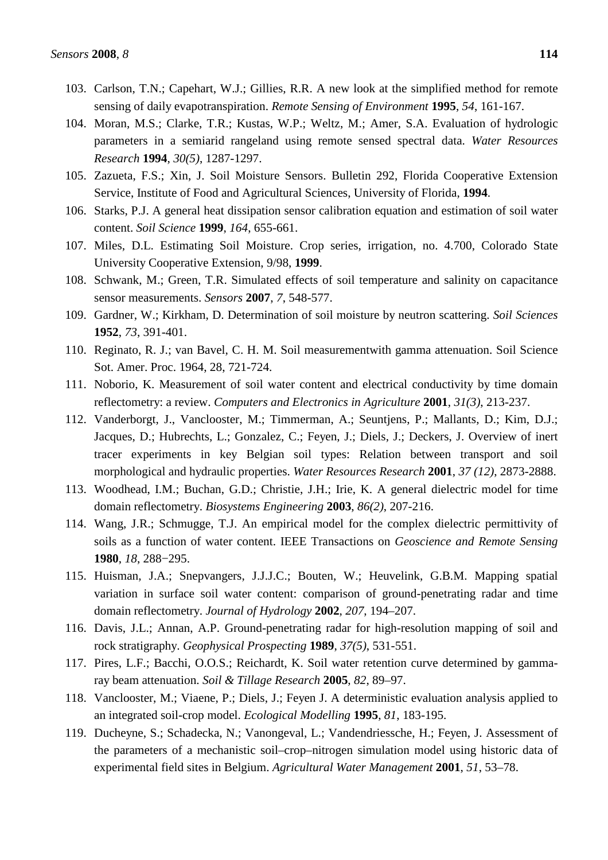- 103. Carlson, T.N.; Capehart, W.J.; Gillies, R.R. A new look at the simplified method for remote sensing of daily evapotranspiration. *Remote Sensing of Environment* **1995**, *54*, 161-167.
- 104. Moran, M.S.; Clarke, T.R.; Kustas, W.P.; Weltz, M.; Amer, S.A. Evaluation of hydrologic parameters in a semiarid rangeland using remote sensed spectral data. *Water Resources Research* **1994**, *30(5)*, 1287-1297.
- 105. Zazueta, F.S.; Xin, J. Soil Moisture Sensors. Bulletin 292, Florida Cooperative Extension Service, Institute of Food and Agricultural Sciences, University of Florida, **1994**.
- 106. Starks, P.J. A general heat dissipation sensor calibration equation and estimation of soil water content. *Soil Science* **1999**, *164*, 655-661.
- 107. Miles, D.L. Estimating Soil Moisture. Crop series, irrigation, no. 4.700, Colorado State University Cooperative Extension, 9/98, **1999**.
- 108. Schwank, M.; Green, T.R. Simulated effects of soil temperature and salinity on capacitance sensor measurements. *Sensors* **2007**, *7*, 548-577.
- 109. Gardner, W.; Kirkham, D. Determination of soil moisture by neutron scattering. *Soil Sciences* **1952**, *73*, 391-401.
- 110. Reginato, R. J.; van Bavel, C. H. M. Soil measurementwith gamma attenuation. Soil Science Sot. Amer. Proc. 1964, 28, 721-724.
- 111. Noborio, K. Measurement of soil water content and electrical conductivity by time domain reflectometry: a review. *Computers and Electronics in Agriculture* **2001**, *31(3)*, 213-237.
- 112. Vanderborgt, J., Vanclooster, M.; Timmerman, A.; Seuntjens, P.; Mallants, D.; Kim, D.J.; Jacques, D.; Hubrechts, L.; Gonzalez, C.; Feyen, J.; Diels, J.; Deckers, J. Overview of inert tracer experiments in key Belgian soil types: Relation between transport and soil morphological and hydraulic properties. *Water Resources Research* **2001**, *37 (12)*, 2873-2888.
- 113. Woodhead, I.M.; Buchan, G.D.; Christie, J.H.; Irie, K. A general dielectric model for time domain reflectometry. *Biosystems Engineering* **2003**, *86(2)*, 207-216.
- 114. Wang, J.R.; Schmugge, T.J. An empirical model for the complex dielectric permittivity of soils as a function of water content. IEEE Transactions on *Geoscience and Remote Sensing* **1980**, *18*, 288−295.
- 115. Huisman, J.A.; Snepvangers, J.J.J.C.; Bouten, W.; Heuvelink, G.B.M. Mapping spatial variation in surface soil water content: comparison of ground-penetrating radar and time domain reflectometry. *Journal of Hydrology* **2002**, *207*, 194–207.
- 116. Davis, J.L.; Annan, A.P. Ground-penetrating radar for high-resolution mapping of soil and rock stratigraphy. *Geophysical Prospecting* **1989**, *37(5)*, 531-551.
- 117. Pires, L.F.; Bacchi, O.O.S.; Reichardt, K. Soil water retention curve determined by gammaray beam attenuation. *Soil & Tillage Research* **2005**, *82*, 89–97.
- 118. Vanclooster, M.; Viaene, P.; Diels, J.; Feyen J. A deterministic evaluation analysis applied to an integrated soil-crop model. *Ecological Modelling* **1995**, *81*, 183-195.
- 119. Ducheyne, S.; Schadecka, N.; Vanongeval, L.; Vandendriessche, H.; Feyen, J. Assessment of the parameters of a mechanistic soil–crop–nitrogen simulation model using historic data of experimental field sites in Belgium. *Agricultural Water Management* **2001**, *51*, 53–78.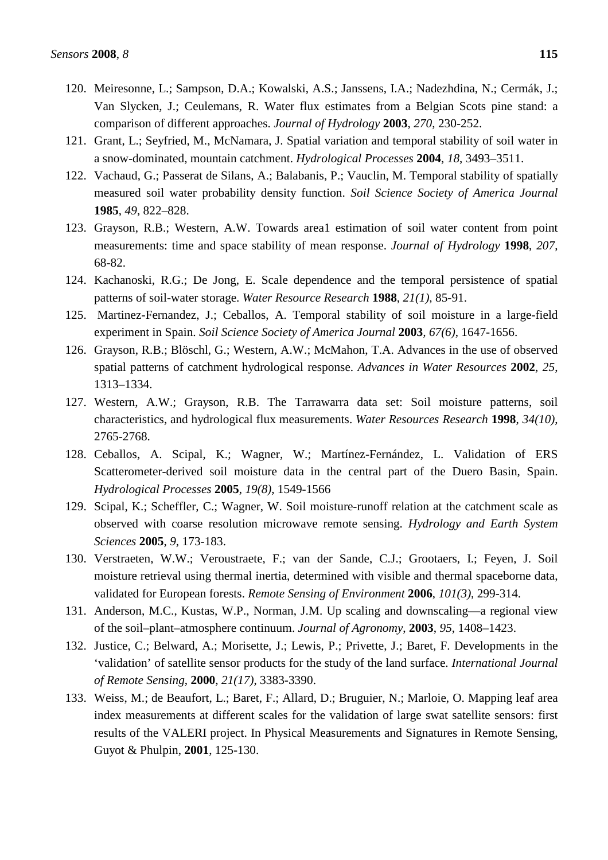- 120. Meiresonne, L.; Sampson, D.A.; Kowalski, A.S.; Janssens, I.A.; Nadezhdina, N.; Cermák, J.; Van Slycken, J.; Ceulemans, R. Water flux estimates from a Belgian Scots pine stand: a comparison of different approaches. *Journal of Hydrology* **2003**, *270*, 230-252.
- 121. Grant, L.; Seyfried, M., McNamara, J. Spatial variation and temporal stability of soil water in a snow-dominated, mountain catchment. *Hydrological Processes* **2004**, *18*, 3493–3511.
- 122. Vachaud, G.; Passerat de Silans, A.; Balabanis, P.; Vauclin, M. Temporal stability of spatially measured soil water probability density function. *Soil Science Society of America Journal* **1985**, *49*, 822–828.
- 123. Grayson, R.B.; Western, A.W. Towards area1 estimation of soil water content from point measurements: time and space stability of mean response. *Journal of Hydrology* **1998**, *207*, 68-82.
- 124. Kachanoski, R.G.; De Jong, E. Scale dependence and the temporal persistence of spatial patterns of soil-water storage. *Water Resource Research* **1988**, *21(1),* 85-91.
- 125. Martinez-Fernandez, J.; Ceballos, A. Temporal stability of soil moisture in a large-field experiment in Spain. *Soil Science Society of America Journal* **2003***, 67(6)*, 1647-1656.
- 126. Grayson, R.B.; Blöschl, G.; Western, A.W.; McMahon, T.A. Advances in the use of observed spatial patterns of catchment hydrological response. *Advances in Water Resources* **2002**, *25*, 1313–1334.
- 127. Western, A.W.; Grayson, R.B. The Tarrawarra data set: Soil moisture patterns, soil characteristics, and hydrological flux measurements. *Water Resources Research* **1998**, *34(10)*, 2765-2768.
- 128. Ceballos, A. Scipal, K.; Wagner, W.; Martínez-Fernández, L. Validation of ERS Scatterometer-derived soil moisture data in the central part of the Duero Basin, Spain. *Hydrological Processes* **2005**, *19(8)*, 1549-1566
- 129. Scipal, K.; Scheffler, C.; Wagner, W. Soil moisture-runoff relation at the catchment scale as observed with coarse resolution microwave remote sensing. *Hydrology and Earth System Sciences* **2005**, *9*, 173-183.
- 130. Verstraeten, W.W.; Veroustraete, F.; van der Sande, C.J.; Grootaers, I.; Feyen, J. Soil moisture retrieval using thermal inertia, determined with visible and thermal spaceborne data, validated for European forests. *Remote Sensing of Environment* **2006**, *101(3)*, 299-314.
- 131. Anderson, M.C., Kustas, W.P., Norman, J.M. Up scaling and downscaling—a regional view of the soil–plant–atmosphere continuum. *Journal of Agronomy*, **2003**, *95*, 1408–1423.
- 132. Justice, C.; Belward, A.; Morisette, J.; Lewis, P.; Privette, J.; Baret, F. Developments in the 'validation' of satellite sensor products for the study of the land surface. *International Journal of Remote Sensing*, **2000**, *21(17)*, 3383-3390.
- 133. Weiss, M.; de Beaufort, L.; Baret, F.; Allard, D.; Bruguier, N.; Marloie, O. Mapping leaf area index measurements at different scales for the validation of large swat satellite sensors: first results of the VALERI project. In Physical Measurements and Signatures in Remote Sensing, Guyot & Phulpin, **2001**, 125-130.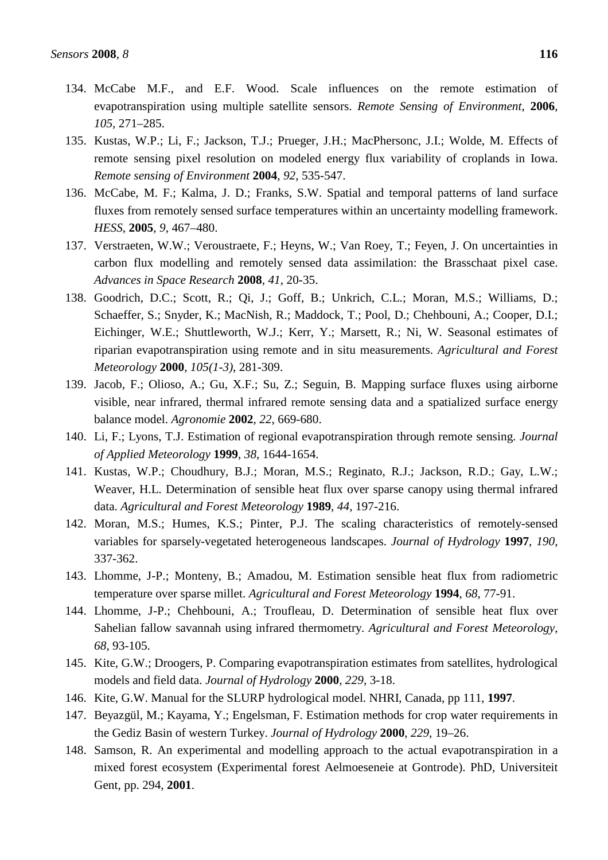- 134. McCabe M.F., and E.F. Wood. Scale influences on the remote estimation of evapotranspiration using multiple satellite sensors. *Remote Sensing of Environment*, **2006**, *105,* 271–285.
- 135. Kustas, W.P.; Li, F.; Jackson, T.J.; Prueger, J.H.; MacPhersonc, J.I.; Wolde, M. Effects of remote sensing pixel resolution on modeled energy flux variability of croplands in Iowa. *Remote sensing of Environment* **2004**, *92*, 535-547.
- 136. McCabe, M. F.; Kalma, J. D.; Franks, S.W. Spatial and temporal patterns of land surface fluxes from remotely sensed surface temperatures within an uncertainty modelling framework. *HESS*, **2005**, *9*, 467–480.
- 137. Verstraeten, W.W.; Veroustraete, F.; Heyns, W.; Van Roey, T.; Feyen, J. On uncertainties in carbon flux modelling and remotely sensed data assimilation: the Brasschaat pixel case. *Advances in Space Research* **2008**, *41*, 20-35.
- 138. Goodrich, D.C.; Scott, R.; Qi, J.; Goff, B.; Unkrich, C.L.; Moran, M.S.; Williams, D.; Schaeffer, S.; Snyder, K.; MacNish, R.; Maddock, T.; Pool, D.; Chehbouni, A.; Cooper, D.I.; Eichinger, W.E.; Shuttleworth, W.J.; Kerr, Y.; Marsett, R.; Ni, W. Seasonal estimates of riparian evapotranspiration using remote and in situ measurements. *Agricultural and Forest Meteorology* **2000**, *105(1-3)*, 281-309.
- 139. Jacob, F.; Olioso, A.; Gu, X.F.; Su, Z.; Seguin, B. Mapping surface fluxes using airborne visible, near infrared, thermal infrared remote sensing data and a spatialized surface energy balance model. *Agronomie* **2002**, *22*, 669-680.
- 140. Li, F.; Lyons, T.J. Estimation of regional evapotranspiration through remote sensing. *Journal of Applied Meteorology* **1999**, *38*, 1644-1654.
- 141. Kustas, W.P.; Choudhury, B.J.; Moran, M.S.; Reginato, R.J.; Jackson, R.D.; Gay, L.W.; Weaver, H.L. Determination of sensible heat flux over sparse canopy using thermal infrared data. *Agricultural and Forest Meteorology* **1989**, *44*, 197-216.
- 142. Moran, M.S.; Humes, K.S.; Pinter, P.J. The scaling characteristics of remotely-sensed variables for sparsely-vegetated heterogeneous landscapes. *Journal of Hydrology* **1997**, *190*, 337-362.
- 143. Lhomme, J-P.; Monteny, B.; Amadou, M. Estimation sensible heat flux from radiometric temperature over sparse millet. *Agricultural and Forest Meteorology* **1994**, *68*, 77-91.
- 144. Lhomme, J-P.; Chehbouni, A.; Troufleau, D. Determination of sensible heat flux over Sahelian fallow savannah using infrared thermometry. *Agricultural and Forest Meteorology*, *68*, 93-105.
- 145. Kite, G.W.; Droogers, P. Comparing evapotranspiration estimates from satellites, hydrological models and field data. *Journal of Hydrology* **2000**, *229*, 3-18.
- 146. Kite, G.W. Manual for the SLURP hydrological model. NHRI, Canada, pp 111, **1997**.
- 147. Beyazgül, M.; Kayama, Y.; Engelsman, F. Estimation methods for crop water requirements in the Gediz Basin of western Turkey. *Journal of Hydrology* **2000**, *229*, 19–26.
- 148. Samson, R. An experimental and modelling approach to the actual evapotranspiration in a mixed forest ecosystem (Experimental forest Aelmoeseneie at Gontrode). PhD, Universiteit Gent, pp. 294, **2001**.